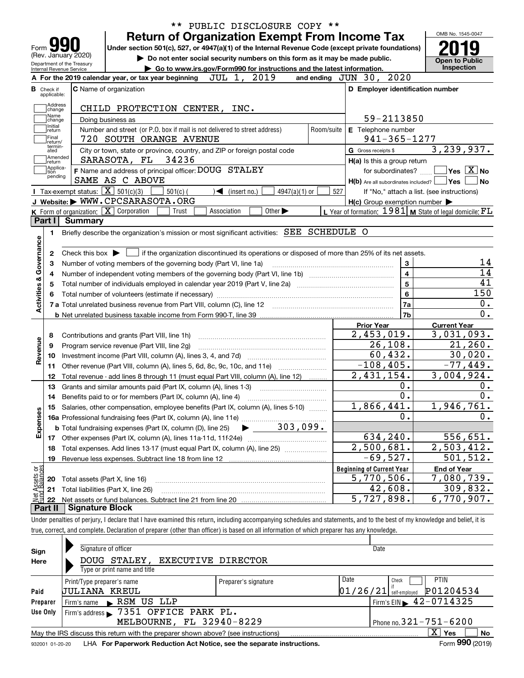|                                |                   |                | PUBLIC DISCLOSURE COPY **<br>$***$                                                                                                                                         |                                                                | OMB No. 1545-0047                      |
|--------------------------------|-------------------|----------------|----------------------------------------------------------------------------------------------------------------------------------------------------------------------------|----------------------------------------------------------------|----------------------------------------|
|                                |                   |                | <b>Return of Organization Exempt From Income Tax</b>                                                                                                                       |                                                                |                                        |
| Form<br>(Rev. January 2020)    |                   |                | Under section 501(c), 527, or 4947(a)(1) of the Internal Revenue Code (except private foundations)                                                                         |                                                                |                                        |
| Department of the Treasury     |                   |                | Do not enter social security numbers on this form as it may be made public.                                                                                                |                                                                | <b>Open to Public</b><br>Inspection    |
| Internal Revenue Service       |                   |                | Go to www.irs.gov/Form990 for instructions and the latest information.<br>JUL 1, 2019<br>A For the 2019 calendar year, or tax year beginning                               | and ending JUN 30, 2020                                        |                                        |
| в<br>Check if                  |                   |                | <b>C</b> Name of organization                                                                                                                                              | D Employer identification number                               |                                        |
| applicable:                    |                   |                |                                                                                                                                                                            |                                                                |                                        |
|                                | Address<br>change |                | CHILD PROTECTION CENTER, INC.                                                                                                                                              |                                                                |                                        |
| Name                           | change            |                | Doing business as                                                                                                                                                          | 59-2113850                                                     |                                        |
| Initial<br>return              |                   |                | Number and street (or P.O. box if mail is not delivered to street address)<br>Room/suite                                                                                   | E Telephone number                                             |                                        |
| Final<br>return/               |                   |                | 720 SOUTH ORANGE AVENUE                                                                                                                                                    | $941 - 365 - 1277$                                             |                                        |
| ated                           | termin-           |                | City or town, state or province, country, and ZIP or foreign postal code                                                                                                   | G Gross receipts \$                                            | 3, 239, 937.                           |
| return                         | Amended           |                | SARASOTA, FL 34236                                                                                                                                                         | H(a) Is this a group return                                    |                                        |
| tion                           | Applica-          |                | F Name and address of principal officer: DOUG STALEY                                                                                                                       | for subordinates?                                              | $\sqrt{}$ Yes $\sqrt{}$ X $\sqrt{}$ No |
|                                | pending           |                | SAME AS C ABOVE                                                                                                                                                            | $H(b)$ Are all subordinates included? $\Box$ Yes               | ∣No                                    |
|                                |                   |                | Tax-exempt status: $\boxed{\mathbf{X}}$ 501(c)(3)<br>$501(c)$ (<br>$\blacktriangleleft$ (insert no.)<br>$4947(a)(1)$ or                                                    | 527<br>If "No," attach a list. (see instructions)              |                                        |
|                                |                   |                | J Website: WWW.CPCSARASOTA.ORG                                                                                                                                             | $H(c)$ Group exemption number $\blacktriangleright$            |                                        |
|                                |                   |                | K Form of organization: X Corporation<br>Other $\blacktriangleright$<br>Trust<br>Association                                                                               | L Year of formation: $1981$ M State of legal domicile: $FL$    |                                        |
| Part I                         |                   | <b>Summary</b> |                                                                                                                                                                            |                                                                |                                        |
| 1.                             |                   |                | Briefly describe the organization's mission or most significant activities: SEE SCHEDULE O                                                                                 |                                                                |                                        |
|                                |                   |                |                                                                                                                                                                            |                                                                |                                        |
| 2                              |                   |                | Check this box $\blacktriangleright$ $\Box$ if the organization discontinued its operations or disposed of more than 25% of its net assets.                                |                                                                |                                        |
| з                              |                   |                | Number of voting members of the governing body (Part VI, line 1a)                                                                                                          | $\mathbf{3}$                                                   |                                        |
| 4                              |                   |                |                                                                                                                                                                            | $\overline{\mathbf{4}}$                                        |                                        |
|                                |                   |                |                                                                                                                                                                            | $\overline{5}$                                                 |                                        |
|                                |                   |                |                                                                                                                                                                            | $6\phantom{a}$                                                 | 150                                    |
| Activities & Governance        |                   |                |                                                                                                                                                                            | 7a                                                             |                                        |
|                                |                   |                |                                                                                                                                                                            | 7b                                                             |                                        |
|                                |                   |                |                                                                                                                                                                            | <b>Prior Year</b>                                              | <b>Current Year</b>                    |
| 8                              |                   |                | Contributions and grants (Part VIII, line 1h)                                                                                                                              | 2,453,019.                                                     | 3,031,093.                             |
| 9                              |                   |                | Program service revenue (Part VIII, line 2g)                                                                                                                               | 26,108.                                                        | 21, 260.                               |
| Revenue<br>10                  |                   |                |                                                                                                                                                                            | 60, 432.                                                       | 30,020.                                |
| 11                             |                   |                | Other revenue (Part VIII, column (A), lines 5, 6d, 8c, 9c, 10c, and 11e)                                                                                                   | $-108, 405.$                                                   | $-77,449.$                             |
| 12                             |                   |                | Total revenue - add lines 8 through 11 (must equal Part VIII, column (A), line 12)                                                                                         | 2,431,154.                                                     | 3,004,924.                             |
| 13                             |                   |                | Grants and similar amounts paid (Part IX, column (A), lines 1-3)                                                                                                           | 0.<br>$\overline{0}$ .                                         |                                        |
| 14                             |                   |                | Benefits paid to or for members (Part IX, column (A), line 4)                                                                                                              | 1,866,441.                                                     | 1,946,761.                             |
|                                |                   |                | 15 Salaries, other compensation, employee benefits (Part IX, column (A), lines 5-10)                                                                                       | Ο.                                                             |                                        |
|                                |                   |                | 15 Salaties, onto company<br>16a Professional fundraising fees (Part IX, column (A), line 11e)<br>2003, 099.                                                               |                                                                |                                        |
| Expenses                       |                   |                |                                                                                                                                                                            | 634,240.                                                       | 556,651.                               |
| 17                             |                   |                |                                                                                                                                                                            | $\overline{2,500},681.$                                        | 2,503,412.                             |
| 18                             |                   |                | Total expenses. Add lines 13-17 (must equal Part IX, column (A), line 25) [                                                                                                | $-69,527.$                                                     | 501, 512.                              |
| 19                             |                   |                | Revenue less expenses. Subtract line 18 from line 12                                                                                                                       |                                                                |                                        |
| Net Assets or<br>Fund Balances |                   |                |                                                                                                                                                                            | <b>Beginning of Current Year</b><br>$\overline{5}$ , 770, 506. | <b>End of Year</b><br>7,080,739.       |
| 20<br>21                       |                   |                | Total assets (Part X, line 16)<br>Total liabilities (Part X, line 26)                                                                                                      | 42,608.                                                        | 309, 832.                              |
| 22                             |                   |                |                                                                                                                                                                            | 5,727,898.                                                     | $\overline{6}$ , 770, 907.             |
| Part II                        |                   |                | <b>Signature Block</b>                                                                                                                                                     |                                                                |                                        |
|                                |                   |                | Under penalties of perjury, I declare that I have examined this return, including accompanying schedules and statements, and to the best of my knowledge and belief, it is |                                                                |                                        |
|                                |                   |                | true, correct, and complete. Declaration of preparer (other than officer) is based on all information of which preparer has any knowledge.                                 |                                                                |                                        |
|                                |                   |                |                                                                                                                                                                            |                                                                |                                        |
|                                |                   |                |                                                                                                                                                                            |                                                                |                                        |

| Sign     | Signature of officer                                                                                         |                      |          | Date                                        |  |  |  |  |
|----------|--------------------------------------------------------------------------------------------------------------|----------------------|----------|---------------------------------------------|--|--|--|--|
| Here     | DOUG STALEY,<br>EXECUTIVE DIRECTOR                                                                           |                      |          |                                             |  |  |  |  |
|          | Type or print name and title                                                                                 |                      |          |                                             |  |  |  |  |
|          | Print/Type preparer's name                                                                                   | Preparer's signature | Date     | <b>PTIN</b><br>Check                        |  |  |  |  |
| Paid     | JULIANA KREUL                                                                                                |                      | 01/26/21 | P01204534<br>self-emploved                  |  |  |  |  |
| Preparer | Firm's name RSM US LLP                                                                                       |                      |          | Firm's EIN $\blacktriangleright$ 42-0714325 |  |  |  |  |
| Use Only | Firm's address > 7351 OFFICE PARK PL.                                                                        |                      |          |                                             |  |  |  |  |
|          | MELBOURNE, FL 32940-8229                                                                                     |                      |          | Phone no. $321 - 751 - 6200$                |  |  |  |  |
|          | $X \vert Y$ es<br>No<br>May the IRS discuss this return with the preparer shown above? (see instructions)    |                      |          |                                             |  |  |  |  |
|          | Form 990 (2019)<br>LHA For Paperwork Reduction Act Notice, see the separate instructions.<br>932001 01-20-20 |                      |          |                                             |  |  |  |  |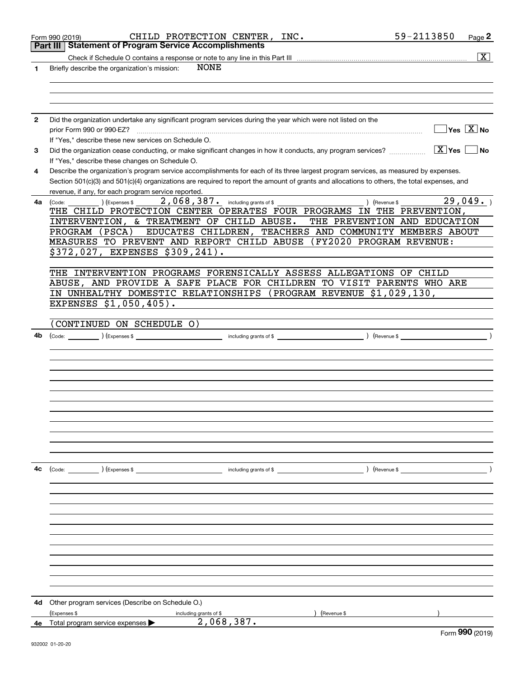|    | CHILD PROTECTION CENTER, INC.<br>Form 990 (2019)                                                                                                                                                                                                                                                                                                                                                                                                                                          | 59-2113850<br>Page 2                            |
|----|-------------------------------------------------------------------------------------------------------------------------------------------------------------------------------------------------------------------------------------------------------------------------------------------------------------------------------------------------------------------------------------------------------------------------------------------------------------------------------------------|-------------------------------------------------|
|    | <b>Statement of Program Service Accomplishments</b><br>Part III                                                                                                                                                                                                                                                                                                                                                                                                                           |                                                 |
|    |                                                                                                                                                                                                                                                                                                                                                                                                                                                                                           | $\boxed{\text{X}}$                              |
| 1  | <b>NONE</b><br>Briefly describe the organization's mission:                                                                                                                                                                                                                                                                                                                                                                                                                               |                                                 |
|    |                                                                                                                                                                                                                                                                                                                                                                                                                                                                                           |                                                 |
|    |                                                                                                                                                                                                                                                                                                                                                                                                                                                                                           |                                                 |
|    |                                                                                                                                                                                                                                                                                                                                                                                                                                                                                           |                                                 |
| 2  | Did the organization undertake any significant program services during the year which were not listed on the                                                                                                                                                                                                                                                                                                                                                                              |                                                 |
|    | prior Form 990 or 990-EZ?                                                                                                                                                                                                                                                                                                                                                                                                                                                                 | $\overline{\ }$ Yes $\overline{\phantom{X}}$ No |
|    | If "Yes," describe these new services on Schedule O.                                                                                                                                                                                                                                                                                                                                                                                                                                      |                                                 |
| 3  | Did the organization cease conducting, or make significant changes in how it conducts, any program services?                                                                                                                                                                                                                                                                                                                                                                              | $\boxed{\text{X}}$ Yes<br>∣No                   |
|    | If "Yes," describe these changes on Schedule O.                                                                                                                                                                                                                                                                                                                                                                                                                                           |                                                 |
| 4  | Describe the organization's program service accomplishments for each of its three largest program services, as measured by expenses.                                                                                                                                                                                                                                                                                                                                                      |                                                 |
|    | Section 501(c)(3) and 501(c)(4) organizations are required to report the amount of grants and allocations to others, the total expenses, and                                                                                                                                                                                                                                                                                                                                              |                                                 |
|    | revenue, if any, for each program service reported.                                                                                                                                                                                                                                                                                                                                                                                                                                       |                                                 |
| 4a | 2,068,387. including grants of \$<br>) (Expenses \$<br>) (Revenue \$<br>(Code:                                                                                                                                                                                                                                                                                                                                                                                                            | 29,049.                                         |
|    | THE CHILD PROTECTION CENTER OPERATES FOUR PROGRAMS IN THE PREVENTION,                                                                                                                                                                                                                                                                                                                                                                                                                     |                                                 |
|    | INTERVENTION, & TREATMENT OF CHILD ABUSE.                                                                                                                                                                                                                                                                                                                                                                                                                                                 | THE PREVENTION AND EDUCATION                    |
|    | EDUCATES CHILDREN, TEACHERS AND COMMUNITY MEMBERS ABOUT<br>PROGRAM (PSCA)                                                                                                                                                                                                                                                                                                                                                                                                                 |                                                 |
|    | MEASURES TO PREVENT AND REPORT CHILD ABUSE (FY2020 PROGRAM REVENUE:                                                                                                                                                                                                                                                                                                                                                                                                                       |                                                 |
|    | \$372,027, EXPENSES \$309,241).                                                                                                                                                                                                                                                                                                                                                                                                                                                           |                                                 |
|    |                                                                                                                                                                                                                                                                                                                                                                                                                                                                                           |                                                 |
|    | THE INTERVENTION PROGRAMS FORENSICALLY ASSESS ALLEGATIONS OF CHILD                                                                                                                                                                                                                                                                                                                                                                                                                        |                                                 |
|    | ABUSE, AND PROVIDE A SAFE PLACE FOR CHILDREN TO VISIT PARENTS WHO ARE                                                                                                                                                                                                                                                                                                                                                                                                                     |                                                 |
|    | IN UNHEALTHY DOMESTIC RELATIONSHIPS (PROGRAM REVENUE \$1,029,130,                                                                                                                                                                                                                                                                                                                                                                                                                         |                                                 |
|    | EXPENSES \$1,050,405).                                                                                                                                                                                                                                                                                                                                                                                                                                                                    |                                                 |
|    | (CONTINUED ON SCHEDULE O)                                                                                                                                                                                                                                                                                                                                                                                                                                                                 |                                                 |
| 4b |                                                                                                                                                                                                                                                                                                                                                                                                                                                                                           |                                                 |
|    |                                                                                                                                                                                                                                                                                                                                                                                                                                                                                           |                                                 |
|    |                                                                                                                                                                                                                                                                                                                                                                                                                                                                                           |                                                 |
|    |                                                                                                                                                                                                                                                                                                                                                                                                                                                                                           |                                                 |
|    |                                                                                                                                                                                                                                                                                                                                                                                                                                                                                           |                                                 |
|    |                                                                                                                                                                                                                                                                                                                                                                                                                                                                                           |                                                 |
|    |                                                                                                                                                                                                                                                                                                                                                                                                                                                                                           |                                                 |
|    |                                                                                                                                                                                                                                                                                                                                                                                                                                                                                           |                                                 |
|    |                                                                                                                                                                                                                                                                                                                                                                                                                                                                                           |                                                 |
|    |                                                                                                                                                                                                                                                                                                                                                                                                                                                                                           |                                                 |
|    |                                                                                                                                                                                                                                                                                                                                                                                                                                                                                           |                                                 |
|    |                                                                                                                                                                                                                                                                                                                                                                                                                                                                                           |                                                 |
|    |                                                                                                                                                                                                                                                                                                                                                                                                                                                                                           |                                                 |
| 4c | (Code: ) (Expenses \$<br>$\blacksquare$ including grants of \$ $\blacksquare$ $\blacksquare$ $\blacksquare$ $\blacksquare$ $\blacksquare$ $\blacksquare$ $\blacksquare$ $\blacksquare$ $\blacksquare$ $\blacksquare$ $\blacksquare$ $\blacksquare$ $\blacksquare$ $\blacksquare$ $\blacksquare$ $\blacksquare$ $\blacksquare$ $\blacksquare$ $\blacksquare$ $\blacksquare$ $\blacksquare$ $\blacksquare$ $\blacksquare$ $\blacksquare$ $\blacksquare$ $\blacksquare$ $\blacksquare$ $\bl$ |                                                 |
|    |                                                                                                                                                                                                                                                                                                                                                                                                                                                                                           |                                                 |
|    |                                                                                                                                                                                                                                                                                                                                                                                                                                                                                           |                                                 |
|    |                                                                                                                                                                                                                                                                                                                                                                                                                                                                                           |                                                 |
|    |                                                                                                                                                                                                                                                                                                                                                                                                                                                                                           |                                                 |
|    |                                                                                                                                                                                                                                                                                                                                                                                                                                                                                           |                                                 |
|    |                                                                                                                                                                                                                                                                                                                                                                                                                                                                                           |                                                 |
|    |                                                                                                                                                                                                                                                                                                                                                                                                                                                                                           |                                                 |
|    |                                                                                                                                                                                                                                                                                                                                                                                                                                                                                           |                                                 |
|    |                                                                                                                                                                                                                                                                                                                                                                                                                                                                                           |                                                 |
|    |                                                                                                                                                                                                                                                                                                                                                                                                                                                                                           |                                                 |
|    |                                                                                                                                                                                                                                                                                                                                                                                                                                                                                           |                                                 |
|    |                                                                                                                                                                                                                                                                                                                                                                                                                                                                                           |                                                 |
| 4d | Other program services (Describe on Schedule O.)                                                                                                                                                                                                                                                                                                                                                                                                                                          |                                                 |
| 4e | (Expenses \$<br>including grants of \$<br>Revenue \$<br>2,068,387.<br>Total program service expenses                                                                                                                                                                                                                                                                                                                                                                                      |                                                 |
|    |                                                                                                                                                                                                                                                                                                                                                                                                                                                                                           | $\sim$                                          |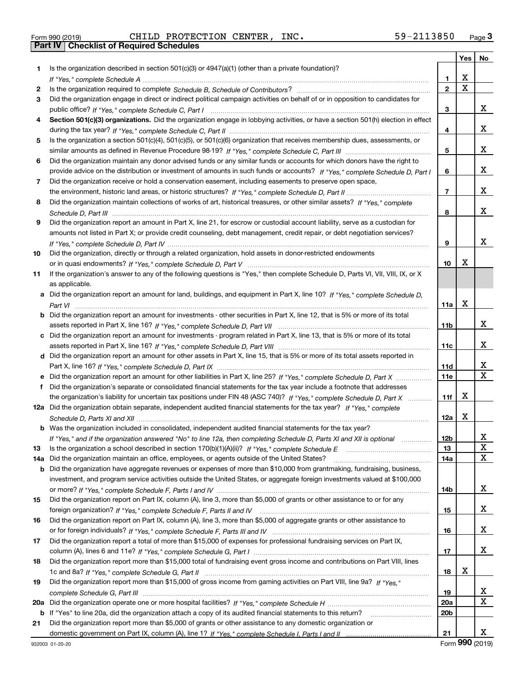| Form 990 (2019) |  |  |
|-----------------|--|--|

Form 990 (2019) Page **3Part IV Checklist of Required Schedules** CHILD PROTECTION CENTER, INC. 59-2113850

| Is the organization described in section $501(c)(3)$ or $4947(a)(1)$ (other than a private foundation)?<br>1.<br>X<br>1<br>$\overline{\mathbf{x}}$<br>$\overline{2}$<br>2<br>Did the organization engage in direct or indirect political campaign activities on behalf of or in opposition to candidates for<br>3<br>x<br>3<br>Section 501(c)(3) organizations. Did the organization engage in lobbying activities, or have a section 501(h) election in effect<br>4<br>x<br>4<br>Is the organization a section 501(c)(4), 501(c)(5), or 501(c)(6) organization that receives membership dues, assessments, or<br>5<br>x<br>5<br>Did the organization maintain any donor advised funds or any similar funds or accounts for which donors have the right to<br>6<br>x<br>provide advice on the distribution or investment of amounts in such funds or accounts? If "Yes," complete Schedule D, Part I<br>6<br>Did the organization receive or hold a conservation easement, including easements to preserve open space,<br>7<br>x<br>$\overline{7}$<br>Did the organization maintain collections of works of art, historical treasures, or other similar assets? If "Yes," complete<br>8<br>x<br>8<br>Did the organization report an amount in Part X, line 21, for escrow or custodial account liability, serve as a custodian for<br>9<br>amounts not listed in Part X; or provide credit counseling, debt management, credit repair, or debt negotiation services?<br>x<br>9<br>Did the organization, directly or through a related organization, hold assets in donor-restricted endowments<br>10<br>х<br>10<br>If the organization's answer to any of the following questions is "Yes," then complete Schedule D, Parts VI, VIII, VIII, IX, or X<br>11<br>as applicable.<br>a Did the organization report an amount for land, buildings, and equipment in Part X, line 10? If "Yes." complete Schedule D.<br>X<br>11a<br><b>b</b> Did the organization report an amount for investments - other securities in Part X, line 12, that is 5% or more of its total<br>x<br>11b<br>c Did the organization report an amount for investments - program related in Part X, line 13, that is 5% or more of its total<br>x<br>11c<br>d Did the organization report an amount for other assets in Part X, line 15, that is 5% or more of its total assets reported in<br>х<br>11d<br>$\overline{\mathbf{x}}$<br>11e<br>e Did the organization report an amount for other liabilities in Part X, line 25? If "Yes," complete Schedule D, Part X<br>Did the organization's separate or consolidated financial statements for the tax year include a footnote that addresses<br>f<br>х<br>the organization's liability for uncertain tax positions under FIN 48 (ASC 740)? If "Yes," complete Schedule D, Part X<br>11f<br>12a Did the organization obtain separate, independent audited financial statements for the tax year? If "Yes," complete<br>Х<br>12a<br>b Was the organization included in consolidated, independent audited financial statements for the tax year?<br>If "Yes," and if the organization answered "No" to line 12a, then completing Schedule D, Parts XI and XII is optional<br>12b<br>Δ.<br>X<br>13<br>13<br>$\mathbf X$<br>Did the organization maintain an office, employees, or agents outside of the United States?<br>14a<br>14a<br><b>b</b> Did the organization have aggregate revenues or expenses of more than \$10,000 from grantmaking, fundraising, business,<br>investment, and program service activities outside the United States, or aggregate foreign investments valued at \$100,000<br>X<br>14b<br>Did the organization report on Part IX, column (A), line 3, more than \$5,000 of grants or other assistance to or for any<br>15<br>X<br>15<br>Did the organization report on Part IX, column (A), line 3, more than \$5,000 of aggregate grants or other assistance to<br>16<br>X<br>16<br>Did the organization report a total of more than \$15,000 of expenses for professional fundraising services on Part IX,<br>17<br>x<br>17<br>Did the organization report more than \$15,000 total of fundraising event gross income and contributions on Part VIII, lines<br>18<br>х<br>18<br>Did the organization report more than \$15,000 of gross income from gaming activities on Part VIII, line 9a? If "Yes."<br>19<br>X<br>19<br>$\overline{\textbf{X}}$<br><b>20a</b><br>20a<br>20 <sub>b</sub><br>b If "Yes" to line 20a, did the organization attach a copy of its audited financial statements to this return?<br>Did the organization report more than \$5,000 of grants or other assistance to any domestic organization or<br>21 |  |    | Yes | No |
|-----------------------------------------------------------------------------------------------------------------------------------------------------------------------------------------------------------------------------------------------------------------------------------------------------------------------------------------------------------------------------------------------------------------------------------------------------------------------------------------------------------------------------------------------------------------------------------------------------------------------------------------------------------------------------------------------------------------------------------------------------------------------------------------------------------------------------------------------------------------------------------------------------------------------------------------------------------------------------------------------------------------------------------------------------------------------------------------------------------------------------------------------------------------------------------------------------------------------------------------------------------------------------------------------------------------------------------------------------------------------------------------------------------------------------------------------------------------------------------------------------------------------------------------------------------------------------------------------------------------------------------------------------------------------------------------------------------------------------------------------------------------------------------------------------------------------------------------------------------------------------------------------------------------------------------------------------------------------------------------------------------------------------------------------------------------------------------------------------------------------------------------------------------------------------------------------------------------------------------------------------------------------------------------------------------------------------------------------------------------------------------------------------------------------------------------------------------------------------------------------------------------------------------------------------------------------------------------------------------------------------------------------------------------------------------------------------------------------------------------------------------------------------------------------------------------------------------------------------------------------------------------------------------------------------------------------------------------------------------------------------------------------------------------------------------------------------------------------------------------------------------------------------------------------------------------------------------------------------------------------------------------------------------------------------------------------------------------------------------------------------------------------------------------------------------------------------------------------------------------------------------------------------------------------------------------------------------------------------------------------------------------------------------------------------------------------------------------------------------------------------------------------------------------------------------------------------------------------------------------------------------------------------------------------------------------------------------------------------------------------------------------------------------------------------------------------------------------------------------------------------------------------------------------------------------------------------------------------------------------------------------------------------------------------------------------------------------------------------------------------------------------------------------------------------------------------------------------------------------------------------------------------------------------------------------------------------------------------------------------------------------------------------------------------------------|--|----|-----|----|
|                                                                                                                                                                                                                                                                                                                                                                                                                                                                                                                                                                                                                                                                                                                                                                                                                                                                                                                                                                                                                                                                                                                                                                                                                                                                                                                                                                                                                                                                                                                                                                                                                                                                                                                                                                                                                                                                                                                                                                                                                                                                                                                                                                                                                                                                                                                                                                                                                                                                                                                                                                                                                                                                                                                                                                                                                                                                                                                                                                                                                                                                                                                                                                                                                                                                                                                                                                                                                                                                                                                                                                                                                                                                                                                                                                                                                                                                                                                                                                                                                                                                                                                                                                                                                                                                                                                                                                                                                                                                                                                                                                                                                                                                                   |  |    |     |    |
|                                                                                                                                                                                                                                                                                                                                                                                                                                                                                                                                                                                                                                                                                                                                                                                                                                                                                                                                                                                                                                                                                                                                                                                                                                                                                                                                                                                                                                                                                                                                                                                                                                                                                                                                                                                                                                                                                                                                                                                                                                                                                                                                                                                                                                                                                                                                                                                                                                                                                                                                                                                                                                                                                                                                                                                                                                                                                                                                                                                                                                                                                                                                                                                                                                                                                                                                                                                                                                                                                                                                                                                                                                                                                                                                                                                                                                                                                                                                                                                                                                                                                                                                                                                                                                                                                                                                                                                                                                                                                                                                                                                                                                                                                   |  |    |     |    |
|                                                                                                                                                                                                                                                                                                                                                                                                                                                                                                                                                                                                                                                                                                                                                                                                                                                                                                                                                                                                                                                                                                                                                                                                                                                                                                                                                                                                                                                                                                                                                                                                                                                                                                                                                                                                                                                                                                                                                                                                                                                                                                                                                                                                                                                                                                                                                                                                                                                                                                                                                                                                                                                                                                                                                                                                                                                                                                                                                                                                                                                                                                                                                                                                                                                                                                                                                                                                                                                                                                                                                                                                                                                                                                                                                                                                                                                                                                                                                                                                                                                                                                                                                                                                                                                                                                                                                                                                                                                                                                                                                                                                                                                                                   |  |    |     |    |
|                                                                                                                                                                                                                                                                                                                                                                                                                                                                                                                                                                                                                                                                                                                                                                                                                                                                                                                                                                                                                                                                                                                                                                                                                                                                                                                                                                                                                                                                                                                                                                                                                                                                                                                                                                                                                                                                                                                                                                                                                                                                                                                                                                                                                                                                                                                                                                                                                                                                                                                                                                                                                                                                                                                                                                                                                                                                                                                                                                                                                                                                                                                                                                                                                                                                                                                                                                                                                                                                                                                                                                                                                                                                                                                                                                                                                                                                                                                                                                                                                                                                                                                                                                                                                                                                                                                                                                                                                                                                                                                                                                                                                                                                                   |  |    |     |    |
|                                                                                                                                                                                                                                                                                                                                                                                                                                                                                                                                                                                                                                                                                                                                                                                                                                                                                                                                                                                                                                                                                                                                                                                                                                                                                                                                                                                                                                                                                                                                                                                                                                                                                                                                                                                                                                                                                                                                                                                                                                                                                                                                                                                                                                                                                                                                                                                                                                                                                                                                                                                                                                                                                                                                                                                                                                                                                                                                                                                                                                                                                                                                                                                                                                                                                                                                                                                                                                                                                                                                                                                                                                                                                                                                                                                                                                                                                                                                                                                                                                                                                                                                                                                                                                                                                                                                                                                                                                                                                                                                                                                                                                                                                   |  |    |     |    |
|                                                                                                                                                                                                                                                                                                                                                                                                                                                                                                                                                                                                                                                                                                                                                                                                                                                                                                                                                                                                                                                                                                                                                                                                                                                                                                                                                                                                                                                                                                                                                                                                                                                                                                                                                                                                                                                                                                                                                                                                                                                                                                                                                                                                                                                                                                                                                                                                                                                                                                                                                                                                                                                                                                                                                                                                                                                                                                                                                                                                                                                                                                                                                                                                                                                                                                                                                                                                                                                                                                                                                                                                                                                                                                                                                                                                                                                                                                                                                                                                                                                                                                                                                                                                                                                                                                                                                                                                                                                                                                                                                                                                                                                                                   |  |    |     |    |
|                                                                                                                                                                                                                                                                                                                                                                                                                                                                                                                                                                                                                                                                                                                                                                                                                                                                                                                                                                                                                                                                                                                                                                                                                                                                                                                                                                                                                                                                                                                                                                                                                                                                                                                                                                                                                                                                                                                                                                                                                                                                                                                                                                                                                                                                                                                                                                                                                                                                                                                                                                                                                                                                                                                                                                                                                                                                                                                                                                                                                                                                                                                                                                                                                                                                                                                                                                                                                                                                                                                                                                                                                                                                                                                                                                                                                                                                                                                                                                                                                                                                                                                                                                                                                                                                                                                                                                                                                                                                                                                                                                                                                                                                                   |  |    |     |    |
|                                                                                                                                                                                                                                                                                                                                                                                                                                                                                                                                                                                                                                                                                                                                                                                                                                                                                                                                                                                                                                                                                                                                                                                                                                                                                                                                                                                                                                                                                                                                                                                                                                                                                                                                                                                                                                                                                                                                                                                                                                                                                                                                                                                                                                                                                                                                                                                                                                                                                                                                                                                                                                                                                                                                                                                                                                                                                                                                                                                                                                                                                                                                                                                                                                                                                                                                                                                                                                                                                                                                                                                                                                                                                                                                                                                                                                                                                                                                                                                                                                                                                                                                                                                                                                                                                                                                                                                                                                                                                                                                                                                                                                                                                   |  |    |     |    |
|                                                                                                                                                                                                                                                                                                                                                                                                                                                                                                                                                                                                                                                                                                                                                                                                                                                                                                                                                                                                                                                                                                                                                                                                                                                                                                                                                                                                                                                                                                                                                                                                                                                                                                                                                                                                                                                                                                                                                                                                                                                                                                                                                                                                                                                                                                                                                                                                                                                                                                                                                                                                                                                                                                                                                                                                                                                                                                                                                                                                                                                                                                                                                                                                                                                                                                                                                                                                                                                                                                                                                                                                                                                                                                                                                                                                                                                                                                                                                                                                                                                                                                                                                                                                                                                                                                                                                                                                                                                                                                                                                                                                                                                                                   |  |    |     |    |
|                                                                                                                                                                                                                                                                                                                                                                                                                                                                                                                                                                                                                                                                                                                                                                                                                                                                                                                                                                                                                                                                                                                                                                                                                                                                                                                                                                                                                                                                                                                                                                                                                                                                                                                                                                                                                                                                                                                                                                                                                                                                                                                                                                                                                                                                                                                                                                                                                                                                                                                                                                                                                                                                                                                                                                                                                                                                                                                                                                                                                                                                                                                                                                                                                                                                                                                                                                                                                                                                                                                                                                                                                                                                                                                                                                                                                                                                                                                                                                                                                                                                                                                                                                                                                                                                                                                                                                                                                                                                                                                                                                                                                                                                                   |  |    |     |    |
|                                                                                                                                                                                                                                                                                                                                                                                                                                                                                                                                                                                                                                                                                                                                                                                                                                                                                                                                                                                                                                                                                                                                                                                                                                                                                                                                                                                                                                                                                                                                                                                                                                                                                                                                                                                                                                                                                                                                                                                                                                                                                                                                                                                                                                                                                                                                                                                                                                                                                                                                                                                                                                                                                                                                                                                                                                                                                                                                                                                                                                                                                                                                                                                                                                                                                                                                                                                                                                                                                                                                                                                                                                                                                                                                                                                                                                                                                                                                                                                                                                                                                                                                                                                                                                                                                                                                                                                                                                                                                                                                                                                                                                                                                   |  |    |     |    |
|                                                                                                                                                                                                                                                                                                                                                                                                                                                                                                                                                                                                                                                                                                                                                                                                                                                                                                                                                                                                                                                                                                                                                                                                                                                                                                                                                                                                                                                                                                                                                                                                                                                                                                                                                                                                                                                                                                                                                                                                                                                                                                                                                                                                                                                                                                                                                                                                                                                                                                                                                                                                                                                                                                                                                                                                                                                                                                                                                                                                                                                                                                                                                                                                                                                                                                                                                                                                                                                                                                                                                                                                                                                                                                                                                                                                                                                                                                                                                                                                                                                                                                                                                                                                                                                                                                                                                                                                                                                                                                                                                                                                                                                                                   |  |    |     |    |
|                                                                                                                                                                                                                                                                                                                                                                                                                                                                                                                                                                                                                                                                                                                                                                                                                                                                                                                                                                                                                                                                                                                                                                                                                                                                                                                                                                                                                                                                                                                                                                                                                                                                                                                                                                                                                                                                                                                                                                                                                                                                                                                                                                                                                                                                                                                                                                                                                                                                                                                                                                                                                                                                                                                                                                                                                                                                                                                                                                                                                                                                                                                                                                                                                                                                                                                                                                                                                                                                                                                                                                                                                                                                                                                                                                                                                                                                                                                                                                                                                                                                                                                                                                                                                                                                                                                                                                                                                                                                                                                                                                                                                                                                                   |  |    |     |    |
|                                                                                                                                                                                                                                                                                                                                                                                                                                                                                                                                                                                                                                                                                                                                                                                                                                                                                                                                                                                                                                                                                                                                                                                                                                                                                                                                                                                                                                                                                                                                                                                                                                                                                                                                                                                                                                                                                                                                                                                                                                                                                                                                                                                                                                                                                                                                                                                                                                                                                                                                                                                                                                                                                                                                                                                                                                                                                                                                                                                                                                                                                                                                                                                                                                                                                                                                                                                                                                                                                                                                                                                                                                                                                                                                                                                                                                                                                                                                                                                                                                                                                                                                                                                                                                                                                                                                                                                                                                                                                                                                                                                                                                                                                   |  |    |     |    |
|                                                                                                                                                                                                                                                                                                                                                                                                                                                                                                                                                                                                                                                                                                                                                                                                                                                                                                                                                                                                                                                                                                                                                                                                                                                                                                                                                                                                                                                                                                                                                                                                                                                                                                                                                                                                                                                                                                                                                                                                                                                                                                                                                                                                                                                                                                                                                                                                                                                                                                                                                                                                                                                                                                                                                                                                                                                                                                                                                                                                                                                                                                                                                                                                                                                                                                                                                                                                                                                                                                                                                                                                                                                                                                                                                                                                                                                                                                                                                                                                                                                                                                                                                                                                                                                                                                                                                                                                                                                                                                                                                                                                                                                                                   |  |    |     |    |
|                                                                                                                                                                                                                                                                                                                                                                                                                                                                                                                                                                                                                                                                                                                                                                                                                                                                                                                                                                                                                                                                                                                                                                                                                                                                                                                                                                                                                                                                                                                                                                                                                                                                                                                                                                                                                                                                                                                                                                                                                                                                                                                                                                                                                                                                                                                                                                                                                                                                                                                                                                                                                                                                                                                                                                                                                                                                                                                                                                                                                                                                                                                                                                                                                                                                                                                                                                                                                                                                                                                                                                                                                                                                                                                                                                                                                                                                                                                                                                                                                                                                                                                                                                                                                                                                                                                                                                                                                                                                                                                                                                                                                                                                                   |  |    |     |    |
|                                                                                                                                                                                                                                                                                                                                                                                                                                                                                                                                                                                                                                                                                                                                                                                                                                                                                                                                                                                                                                                                                                                                                                                                                                                                                                                                                                                                                                                                                                                                                                                                                                                                                                                                                                                                                                                                                                                                                                                                                                                                                                                                                                                                                                                                                                                                                                                                                                                                                                                                                                                                                                                                                                                                                                                                                                                                                                                                                                                                                                                                                                                                                                                                                                                                                                                                                                                                                                                                                                                                                                                                                                                                                                                                                                                                                                                                                                                                                                                                                                                                                                                                                                                                                                                                                                                                                                                                                                                                                                                                                                                                                                                                                   |  |    |     |    |
|                                                                                                                                                                                                                                                                                                                                                                                                                                                                                                                                                                                                                                                                                                                                                                                                                                                                                                                                                                                                                                                                                                                                                                                                                                                                                                                                                                                                                                                                                                                                                                                                                                                                                                                                                                                                                                                                                                                                                                                                                                                                                                                                                                                                                                                                                                                                                                                                                                                                                                                                                                                                                                                                                                                                                                                                                                                                                                                                                                                                                                                                                                                                                                                                                                                                                                                                                                                                                                                                                                                                                                                                                                                                                                                                                                                                                                                                                                                                                                                                                                                                                                                                                                                                                                                                                                                                                                                                                                                                                                                                                                                                                                                                                   |  |    |     |    |
|                                                                                                                                                                                                                                                                                                                                                                                                                                                                                                                                                                                                                                                                                                                                                                                                                                                                                                                                                                                                                                                                                                                                                                                                                                                                                                                                                                                                                                                                                                                                                                                                                                                                                                                                                                                                                                                                                                                                                                                                                                                                                                                                                                                                                                                                                                                                                                                                                                                                                                                                                                                                                                                                                                                                                                                                                                                                                                                                                                                                                                                                                                                                                                                                                                                                                                                                                                                                                                                                                                                                                                                                                                                                                                                                                                                                                                                                                                                                                                                                                                                                                                                                                                                                                                                                                                                                                                                                                                                                                                                                                                                                                                                                                   |  |    |     |    |
|                                                                                                                                                                                                                                                                                                                                                                                                                                                                                                                                                                                                                                                                                                                                                                                                                                                                                                                                                                                                                                                                                                                                                                                                                                                                                                                                                                                                                                                                                                                                                                                                                                                                                                                                                                                                                                                                                                                                                                                                                                                                                                                                                                                                                                                                                                                                                                                                                                                                                                                                                                                                                                                                                                                                                                                                                                                                                                                                                                                                                                                                                                                                                                                                                                                                                                                                                                                                                                                                                                                                                                                                                                                                                                                                                                                                                                                                                                                                                                                                                                                                                                                                                                                                                                                                                                                                                                                                                                                                                                                                                                                                                                                                                   |  |    |     |    |
|                                                                                                                                                                                                                                                                                                                                                                                                                                                                                                                                                                                                                                                                                                                                                                                                                                                                                                                                                                                                                                                                                                                                                                                                                                                                                                                                                                                                                                                                                                                                                                                                                                                                                                                                                                                                                                                                                                                                                                                                                                                                                                                                                                                                                                                                                                                                                                                                                                                                                                                                                                                                                                                                                                                                                                                                                                                                                                                                                                                                                                                                                                                                                                                                                                                                                                                                                                                                                                                                                                                                                                                                                                                                                                                                                                                                                                                                                                                                                                                                                                                                                                                                                                                                                                                                                                                                                                                                                                                                                                                                                                                                                                                                                   |  |    |     |    |
|                                                                                                                                                                                                                                                                                                                                                                                                                                                                                                                                                                                                                                                                                                                                                                                                                                                                                                                                                                                                                                                                                                                                                                                                                                                                                                                                                                                                                                                                                                                                                                                                                                                                                                                                                                                                                                                                                                                                                                                                                                                                                                                                                                                                                                                                                                                                                                                                                                                                                                                                                                                                                                                                                                                                                                                                                                                                                                                                                                                                                                                                                                                                                                                                                                                                                                                                                                                                                                                                                                                                                                                                                                                                                                                                                                                                                                                                                                                                                                                                                                                                                                                                                                                                                                                                                                                                                                                                                                                                                                                                                                                                                                                                                   |  |    |     |    |
|                                                                                                                                                                                                                                                                                                                                                                                                                                                                                                                                                                                                                                                                                                                                                                                                                                                                                                                                                                                                                                                                                                                                                                                                                                                                                                                                                                                                                                                                                                                                                                                                                                                                                                                                                                                                                                                                                                                                                                                                                                                                                                                                                                                                                                                                                                                                                                                                                                                                                                                                                                                                                                                                                                                                                                                                                                                                                                                                                                                                                                                                                                                                                                                                                                                                                                                                                                                                                                                                                                                                                                                                                                                                                                                                                                                                                                                                                                                                                                                                                                                                                                                                                                                                                                                                                                                                                                                                                                                                                                                                                                                                                                                                                   |  |    |     |    |
|                                                                                                                                                                                                                                                                                                                                                                                                                                                                                                                                                                                                                                                                                                                                                                                                                                                                                                                                                                                                                                                                                                                                                                                                                                                                                                                                                                                                                                                                                                                                                                                                                                                                                                                                                                                                                                                                                                                                                                                                                                                                                                                                                                                                                                                                                                                                                                                                                                                                                                                                                                                                                                                                                                                                                                                                                                                                                                                                                                                                                                                                                                                                                                                                                                                                                                                                                                                                                                                                                                                                                                                                                                                                                                                                                                                                                                                                                                                                                                                                                                                                                                                                                                                                                                                                                                                                                                                                                                                                                                                                                                                                                                                                                   |  |    |     |    |
|                                                                                                                                                                                                                                                                                                                                                                                                                                                                                                                                                                                                                                                                                                                                                                                                                                                                                                                                                                                                                                                                                                                                                                                                                                                                                                                                                                                                                                                                                                                                                                                                                                                                                                                                                                                                                                                                                                                                                                                                                                                                                                                                                                                                                                                                                                                                                                                                                                                                                                                                                                                                                                                                                                                                                                                                                                                                                                                                                                                                                                                                                                                                                                                                                                                                                                                                                                                                                                                                                                                                                                                                                                                                                                                                                                                                                                                                                                                                                                                                                                                                                                                                                                                                                                                                                                                                                                                                                                                                                                                                                                                                                                                                                   |  |    |     |    |
|                                                                                                                                                                                                                                                                                                                                                                                                                                                                                                                                                                                                                                                                                                                                                                                                                                                                                                                                                                                                                                                                                                                                                                                                                                                                                                                                                                                                                                                                                                                                                                                                                                                                                                                                                                                                                                                                                                                                                                                                                                                                                                                                                                                                                                                                                                                                                                                                                                                                                                                                                                                                                                                                                                                                                                                                                                                                                                                                                                                                                                                                                                                                                                                                                                                                                                                                                                                                                                                                                                                                                                                                                                                                                                                                                                                                                                                                                                                                                                                                                                                                                                                                                                                                                                                                                                                                                                                                                                                                                                                                                                                                                                                                                   |  |    |     |    |
|                                                                                                                                                                                                                                                                                                                                                                                                                                                                                                                                                                                                                                                                                                                                                                                                                                                                                                                                                                                                                                                                                                                                                                                                                                                                                                                                                                                                                                                                                                                                                                                                                                                                                                                                                                                                                                                                                                                                                                                                                                                                                                                                                                                                                                                                                                                                                                                                                                                                                                                                                                                                                                                                                                                                                                                                                                                                                                                                                                                                                                                                                                                                                                                                                                                                                                                                                                                                                                                                                                                                                                                                                                                                                                                                                                                                                                                                                                                                                                                                                                                                                                                                                                                                                                                                                                                                                                                                                                                                                                                                                                                                                                                                                   |  |    |     |    |
|                                                                                                                                                                                                                                                                                                                                                                                                                                                                                                                                                                                                                                                                                                                                                                                                                                                                                                                                                                                                                                                                                                                                                                                                                                                                                                                                                                                                                                                                                                                                                                                                                                                                                                                                                                                                                                                                                                                                                                                                                                                                                                                                                                                                                                                                                                                                                                                                                                                                                                                                                                                                                                                                                                                                                                                                                                                                                                                                                                                                                                                                                                                                                                                                                                                                                                                                                                                                                                                                                                                                                                                                                                                                                                                                                                                                                                                                                                                                                                                                                                                                                                                                                                                                                                                                                                                                                                                                                                                                                                                                                                                                                                                                                   |  |    |     |    |
|                                                                                                                                                                                                                                                                                                                                                                                                                                                                                                                                                                                                                                                                                                                                                                                                                                                                                                                                                                                                                                                                                                                                                                                                                                                                                                                                                                                                                                                                                                                                                                                                                                                                                                                                                                                                                                                                                                                                                                                                                                                                                                                                                                                                                                                                                                                                                                                                                                                                                                                                                                                                                                                                                                                                                                                                                                                                                                                                                                                                                                                                                                                                                                                                                                                                                                                                                                                                                                                                                                                                                                                                                                                                                                                                                                                                                                                                                                                                                                                                                                                                                                                                                                                                                                                                                                                                                                                                                                                                                                                                                                                                                                                                                   |  |    |     |    |
|                                                                                                                                                                                                                                                                                                                                                                                                                                                                                                                                                                                                                                                                                                                                                                                                                                                                                                                                                                                                                                                                                                                                                                                                                                                                                                                                                                                                                                                                                                                                                                                                                                                                                                                                                                                                                                                                                                                                                                                                                                                                                                                                                                                                                                                                                                                                                                                                                                                                                                                                                                                                                                                                                                                                                                                                                                                                                                                                                                                                                                                                                                                                                                                                                                                                                                                                                                                                                                                                                                                                                                                                                                                                                                                                                                                                                                                                                                                                                                                                                                                                                                                                                                                                                                                                                                                                                                                                                                                                                                                                                                                                                                                                                   |  |    |     |    |
|                                                                                                                                                                                                                                                                                                                                                                                                                                                                                                                                                                                                                                                                                                                                                                                                                                                                                                                                                                                                                                                                                                                                                                                                                                                                                                                                                                                                                                                                                                                                                                                                                                                                                                                                                                                                                                                                                                                                                                                                                                                                                                                                                                                                                                                                                                                                                                                                                                                                                                                                                                                                                                                                                                                                                                                                                                                                                                                                                                                                                                                                                                                                                                                                                                                                                                                                                                                                                                                                                                                                                                                                                                                                                                                                                                                                                                                                                                                                                                                                                                                                                                                                                                                                                                                                                                                                                                                                                                                                                                                                                                                                                                                                                   |  |    |     |    |
|                                                                                                                                                                                                                                                                                                                                                                                                                                                                                                                                                                                                                                                                                                                                                                                                                                                                                                                                                                                                                                                                                                                                                                                                                                                                                                                                                                                                                                                                                                                                                                                                                                                                                                                                                                                                                                                                                                                                                                                                                                                                                                                                                                                                                                                                                                                                                                                                                                                                                                                                                                                                                                                                                                                                                                                                                                                                                                                                                                                                                                                                                                                                                                                                                                                                                                                                                                                                                                                                                                                                                                                                                                                                                                                                                                                                                                                                                                                                                                                                                                                                                                                                                                                                                                                                                                                                                                                                                                                                                                                                                                                                                                                                                   |  |    |     |    |
|                                                                                                                                                                                                                                                                                                                                                                                                                                                                                                                                                                                                                                                                                                                                                                                                                                                                                                                                                                                                                                                                                                                                                                                                                                                                                                                                                                                                                                                                                                                                                                                                                                                                                                                                                                                                                                                                                                                                                                                                                                                                                                                                                                                                                                                                                                                                                                                                                                                                                                                                                                                                                                                                                                                                                                                                                                                                                                                                                                                                                                                                                                                                                                                                                                                                                                                                                                                                                                                                                                                                                                                                                                                                                                                                                                                                                                                                                                                                                                                                                                                                                                                                                                                                                                                                                                                                                                                                                                                                                                                                                                                                                                                                                   |  |    |     |    |
|                                                                                                                                                                                                                                                                                                                                                                                                                                                                                                                                                                                                                                                                                                                                                                                                                                                                                                                                                                                                                                                                                                                                                                                                                                                                                                                                                                                                                                                                                                                                                                                                                                                                                                                                                                                                                                                                                                                                                                                                                                                                                                                                                                                                                                                                                                                                                                                                                                                                                                                                                                                                                                                                                                                                                                                                                                                                                                                                                                                                                                                                                                                                                                                                                                                                                                                                                                                                                                                                                                                                                                                                                                                                                                                                                                                                                                                                                                                                                                                                                                                                                                                                                                                                                                                                                                                                                                                                                                                                                                                                                                                                                                                                                   |  |    |     |    |
|                                                                                                                                                                                                                                                                                                                                                                                                                                                                                                                                                                                                                                                                                                                                                                                                                                                                                                                                                                                                                                                                                                                                                                                                                                                                                                                                                                                                                                                                                                                                                                                                                                                                                                                                                                                                                                                                                                                                                                                                                                                                                                                                                                                                                                                                                                                                                                                                                                                                                                                                                                                                                                                                                                                                                                                                                                                                                                                                                                                                                                                                                                                                                                                                                                                                                                                                                                                                                                                                                                                                                                                                                                                                                                                                                                                                                                                                                                                                                                                                                                                                                                                                                                                                                                                                                                                                                                                                                                                                                                                                                                                                                                                                                   |  |    |     |    |
|                                                                                                                                                                                                                                                                                                                                                                                                                                                                                                                                                                                                                                                                                                                                                                                                                                                                                                                                                                                                                                                                                                                                                                                                                                                                                                                                                                                                                                                                                                                                                                                                                                                                                                                                                                                                                                                                                                                                                                                                                                                                                                                                                                                                                                                                                                                                                                                                                                                                                                                                                                                                                                                                                                                                                                                                                                                                                                                                                                                                                                                                                                                                                                                                                                                                                                                                                                                                                                                                                                                                                                                                                                                                                                                                                                                                                                                                                                                                                                                                                                                                                                                                                                                                                                                                                                                                                                                                                                                                                                                                                                                                                                                                                   |  |    |     |    |
|                                                                                                                                                                                                                                                                                                                                                                                                                                                                                                                                                                                                                                                                                                                                                                                                                                                                                                                                                                                                                                                                                                                                                                                                                                                                                                                                                                                                                                                                                                                                                                                                                                                                                                                                                                                                                                                                                                                                                                                                                                                                                                                                                                                                                                                                                                                                                                                                                                                                                                                                                                                                                                                                                                                                                                                                                                                                                                                                                                                                                                                                                                                                                                                                                                                                                                                                                                                                                                                                                                                                                                                                                                                                                                                                                                                                                                                                                                                                                                                                                                                                                                                                                                                                                                                                                                                                                                                                                                                                                                                                                                                                                                                                                   |  |    |     |    |
|                                                                                                                                                                                                                                                                                                                                                                                                                                                                                                                                                                                                                                                                                                                                                                                                                                                                                                                                                                                                                                                                                                                                                                                                                                                                                                                                                                                                                                                                                                                                                                                                                                                                                                                                                                                                                                                                                                                                                                                                                                                                                                                                                                                                                                                                                                                                                                                                                                                                                                                                                                                                                                                                                                                                                                                                                                                                                                                                                                                                                                                                                                                                                                                                                                                                                                                                                                                                                                                                                                                                                                                                                                                                                                                                                                                                                                                                                                                                                                                                                                                                                                                                                                                                                                                                                                                                                                                                                                                                                                                                                                                                                                                                                   |  |    |     |    |
|                                                                                                                                                                                                                                                                                                                                                                                                                                                                                                                                                                                                                                                                                                                                                                                                                                                                                                                                                                                                                                                                                                                                                                                                                                                                                                                                                                                                                                                                                                                                                                                                                                                                                                                                                                                                                                                                                                                                                                                                                                                                                                                                                                                                                                                                                                                                                                                                                                                                                                                                                                                                                                                                                                                                                                                                                                                                                                                                                                                                                                                                                                                                                                                                                                                                                                                                                                                                                                                                                                                                                                                                                                                                                                                                                                                                                                                                                                                                                                                                                                                                                                                                                                                                                                                                                                                                                                                                                                                                                                                                                                                                                                                                                   |  |    |     |    |
|                                                                                                                                                                                                                                                                                                                                                                                                                                                                                                                                                                                                                                                                                                                                                                                                                                                                                                                                                                                                                                                                                                                                                                                                                                                                                                                                                                                                                                                                                                                                                                                                                                                                                                                                                                                                                                                                                                                                                                                                                                                                                                                                                                                                                                                                                                                                                                                                                                                                                                                                                                                                                                                                                                                                                                                                                                                                                                                                                                                                                                                                                                                                                                                                                                                                                                                                                                                                                                                                                                                                                                                                                                                                                                                                                                                                                                                                                                                                                                                                                                                                                                                                                                                                                                                                                                                                                                                                                                                                                                                                                                                                                                                                                   |  |    |     |    |
|                                                                                                                                                                                                                                                                                                                                                                                                                                                                                                                                                                                                                                                                                                                                                                                                                                                                                                                                                                                                                                                                                                                                                                                                                                                                                                                                                                                                                                                                                                                                                                                                                                                                                                                                                                                                                                                                                                                                                                                                                                                                                                                                                                                                                                                                                                                                                                                                                                                                                                                                                                                                                                                                                                                                                                                                                                                                                                                                                                                                                                                                                                                                                                                                                                                                                                                                                                                                                                                                                                                                                                                                                                                                                                                                                                                                                                                                                                                                                                                                                                                                                                                                                                                                                                                                                                                                                                                                                                                                                                                                                                                                                                                                                   |  |    |     |    |
|                                                                                                                                                                                                                                                                                                                                                                                                                                                                                                                                                                                                                                                                                                                                                                                                                                                                                                                                                                                                                                                                                                                                                                                                                                                                                                                                                                                                                                                                                                                                                                                                                                                                                                                                                                                                                                                                                                                                                                                                                                                                                                                                                                                                                                                                                                                                                                                                                                                                                                                                                                                                                                                                                                                                                                                                                                                                                                                                                                                                                                                                                                                                                                                                                                                                                                                                                                                                                                                                                                                                                                                                                                                                                                                                                                                                                                                                                                                                                                                                                                                                                                                                                                                                                                                                                                                                                                                                                                                                                                                                                                                                                                                                                   |  |    |     |    |
|                                                                                                                                                                                                                                                                                                                                                                                                                                                                                                                                                                                                                                                                                                                                                                                                                                                                                                                                                                                                                                                                                                                                                                                                                                                                                                                                                                                                                                                                                                                                                                                                                                                                                                                                                                                                                                                                                                                                                                                                                                                                                                                                                                                                                                                                                                                                                                                                                                                                                                                                                                                                                                                                                                                                                                                                                                                                                                                                                                                                                                                                                                                                                                                                                                                                                                                                                                                                                                                                                                                                                                                                                                                                                                                                                                                                                                                                                                                                                                                                                                                                                                                                                                                                                                                                                                                                                                                                                                                                                                                                                                                                                                                                                   |  |    |     |    |
|                                                                                                                                                                                                                                                                                                                                                                                                                                                                                                                                                                                                                                                                                                                                                                                                                                                                                                                                                                                                                                                                                                                                                                                                                                                                                                                                                                                                                                                                                                                                                                                                                                                                                                                                                                                                                                                                                                                                                                                                                                                                                                                                                                                                                                                                                                                                                                                                                                                                                                                                                                                                                                                                                                                                                                                                                                                                                                                                                                                                                                                                                                                                                                                                                                                                                                                                                                                                                                                                                                                                                                                                                                                                                                                                                                                                                                                                                                                                                                                                                                                                                                                                                                                                                                                                                                                                                                                                                                                                                                                                                                                                                                                                                   |  |    |     |    |
|                                                                                                                                                                                                                                                                                                                                                                                                                                                                                                                                                                                                                                                                                                                                                                                                                                                                                                                                                                                                                                                                                                                                                                                                                                                                                                                                                                                                                                                                                                                                                                                                                                                                                                                                                                                                                                                                                                                                                                                                                                                                                                                                                                                                                                                                                                                                                                                                                                                                                                                                                                                                                                                                                                                                                                                                                                                                                                                                                                                                                                                                                                                                                                                                                                                                                                                                                                                                                                                                                                                                                                                                                                                                                                                                                                                                                                                                                                                                                                                                                                                                                                                                                                                                                                                                                                                                                                                                                                                                                                                                                                                                                                                                                   |  |    |     |    |
|                                                                                                                                                                                                                                                                                                                                                                                                                                                                                                                                                                                                                                                                                                                                                                                                                                                                                                                                                                                                                                                                                                                                                                                                                                                                                                                                                                                                                                                                                                                                                                                                                                                                                                                                                                                                                                                                                                                                                                                                                                                                                                                                                                                                                                                                                                                                                                                                                                                                                                                                                                                                                                                                                                                                                                                                                                                                                                                                                                                                                                                                                                                                                                                                                                                                                                                                                                                                                                                                                                                                                                                                                                                                                                                                                                                                                                                                                                                                                                                                                                                                                                                                                                                                                                                                                                                                                                                                                                                                                                                                                                                                                                                                                   |  |    |     |    |
|                                                                                                                                                                                                                                                                                                                                                                                                                                                                                                                                                                                                                                                                                                                                                                                                                                                                                                                                                                                                                                                                                                                                                                                                                                                                                                                                                                                                                                                                                                                                                                                                                                                                                                                                                                                                                                                                                                                                                                                                                                                                                                                                                                                                                                                                                                                                                                                                                                                                                                                                                                                                                                                                                                                                                                                                                                                                                                                                                                                                                                                                                                                                                                                                                                                                                                                                                                                                                                                                                                                                                                                                                                                                                                                                                                                                                                                                                                                                                                                                                                                                                                                                                                                                                                                                                                                                                                                                                                                                                                                                                                                                                                                                                   |  |    |     |    |
|                                                                                                                                                                                                                                                                                                                                                                                                                                                                                                                                                                                                                                                                                                                                                                                                                                                                                                                                                                                                                                                                                                                                                                                                                                                                                                                                                                                                                                                                                                                                                                                                                                                                                                                                                                                                                                                                                                                                                                                                                                                                                                                                                                                                                                                                                                                                                                                                                                                                                                                                                                                                                                                                                                                                                                                                                                                                                                                                                                                                                                                                                                                                                                                                                                                                                                                                                                                                                                                                                                                                                                                                                                                                                                                                                                                                                                                                                                                                                                                                                                                                                                                                                                                                                                                                                                                                                                                                                                                                                                                                                                                                                                                                                   |  |    |     |    |
|                                                                                                                                                                                                                                                                                                                                                                                                                                                                                                                                                                                                                                                                                                                                                                                                                                                                                                                                                                                                                                                                                                                                                                                                                                                                                                                                                                                                                                                                                                                                                                                                                                                                                                                                                                                                                                                                                                                                                                                                                                                                                                                                                                                                                                                                                                                                                                                                                                                                                                                                                                                                                                                                                                                                                                                                                                                                                                                                                                                                                                                                                                                                                                                                                                                                                                                                                                                                                                                                                                                                                                                                                                                                                                                                                                                                                                                                                                                                                                                                                                                                                                                                                                                                                                                                                                                                                                                                                                                                                                                                                                                                                                                                                   |  |    |     |    |
|                                                                                                                                                                                                                                                                                                                                                                                                                                                                                                                                                                                                                                                                                                                                                                                                                                                                                                                                                                                                                                                                                                                                                                                                                                                                                                                                                                                                                                                                                                                                                                                                                                                                                                                                                                                                                                                                                                                                                                                                                                                                                                                                                                                                                                                                                                                                                                                                                                                                                                                                                                                                                                                                                                                                                                                                                                                                                                                                                                                                                                                                                                                                                                                                                                                                                                                                                                                                                                                                                                                                                                                                                                                                                                                                                                                                                                                                                                                                                                                                                                                                                                                                                                                                                                                                                                                                                                                                                                                                                                                                                                                                                                                                                   |  |    |     |    |
|                                                                                                                                                                                                                                                                                                                                                                                                                                                                                                                                                                                                                                                                                                                                                                                                                                                                                                                                                                                                                                                                                                                                                                                                                                                                                                                                                                                                                                                                                                                                                                                                                                                                                                                                                                                                                                                                                                                                                                                                                                                                                                                                                                                                                                                                                                                                                                                                                                                                                                                                                                                                                                                                                                                                                                                                                                                                                                                                                                                                                                                                                                                                                                                                                                                                                                                                                                                                                                                                                                                                                                                                                                                                                                                                                                                                                                                                                                                                                                                                                                                                                                                                                                                                                                                                                                                                                                                                                                                                                                                                                                                                                                                                                   |  |    |     |    |
|                                                                                                                                                                                                                                                                                                                                                                                                                                                                                                                                                                                                                                                                                                                                                                                                                                                                                                                                                                                                                                                                                                                                                                                                                                                                                                                                                                                                                                                                                                                                                                                                                                                                                                                                                                                                                                                                                                                                                                                                                                                                                                                                                                                                                                                                                                                                                                                                                                                                                                                                                                                                                                                                                                                                                                                                                                                                                                                                                                                                                                                                                                                                                                                                                                                                                                                                                                                                                                                                                                                                                                                                                                                                                                                                                                                                                                                                                                                                                                                                                                                                                                                                                                                                                                                                                                                                                                                                                                                                                                                                                                                                                                                                                   |  |    |     |    |
|                                                                                                                                                                                                                                                                                                                                                                                                                                                                                                                                                                                                                                                                                                                                                                                                                                                                                                                                                                                                                                                                                                                                                                                                                                                                                                                                                                                                                                                                                                                                                                                                                                                                                                                                                                                                                                                                                                                                                                                                                                                                                                                                                                                                                                                                                                                                                                                                                                                                                                                                                                                                                                                                                                                                                                                                                                                                                                                                                                                                                                                                                                                                                                                                                                                                                                                                                                                                                                                                                                                                                                                                                                                                                                                                                                                                                                                                                                                                                                                                                                                                                                                                                                                                                                                                                                                                                                                                                                                                                                                                                                                                                                                                                   |  |    |     |    |
|                                                                                                                                                                                                                                                                                                                                                                                                                                                                                                                                                                                                                                                                                                                                                                                                                                                                                                                                                                                                                                                                                                                                                                                                                                                                                                                                                                                                                                                                                                                                                                                                                                                                                                                                                                                                                                                                                                                                                                                                                                                                                                                                                                                                                                                                                                                                                                                                                                                                                                                                                                                                                                                                                                                                                                                                                                                                                                                                                                                                                                                                                                                                                                                                                                                                                                                                                                                                                                                                                                                                                                                                                                                                                                                                                                                                                                                                                                                                                                                                                                                                                                                                                                                                                                                                                                                                                                                                                                                                                                                                                                                                                                                                                   |  |    |     |    |
|                                                                                                                                                                                                                                                                                                                                                                                                                                                                                                                                                                                                                                                                                                                                                                                                                                                                                                                                                                                                                                                                                                                                                                                                                                                                                                                                                                                                                                                                                                                                                                                                                                                                                                                                                                                                                                                                                                                                                                                                                                                                                                                                                                                                                                                                                                                                                                                                                                                                                                                                                                                                                                                                                                                                                                                                                                                                                                                                                                                                                                                                                                                                                                                                                                                                                                                                                                                                                                                                                                                                                                                                                                                                                                                                                                                                                                                                                                                                                                                                                                                                                                                                                                                                                                                                                                                                                                                                                                                                                                                                                                                                                                                                                   |  | 21 |     | x  |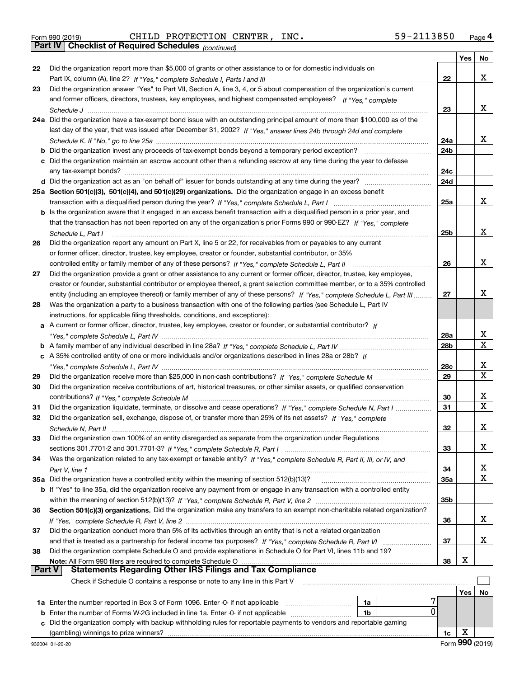|  | Form 990 (2019) |  |
|--|-----------------|--|
|  |                 |  |

Form 990 (2019) Page **4Part IV Checklist of Required Schedules** CHILD PROTECTION CENTER, INC. 59-2113850

*(continued)*

|        |                                                                                                                                                                                                             |                 | Yes | No          |
|--------|-------------------------------------------------------------------------------------------------------------------------------------------------------------------------------------------------------------|-----------------|-----|-------------|
| 22     | Did the organization report more than \$5,000 of grants or other assistance to or for domestic individuals on                                                                                               |                 |     |             |
|        |                                                                                                                                                                                                             | 22              |     | x           |
| 23     | Did the organization answer "Yes" to Part VII, Section A, line 3, 4, or 5 about compensation of the organization's current                                                                                  |                 |     |             |
|        | and former officers, directors, trustees, key employees, and highest compensated employees? If "Yes," complete                                                                                              |                 |     |             |
|        |                                                                                                                                                                                                             | 23              |     | x           |
|        | 24a Did the organization have a tax-exempt bond issue with an outstanding principal amount of more than \$100,000 as of the                                                                                 |                 |     |             |
|        | last day of the year, that was issued after December 31, 2002? If "Yes," answer lines 24b through 24d and complete                                                                                          |                 |     |             |
|        |                                                                                                                                                                                                             | 24a             |     | x           |
|        | <b>b</b> Did the organization invest any proceeds of tax-exempt bonds beyond a temporary period exception?                                                                                                  | 24 <sub>b</sub> |     |             |
|        | c Did the organization maintain an escrow account other than a refunding escrow at any time during the year to defease                                                                                      |                 |     |             |
|        | any tax-exempt bonds?                                                                                                                                                                                       | 24c             |     |             |
|        |                                                                                                                                                                                                             | 24d             |     |             |
|        | 25a Section 501(c)(3), 501(c)(4), and 501(c)(29) organizations. Did the organization engage in an excess benefit                                                                                            |                 |     |             |
|        |                                                                                                                                                                                                             | 25a             |     | x           |
|        | b Is the organization aware that it engaged in an excess benefit transaction with a disqualified person in a prior year, and                                                                                |                 |     |             |
|        | that the transaction has not been reported on any of the organization's prior Forms 990 or 990-EZ? If "Yes," complete                                                                                       |                 |     |             |
|        | Schedule L, Part I                                                                                                                                                                                          | 25b             |     | x           |
| 26     | Did the organization report any amount on Part X, line 5 or 22, for receivables from or payables to any current                                                                                             |                 |     |             |
|        | or former officer, director, trustee, key employee, creator or founder, substantial contributor, or 35%                                                                                                     |                 |     |             |
|        | controlled entity or family member of any of these persons? If "Yes," complete Schedule L, Part II                                                                                                          | 26              |     | x           |
| 27     | Did the organization provide a grant or other assistance to any current or former officer, director, trustee, key employee,                                                                                 |                 |     |             |
|        | creator or founder, substantial contributor or employee thereof, a grant selection committee member, or to a 35% controlled                                                                                 |                 |     |             |
|        | entity (including an employee thereof) or family member of any of these persons? If "Yes," complete Schedule L, Part III                                                                                    | 27              |     | x           |
| 28     | Was the organization a party to a business transaction with one of the following parties (see Schedule L, Part IV                                                                                           |                 |     |             |
|        | instructions, for applicable filing thresholds, conditions, and exceptions):                                                                                                                                |                 |     |             |
| a      | A current or former officer, director, trustee, key employee, creator or founder, or substantial contributor? If                                                                                            | 28a             |     | х           |
|        |                                                                                                                                                                                                             | 28 <sub>b</sub> |     | $\mathbf X$ |
|        | c A 35% controlled entity of one or more individuals and/or organizations described in lines 28a or 28b? If                                                                                                 |                 |     |             |
|        |                                                                                                                                                                                                             | 28c             |     | х           |
| 29     |                                                                                                                                                                                                             | 29              |     | X           |
| 30     | Did the organization receive contributions of art, historical treasures, or other similar assets, or qualified conservation                                                                                 |                 |     |             |
|        |                                                                                                                                                                                                             | 30              |     | х           |
| 31     | Did the organization liquidate, terminate, or dissolve and cease operations? If "Yes," complete Schedule N, Part I                                                                                          | 31              |     | X           |
| 32     | Did the organization sell, exchange, dispose of, or transfer more than 25% of its net assets? If "Yes," complete                                                                                            |                 |     |             |
|        |                                                                                                                                                                                                             | 32              |     | x           |
| 33     | Did the organization own 100% of an entity disregarded as separate from the organization under Regulations                                                                                                  |                 |     |             |
|        |                                                                                                                                                                                                             | 33              |     | x           |
| 34     | Was the organization related to any tax-exempt or taxable entity? If "Yes," complete Schedule R, Part II, III, or IV, and                                                                                   |                 |     |             |
|        |                                                                                                                                                                                                             | 34              |     | х           |
|        | 35a Did the organization have a controlled entity within the meaning of section 512(b)(13)?                                                                                                                 | 35a             |     | X           |
|        | b If "Yes" to line 35a, did the organization receive any payment from or engage in any transaction with a controlled entity                                                                                 |                 |     |             |
|        |                                                                                                                                                                                                             | 35b             |     |             |
| 36     | Section 501(c)(3) organizations. Did the organization make any transfers to an exempt non-charitable related organization?                                                                                  |                 |     |             |
|        |                                                                                                                                                                                                             | 36              |     | x           |
| 37     | Did the organization conduct more than 5% of its activities through an entity that is not a related organization                                                                                            |                 |     |             |
|        |                                                                                                                                                                                                             | 37              |     | x           |
| 38     | Did the organization complete Schedule O and provide explanations in Schedule O for Part VI, lines 11b and 19?                                                                                              |                 |     |             |
|        |                                                                                                                                                                                                             | 38              | х   |             |
| Part V | <b>Statements Regarding Other IRS Filings and Tax Compliance</b>                                                                                                                                            |                 |     |             |
|        | Check if Schedule O contains a response or note to any line in this Part V                                                                                                                                  |                 |     |             |
|        |                                                                                                                                                                                                             |                 | Yes | No          |
|        | 1a Enter the number reported in Box 3 of Form 1096. Enter -0- if not applicable<br>1a<br>0                                                                                                                  |                 |     |             |
| b      | Enter the number of Forms W-2G included in line 1a. Enter -0- if not applicable<br>1b<br>Did the organization comply with backup withholding rules for reportable payments to vendors and reportable gaming |                 |     |             |
| c      |                                                                                                                                                                                                             |                 | х   |             |
|        |                                                                                                                                                                                                             | 1c              |     |             |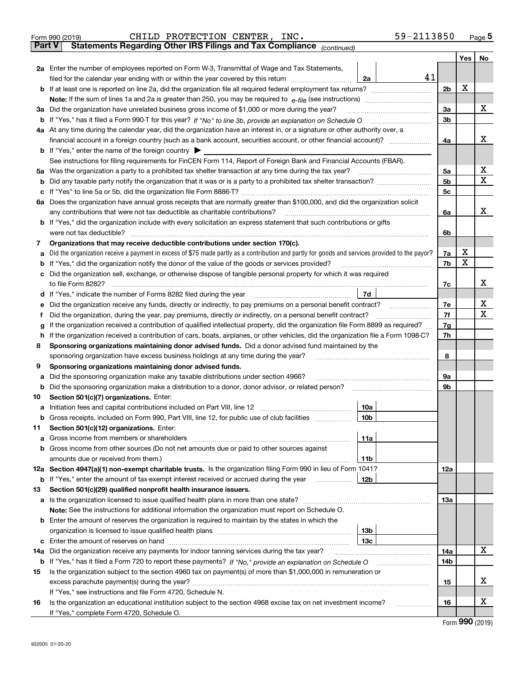|                                                                                        | 59-2113850<br>CHILD PROTECTION CENTER, INC.<br>Form 990 (2019)                                                                                                                                                                        |            |     | $_{\text{Page}}$ 5  |  |
|----------------------------------------------------------------------------------------|---------------------------------------------------------------------------------------------------------------------------------------------------------------------------------------------------------------------------------------|------------|-----|---------------------|--|
| Statements Regarding Other IRS Filings and Tax Compliance (continued)<br><b>Part V</b> |                                                                                                                                                                                                                                       |            |     |                     |  |
|                                                                                        |                                                                                                                                                                                                                                       |            | Yes | No                  |  |
|                                                                                        | 2a Enter the number of employees reported on Form W-3, Transmittal of Wage and Tax Statements,                                                                                                                                        |            |     |                     |  |
|                                                                                        | 41<br>filed for the calendar year ending with or within the year covered by this return<br>2a                                                                                                                                         |            |     |                     |  |
|                                                                                        |                                                                                                                                                                                                                                       | 2b         | х   |                     |  |
|                                                                                        |                                                                                                                                                                                                                                       |            |     |                     |  |
|                                                                                        | 3a Did the organization have unrelated business gross income of \$1,000 or more during the year?                                                                                                                                      | 3a         |     | х                   |  |
|                                                                                        |                                                                                                                                                                                                                                       | 3b         |     |                     |  |
|                                                                                        | 4a At any time during the calendar year, did the organization have an interest in, or a signature or other authority over, a                                                                                                          |            |     |                     |  |
|                                                                                        |                                                                                                                                                                                                                                       | 4a         |     | х                   |  |
|                                                                                        | <b>b</b> If "Yes," enter the name of the foreign country $\blacktriangleright$                                                                                                                                                        |            |     |                     |  |
|                                                                                        | See instructions for filing requirements for FinCEN Form 114, Report of Foreign Bank and Financial Accounts (FBAR).                                                                                                                   |            |     |                     |  |
|                                                                                        | 5a Was the organization a party to a prohibited tax shelter transaction at any time during the tax year?                                                                                                                              | 5а         |     | х                   |  |
| b                                                                                      |                                                                                                                                                                                                                                       | 5b         |     | х                   |  |
| с                                                                                      |                                                                                                                                                                                                                                       | 5c         |     |                     |  |
|                                                                                        | 6a Does the organization have annual gross receipts that are normally greater than \$100,000, and did the organization solicit                                                                                                        |            |     |                     |  |
|                                                                                        |                                                                                                                                                                                                                                       | 6a         |     | х                   |  |
|                                                                                        | <b>b</b> If "Yes," did the organization include with every solicitation an express statement that such contributions or gifts                                                                                                         |            |     |                     |  |
|                                                                                        |                                                                                                                                                                                                                                       | 6b         |     |                     |  |
| 7                                                                                      | Organizations that may receive deductible contributions under section 170(c).                                                                                                                                                         |            |     |                     |  |
| a                                                                                      | Did the organization receive a payment in excess of \$75 made partly as a contribution and partly for goods and services provided to the payor?                                                                                       | 7a         | х   |                     |  |
|                                                                                        | <b>b</b> If "Yes," did the organization notify the donor of the value of the goods or services provided?                                                                                                                              | 7b         | х   |                     |  |
|                                                                                        | c Did the organization sell, exchange, or otherwise dispose of tangible personal property for which it was required                                                                                                                   |            |     |                     |  |
|                                                                                        |                                                                                                                                                                                                                                       | 7c         |     | х                   |  |
|                                                                                        | 7d<br>d If "Yes," indicate the number of Forms 8282 filed during the year manufactured in the set of the set of the water                                                                                                             |            |     |                     |  |
| е                                                                                      | Did the organization receive any funds, directly or indirectly, to pay premiums on a personal benefit contract?                                                                                                                       | 7е         |     | х                   |  |
| f                                                                                      | Did the organization, during the year, pay premiums, directly or indirectly, on a personal benefit contract?                                                                                                                          | 7f         |     | х                   |  |
| g                                                                                      | If the organization received a contribution of qualified intellectual property, did the organization file Form 8899 as required?                                                                                                      |            |     |                     |  |
| h                                                                                      | If the organization received a contribution of cars, boats, airplanes, or other vehicles, did the organization file a Form 1098-C?                                                                                                    |            |     |                     |  |
| 8                                                                                      | Sponsoring organizations maintaining donor advised funds. Did a donor advised fund maintained by the                                                                                                                                  |            |     |                     |  |
|                                                                                        | sponsoring organization have excess business holdings at any time during the year?                                                                                                                                                    |            |     |                     |  |
| 9                                                                                      | Sponsoring organizations maintaining donor advised funds.                                                                                                                                                                             | 8          |     |                     |  |
| а                                                                                      | Did the sponsoring organization make any taxable distributions under section 4966?                                                                                                                                                    | 9а         |     |                     |  |
| b                                                                                      | Did the sponsoring organization make a distribution to a donor, donor advisor, or related person? [[[[[[[[[[[                                                                                                                         | 9b         |     |                     |  |
| 10                                                                                     | Section 501(c)(7) organizations. Enter:                                                                                                                                                                                               |            |     |                     |  |
|                                                                                        | a Initiation fees and capital contributions included on Part VIII, line 12 [111] [12] [11] [12] [11] [12] [11] [12] [11] [12] [11] [12] [11] [12] [11] [12] [11] [12] [11] [12] [11] [12] [11] [12] [11] [12] [11] [12] [11] [<br>10a |            |     |                     |  |
|                                                                                        | 10b <br>Gross receipts, included on Form 990, Part VIII, line 12, for public use of club facilities                                                                                                                                   |            |     |                     |  |
| 11                                                                                     | Section 501(c)(12) organizations. Enter:                                                                                                                                                                                              |            |     |                     |  |
| a                                                                                      | Gross income from members or shareholders<br>11a                                                                                                                                                                                      |            |     |                     |  |
|                                                                                        | b Gross income from other sources (Do not net amounts due or paid to other sources against                                                                                                                                            |            |     |                     |  |
|                                                                                        | amounts due or received from them.)<br>11b                                                                                                                                                                                            |            |     |                     |  |
|                                                                                        | 12a Section 4947(a)(1) non-exempt charitable trusts. Is the organization filing Form 990 in lieu of Form 1041?                                                                                                                        | <b>12a</b> |     |                     |  |
|                                                                                        | 12b<br><b>b</b> If "Yes," enter the amount of tax-exempt interest received or accrued during the year                                                                                                                                 |            |     |                     |  |
| 13                                                                                     | Section 501(c)(29) qualified nonprofit health insurance issuers.                                                                                                                                                                      |            |     |                     |  |
|                                                                                        | <b>a</b> Is the organization licensed to issue qualified health plans in more than one state?                                                                                                                                         | 13a        |     |                     |  |
|                                                                                        | Note: See the instructions for additional information the organization must report on Schedule O.                                                                                                                                     |            |     |                     |  |
|                                                                                        | <b>b</b> Enter the amount of reserves the organization is required to maintain by the states in which the                                                                                                                             |            |     |                     |  |
|                                                                                        | 13b                                                                                                                                                                                                                                   |            |     |                     |  |
|                                                                                        | 13с                                                                                                                                                                                                                                   |            |     |                     |  |
|                                                                                        | 14a Did the organization receive any payments for indoor tanning services during the tax year?                                                                                                                                        | 14a        |     | х                   |  |
|                                                                                        | <b>b</b> If "Yes," has it filed a Form 720 to report these payments? If "No," provide an explanation on Schedule O                                                                                                                    | 14b        |     |                     |  |
| 15                                                                                     | Is the organization subject to the section 4960 tax on payment(s) of more than \$1,000,000 in remuneration or                                                                                                                         |            |     |                     |  |
|                                                                                        |                                                                                                                                                                                                                                       |            |     | х                   |  |
|                                                                                        | If "Yes," see instructions and file Form 4720, Schedule N.                                                                                                                                                                            | 15         |     |                     |  |
| 16                                                                                     | Is the organization an educational institution subject to the section 4968 excise tax on net investment income?                                                                                                                       | 16         |     | х                   |  |
|                                                                                        | If "Yes," complete Form 4720, Schedule O.                                                                                                                                                                                             |            |     |                     |  |
|                                                                                        |                                                                                                                                                                                                                                       |            |     | $000 \text{ hours}$ |  |

| Form 990 (2019) |  |  |
|-----------------|--|--|
|-----------------|--|--|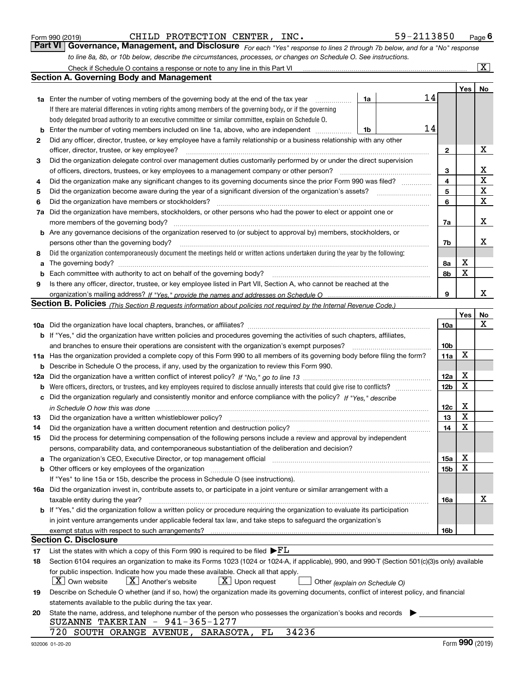CHILD PROTECTION CENTER, INC. 59-2113850

*For each "Yes" response to lines 2 through 7b below, and for a "No" response to line 8a, 8b, or 10b below, describe the circumstances, processes, or changes on Schedule O. See instructions.* Form 990 (2019) **CHILD PROTECTION CENTER, INC.** 59-2113850 Page 6<br>**Part VI Governance, Management, and Disclosure** For each "Yes" response to lines 2 through 7b below, and for a "No" response

|    | Check if Schedule O contains a response or note to any line in this Part VI                                                                                           |                 |     | $\boxed{\text{X}}$ |
|----|-----------------------------------------------------------------------------------------------------------------------------------------------------------------------|-----------------|-----|--------------------|
|    | Section A. Governing Body and Management                                                                                                                              |                 |     |                    |
|    |                                                                                                                                                                       |                 | Yes | No                 |
|    | 14<br>1a Enter the number of voting members of the governing body at the end of the tax year<br>1a                                                                    |                 |     |                    |
|    | If there are material differences in voting rights among members of the governing body, or if the governing                                                           |                 |     |                    |
|    | body delegated broad authority to an executive committee or similar committee, explain on Schedule O.                                                                 |                 |     |                    |
| b  | 14<br>Enter the number of voting members included on line 1a, above, who are independent<br>1b                                                                        |                 |     |                    |
| 2  | Did any officer, director, trustee, or key employee have a family relationship or a business relationship with any other                                              |                 |     |                    |
|    | officer, director, trustee, or key employee?                                                                                                                          | 2               |     | х                  |
| 3  | Did the organization delegate control over management duties customarily performed by or under the direct supervision                                                 |                 |     |                    |
|    | of officers, directors, trustees, or key employees to a management company or other person?                                                                           |                 |     | х                  |
| 4  | Did the organization make any significant changes to its governing documents since the prior Form 990 was filed?                                                      | 4               |     | $\mathbf X$        |
| 5  |                                                                                                                                                                       | 5               |     | $\mathbf X$        |
| 6  | Did the organization have members or stockholders?                                                                                                                    | 6               |     | $\mathbf X$        |
| 7a | Did the organization have members, stockholders, or other persons who had the power to elect or appoint one or                                                        |                 |     |                    |
|    | more members of the governing body?                                                                                                                                   | 7a              |     | х                  |
|    | <b>b</b> Are any governance decisions of the organization reserved to (or subject to approval by) members, stockholders, or                                           |                 |     |                    |
|    | persons other than the governing body?                                                                                                                                | 7b              |     | х                  |
| 8  | Did the organization contemporaneously document the meetings held or written actions undertaken during the year by the following:                                     |                 |     |                    |
| a  |                                                                                                                                                                       | 8a              | Х   |                    |
| b  |                                                                                                                                                                       | 8b              | X   |                    |
| 9  | Is there any officer, director, trustee, or key employee listed in Part VII, Section A, who cannot be reached at the                                                  |                 |     |                    |
|    |                                                                                                                                                                       | 9               |     | x                  |
|    | <b>Section B. Policies</b> (This Section B requests information about policies not required by the Internal Revenue Code.)                                            |                 |     |                    |
|    |                                                                                                                                                                       |                 | Yes | No                 |
|    |                                                                                                                                                                       | 10a             |     | x                  |
|    | <b>b</b> If "Yes," did the organization have written policies and procedures governing the activities of such chapters, affiliates,                                   |                 |     |                    |
|    | and branches to ensure their operations are consistent with the organization's exempt purposes?                                                                       | 10 <sub>b</sub> |     |                    |
|    | 11a Has the organization provided a complete copy of this Form 990 to all members of its governing body before filing the form?                                       | 11a             | X   |                    |
| b  | Describe in Schedule O the process, if any, used by the organization to review this Form 990.                                                                         |                 |     |                    |
|    |                                                                                                                                                                       | 12a             | х   |                    |
| b  |                                                                                                                                                                       |                 |     |                    |
| c  | Did the organization regularly and consistently monitor and enforce compliance with the policy? If "Yes." describe                                                    |                 |     |                    |
|    | in Schedule O how this was done www.communication.com/www.communications.com/www.communications.com/                                                                  | 12c             | х   |                    |
| 13 | Did the organization have a written whistleblower policy?                                                                                                             | 13              | X   |                    |
| 14 | Did the organization have a written document retention and destruction policy?                                                                                        | 14              | X   |                    |
| 15 | Did the process for determining compensation of the following persons include a review and approval by independent                                                    |                 |     |                    |
|    | persons, comparability data, and contemporaneous substantiation of the deliberation and decision?                                                                     |                 |     |                    |
| a  | The organization's CEO, Executive Director, or top management official manufactured content of the organization's CEO, Executive Director, or top management official | 15a             | х   |                    |
|    |                                                                                                                                                                       | 15b             | х   |                    |
|    | If "Yes" to line 15a or 15b, describe the process in Schedule O (see instructions).                                                                                   |                 |     |                    |
|    | 16a Did the organization invest in, contribute assets to, or participate in a joint venture or similar arrangement with a                                             |                 |     |                    |
|    | taxable entity during the year?                                                                                                                                       | 16a             |     | х                  |
|    | b If "Yes," did the organization follow a written policy or procedure requiring the organization to evaluate its participation                                        |                 |     |                    |
|    | in joint venture arrangements under applicable federal tax law, and take steps to safeguard the organization's                                                        |                 |     |                    |
|    | exempt status with respect to such arrangements?                                                                                                                      | 16b             |     |                    |
|    | <b>Section C. Disclosure</b>                                                                                                                                          |                 |     |                    |
| 17 | List the states with which a copy of this Form 990 is required to be filed $\blacktriangleright$ $FL$                                                                 |                 |     |                    |
| 18 | Section 6104 requires an organization to make its Forms 1023 (1024 or 1024-A, if applicable), 990, and 990-T (Section 501(c)(3)s only) available                      |                 |     |                    |
|    | for public inspection. Indicate how you made these available. Check all that apply.                                                                                   |                 |     |                    |
|    | $X$ Own website<br>$X$ Another's website<br>$X$ Upon request<br>Other (explain on Schedule O)                                                                         |                 |     |                    |
| 19 | Describe on Schedule O whether (and if so, how) the organization made its governing documents, conflict of interest policy, and financial                             |                 |     |                    |
|    | statements available to the public during the tax year.                                                                                                               |                 |     |                    |
| 20 | State the name, address, and telephone number of the person who possesses the organization's books and records                                                        |                 |     |                    |
|    | SUZANNE TAKERIAN $-$ 941-365-1277                                                                                                                                     |                 |     |                    |
|    | 720 SOUTH ORANGE AVENUE, SARASOTA,<br>34236<br>FL                                                                                                                     |                 |     |                    |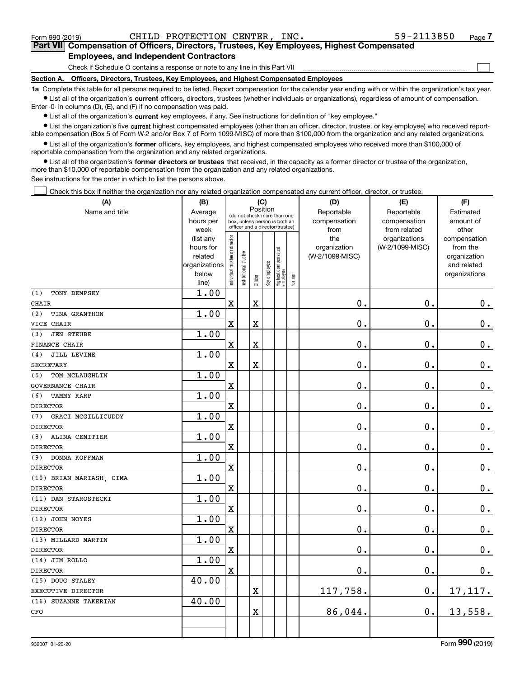| Form 990 (2019)                                                                                                                                           | CHILD PROTECTION CENTER,<br>INC.                                                           | 59-2113850 | Page <sup>7</sup> |  |  |  |
|-----------------------------------------------------------------------------------------------------------------------------------------------------------|--------------------------------------------------------------------------------------------|------------|-------------------|--|--|--|
|                                                                                                                                                           | Part VII Compensation of Officers, Directors, Trustees, Key Employees, Highest Compensated |            |                   |  |  |  |
| <b>Employees, and Independent Contractors</b>                                                                                                             |                                                                                            |            |                   |  |  |  |
|                                                                                                                                                           | Check if Schedule O contains a response or note to any line in this Part VII               |            |                   |  |  |  |
| Section A.                                                                                                                                                | Officers, Directors, Trustees, Key Employees, and Highest Compensated Employees            |            |                   |  |  |  |
| to Complete this table for all persons required to be listed. Penart compensation for the calendar vear ending with or within the examization's tax vear. |                                                                                            |            |                   |  |  |  |

**1a •** List all of the organization's current officers, directors, trustees (whether individuals or organizations), regardless of amount of compensation. tble for all persons required to be listed. Report compensation for the calendar year ending with or within the organiz Enter -0- in columns (D), (E), and (F) if no compensation was paid.

 $\bullet$  List all of the organization's  $\,$ current key employees, if any. See instructions for definition of "key employee."

**•** List the organization's five current highest compensated employees (other than an officer, director, trustee, or key employee) who received reportable compensation (Box 5 of Form W-2 and/or Box 7 of Form 1099-MISC) of more than \$100,000 from the organization and any related organizations.

**•** List all of the organization's former officers, key employees, and highest compensated employees who received more than \$100,000 of reportable compensation from the organization and any related organizations.

**former directors or trustees**  ¥ List all of the organization's that received, in the capacity as a former director or trustee of the organization, more than \$10,000 of reportable compensation from the organization and any related organizations.

See instructions for the order in which to list the persons above.

Check this box if neither the organization nor any related organization compensated any current officer, director, or trustee.  $\mathcal{L}^{\text{max}}$ 

| (A)                       | (B)                    |                                |                       | (C)         |              |                                   |        | (D)             | (E)             | (F)                          |
|---------------------------|------------------------|--------------------------------|-----------------------|-------------|--------------|-----------------------------------|--------|-----------------|-----------------|------------------------------|
| Name and title            | Average                |                                |                       | Position    |              | (do not check more than one       |        | Reportable      | Reportable      | Estimated                    |
|                           | hours per              |                                |                       |             |              | box, unless person is both an     |        | compensation    | compensation    | amount of                    |
|                           | week                   |                                |                       |             |              | officer and a director/trustee)   |        | from            | from related    | other                        |
|                           | (list any              |                                |                       |             |              |                                   |        | the             | organizations   | compensation                 |
|                           | hours for              |                                |                       |             |              |                                   |        | organization    | (W-2/1099-MISC) | from the                     |
|                           | related                |                                |                       |             |              |                                   |        | (W-2/1099-MISC) |                 | organization                 |
|                           | organizations<br>below |                                |                       |             |              |                                   |        |                 |                 | and related<br>organizations |
|                           | line)                  | Individual trustee or director | Institutional trustee | Officer     | Key employee | Highest compensated<br>  employee | Former |                 |                 |                              |
| TONY DEMPSEY<br>(1)       | 1.00                   |                                |                       |             |              |                                   |        |                 |                 |                              |
| <b>CHAIR</b>              |                        | $\mathbf x$                    |                       | $\mathbf X$ |              |                                   |        | $\mathbf 0$ .   | $\mathbf 0$ .   | $\mathbf 0$ .                |
| (2)<br>TINA GRANTHON      | 1.00                   |                                |                       |             |              |                                   |        |                 |                 |                              |
| VICE CHAIR                |                        | $\mathbf X$                    |                       | X           |              |                                   |        | $\mathbf 0$ .   | $\mathbf 0$ .   | $\mathbf 0$ .                |
| <b>JEN STEUBE</b><br>(3)  | 1.00                   |                                |                       |             |              |                                   |        |                 |                 |                              |
| <b>FINANCE CHAIR</b>      |                        | $\mathbf X$                    |                       | X           |              |                                   |        | 0.              | $\mathbf 0$ .   | $\mathbf 0$ .                |
| JILL LEVINE<br>(4)        | 1.00                   |                                |                       |             |              |                                   |        |                 |                 |                              |
| <b>SECRETARY</b>          |                        | $\mathbf X$                    |                       | X           |              |                                   |        | 0.              | $\mathbf 0$ .   | $0_{.}$                      |
| TOM MCLAUGHLIN<br>(5)     | 1.00                   |                                |                       |             |              |                                   |        |                 |                 |                              |
| <b>GOVERNANCE CHAIR</b>   |                        | $\mathbf X$                    |                       |             |              |                                   |        | $\mathbf 0$ .   | $\mathbf 0$ .   | $\mathbf 0$ .                |
| (6)<br><b>TAMMY KARP</b>  | 1.00                   |                                |                       |             |              |                                   |        |                 |                 |                              |
| <b>DIRECTOR</b>           |                        | $\mathbf X$                    |                       |             |              |                                   |        | $\mathbf 0$ .   | $\mathbf 0$ .   | $\mathbf 0$ .                |
| GRACI MCGILLICUDDY<br>(7) | 1.00                   |                                |                       |             |              |                                   |        |                 |                 |                              |
| <b>DIRECTOR</b>           |                        | $\mathbf X$                    |                       |             |              |                                   |        | 0.              | $\mathbf 0$ .   | 0.                           |
| ALINA CEMITIER<br>(8)     | 1.00                   |                                |                       |             |              |                                   |        |                 |                 |                              |
| <b>DIRECTOR</b>           |                        | $\mathbf X$                    |                       |             |              |                                   |        | 0.              | $\mathbf 0$ .   | $0_{.}$                      |
| DONNA KOFFMAN<br>(9)      | 1.00                   |                                |                       |             |              |                                   |        |                 |                 |                              |
| <b>DIRECTOR</b>           |                        | $\mathbf X$                    |                       |             |              |                                   |        | $\mathbf 0$ .   | $\mathbf 0$ .   | $\mathbf 0$ .                |
| (10) BRIAN MARIASH, CIMA  | 1.00                   |                                |                       |             |              |                                   |        |                 |                 |                              |
| <b>DIRECTOR</b>           |                        | $\mathbf X$                    |                       |             |              |                                   |        | 0.              | 0.              | $\mathbf 0$ .                |
| (11) DAN STAROSTECKI      | 1.00                   |                                |                       |             |              |                                   |        |                 |                 |                              |
| <b>DIRECTOR</b>           |                        | $\mathbf X$                    |                       |             |              |                                   |        | $\mathbf{0}$ .  | $\mathbf 0$ .   | $\mathbf 0$ .                |
| (12) JOHN NOYES           | 1.00                   |                                |                       |             |              |                                   |        |                 |                 |                              |
| <b>DIRECTOR</b>           |                        | $\mathbf X$                    |                       |             |              |                                   |        | $\mathbf 0$ .   | $\mathbf 0$ .   | $\mathbf 0$ .                |
| (13) MILLARD MARTIN       | 1.00                   |                                |                       |             |              |                                   |        |                 |                 |                              |
| <b>DIRECTOR</b>           |                        | $\mathbf X$                    |                       |             |              |                                   |        | $\mathbf 0$ .   | $\mathbf 0$ .   | $0_{.}$                      |
| (14) JIM ROLLO            | 1.00                   |                                |                       |             |              |                                   |        |                 |                 |                              |
| <b>DIRECTOR</b>           |                        | $\mathbf X$                    |                       |             |              |                                   |        | $\mathbf 0$ .   | $\mathbf 0$ .   | 0.                           |
| (15) DOUG STALEY          | 40.00                  |                                |                       |             |              |                                   |        |                 |                 |                              |
| EXECUTIVE DIRECTOR        |                        |                                |                       | X           |              |                                   |        | 117,758.        | $\mathbf 0$ .   | 17, 117.                     |
| (16) SUZANNE TAKERIAN     | 40.00                  |                                |                       |             |              |                                   |        |                 |                 |                              |
| CFO                       |                        |                                |                       | X           |              |                                   |        | 86,044.         | 0.              | 13,558.                      |
|                           |                        |                                |                       |             |              |                                   |        |                 |                 |                              |
|                           |                        |                                |                       |             |              |                                   |        |                 |                 |                              |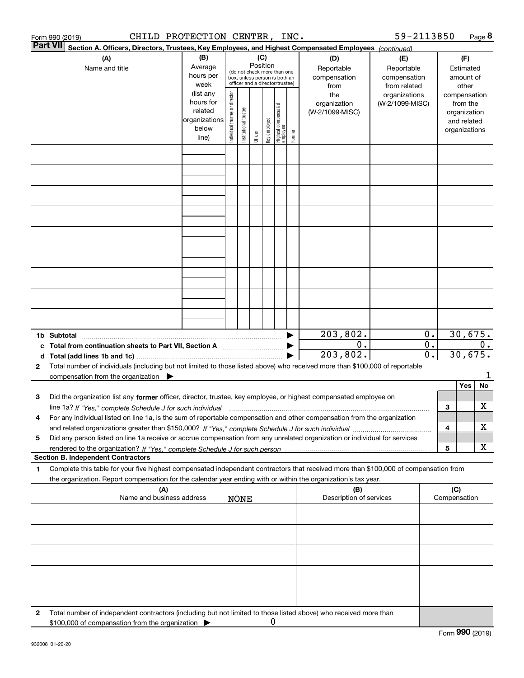|              | CHILD PROTECTION CENTER, INC.<br>Form 990 (2019)                                                                                                                    |                                                         |                                |                       |                 |              |                                                                                                 |        |                                                  | 59-2113850                                                         |                        |     |                                                          | Page 8 |
|--------------|---------------------------------------------------------------------------------------------------------------------------------------------------------------------|---------------------------------------------------------|--------------------------------|-----------------------|-----------------|--------------|-------------------------------------------------------------------------------------------------|--------|--------------------------------------------------|--------------------------------------------------------------------|------------------------|-----|----------------------------------------------------------|--------|
|              | <b>Part VII</b><br>Section A. Officers, Directors, Trustees, Key Employees, and Highest Compensated Employees (continued)                                           |                                                         |                                |                       |                 |              |                                                                                                 |        |                                                  |                                                                    |                        |     |                                                          |        |
|              | (A)<br>Name and title                                                                                                                                               | (B)<br>Average<br>hours per<br>week<br>(list any        |                                |                       | (C)<br>Position |              | (do not check more than one<br>box, unless person is both an<br>officer and a director/trustee) |        | (D)<br>Reportable<br>compensation<br>from<br>the | (E)<br>Reportable<br>compensation<br>from related<br>organizations |                        |     | (F)<br>Estimated<br>amount of<br>other<br>compensation   |        |
|              |                                                                                                                                                                     | hours for<br>related<br>organizations<br>below<br>line) | Individual trustee or director | Institutional trustee | Officer         | Key employee | Highest compensated<br>  employee                                                               | Former | organization<br>(W-2/1099-MISC)                  | (W-2/1099-MISC)                                                    |                        |     | from the<br>organization<br>and related<br>organizations |        |
|              |                                                                                                                                                                     |                                                         |                                |                       |                 |              |                                                                                                 |        |                                                  |                                                                    |                        |     |                                                          |        |
|              |                                                                                                                                                                     |                                                         |                                |                       |                 |              |                                                                                                 |        |                                                  |                                                                    |                        |     |                                                          |        |
|              |                                                                                                                                                                     |                                                         |                                |                       |                 |              |                                                                                                 |        |                                                  |                                                                    |                        |     |                                                          |        |
|              |                                                                                                                                                                     |                                                         |                                |                       |                 |              |                                                                                                 |        |                                                  |                                                                    |                        |     |                                                          |        |
|              |                                                                                                                                                                     |                                                         |                                |                       |                 |              |                                                                                                 |        |                                                  |                                                                    |                        |     |                                                          |        |
|              |                                                                                                                                                                     |                                                         |                                |                       |                 |              |                                                                                                 |        |                                                  |                                                                    |                        |     |                                                          |        |
|              |                                                                                                                                                                     |                                                         |                                |                       |                 |              |                                                                                                 |        |                                                  |                                                                    |                        |     |                                                          |        |
|              |                                                                                                                                                                     |                                                         |                                |                       |                 |              |                                                                                                 |        |                                                  |                                                                    |                        |     |                                                          |        |
|              |                                                                                                                                                                     |                                                         |                                |                       |                 |              |                                                                                                 |        |                                                  |                                                                    |                        |     |                                                          |        |
|              | 1b Subtotal                                                                                                                                                         |                                                         |                                |                       |                 |              |                                                                                                 |        | 203,802.                                         |                                                                    | 0.                     |     | 30,675.                                                  |        |
|              | c Total from continuation sheets to Part VII, Section A [111] [120] [20]                                                                                            |                                                         |                                |                       |                 |              |                                                                                                 |        | $0$ .<br>203,802.                                |                                                                    | О.<br>$\overline{0}$ . |     | 30,675.                                                  | $0$ .  |
| $\mathbf{2}$ | Total number of individuals (including but not limited to those listed above) who received more than \$100,000 of reportable                                        |                                                         |                                |                       |                 |              |                                                                                                 |        |                                                  |                                                                    |                        |     |                                                          |        |
|              | compensation from the organization $\blacktriangleright$                                                                                                            |                                                         |                                |                       |                 |              |                                                                                                 |        |                                                  |                                                                    |                        |     |                                                          | ı      |
|              |                                                                                                                                                                     |                                                         |                                |                       |                 |              |                                                                                                 |        |                                                  |                                                                    |                        |     | Yes                                                      | No     |
| 3            | Did the organization list any former officer, director, trustee, key employee, or highest compensated employee on                                                   |                                                         |                                |                       |                 |              |                                                                                                 |        |                                                  |                                                                    |                        | З   |                                                          | х      |
| 4            | For any individual listed on line 1a, is the sum of reportable compensation and other compensation from the organization                                            |                                                         |                                |                       |                 |              |                                                                                                 |        |                                                  |                                                                    |                        | 4   |                                                          | х      |
| 5            | Did any person listed on line 1a receive or accrue compensation from any unrelated organization or individual for services                                          |                                                         |                                |                       |                 |              |                                                                                                 |        |                                                  |                                                                    |                        |     |                                                          |        |
|              | <b>Section B. Independent Contractors</b>                                                                                                                           |                                                         |                                |                       |                 |              |                                                                                                 |        |                                                  |                                                                    |                        | 5   |                                                          | х      |
| 1            | Complete this table for your five highest compensated independent contractors that received more than \$100,000 of compensation from                                |                                                         |                                |                       |                 |              |                                                                                                 |        |                                                  |                                                                    |                        |     |                                                          |        |
|              | the organization. Report compensation for the calendar year ending with or within the organization's tax year.<br>(A)                                               |                                                         |                                |                       |                 |              |                                                                                                 |        | (B)                                              |                                                                    |                        | (C) |                                                          |        |
|              | Name and business address<br>Description of services<br>Compensation<br><b>NONE</b>                                                                                 |                                                         |                                |                       |                 |              |                                                                                                 |        |                                                  |                                                                    |                        |     |                                                          |        |
|              |                                                                                                                                                                     |                                                         |                                |                       |                 |              |                                                                                                 |        |                                                  |                                                                    |                        |     |                                                          |        |
|              |                                                                                                                                                                     |                                                         |                                |                       |                 |              |                                                                                                 |        |                                                  |                                                                    |                        |     |                                                          |        |
|              |                                                                                                                                                                     |                                                         |                                |                       |                 |              |                                                                                                 |        |                                                  |                                                                    |                        |     |                                                          |        |
|              |                                                                                                                                                                     |                                                         |                                |                       |                 |              |                                                                                                 |        |                                                  |                                                                    |                        |     |                                                          |        |
| 2            | Total number of independent contractors (including but not limited to those listed above) who received more than<br>\$100,000 of compensation from the organization |                                                         |                                |                       |                 | 0            |                                                                                                 |        |                                                  |                                                                    |                        |     |                                                          |        |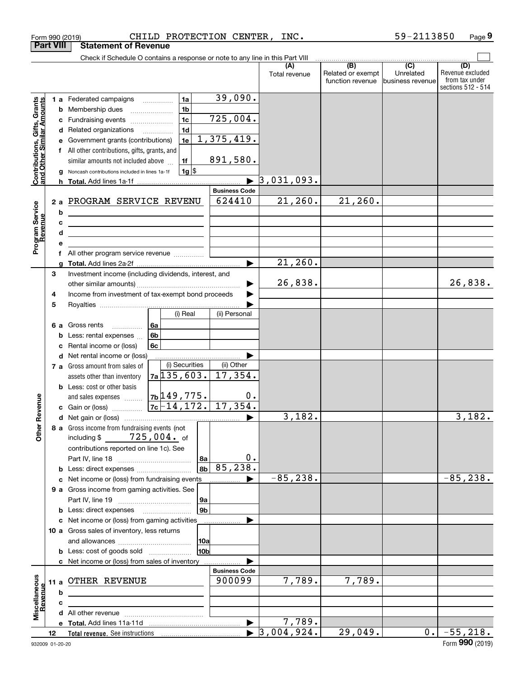|                                                                                         | <b>Part VIII</b>                          | <b>Statement of Revenue</b>                                                                                                                                                                                                                                                                                                                                                                                                                                                                                                      |                                                                                                                         |                                                                                 |                                        |                                              |                                                 |                                                                 |
|-----------------------------------------------------------------------------------------|-------------------------------------------|----------------------------------------------------------------------------------------------------------------------------------------------------------------------------------------------------------------------------------------------------------------------------------------------------------------------------------------------------------------------------------------------------------------------------------------------------------------------------------------------------------------------------------|-------------------------------------------------------------------------------------------------------------------------|---------------------------------------------------------------------------------|----------------------------------------|----------------------------------------------|-------------------------------------------------|-----------------------------------------------------------------|
|                                                                                         |                                           | Check if Schedule O contains a response or note to any line in this Part VIII                                                                                                                                                                                                                                                                                                                                                                                                                                                    |                                                                                                                         |                                                                                 |                                        |                                              |                                                 |                                                                 |
|                                                                                         |                                           |                                                                                                                                                                                                                                                                                                                                                                                                                                                                                                                                  |                                                                                                                         |                                                                                 | (A)<br>Total revenue                   | (B)<br>Related or exempt<br>function revenue | $\overline{C}$<br>Unrelated<br>business revenue | (D)<br>Revenue excluded<br>from tax under<br>sections 512 - 514 |
| Contributions, Gifts, Grants<br>and Other Similar Amounts<br>Program Service<br>Revenue | с<br>d<br>е<br>f<br>b<br>c<br>d<br>е<br>f | 1 a Federated campaigns<br><b>b</b> Membership dues<br>Fundraising events<br>Related organizations<br>Government grants (contributions)<br>All other contributions, gifts, grants, and<br>similar amounts not included above<br>Noncash contributions included in lines 1a-1f<br>2 a PROGRAM SERVICE REVENU<br><u> 1989 - Johann Barn, mars eta bainar eta idazlea (</u><br><u> 1989 - Johann Barn, mars et al. (b. 1989)</u><br><u> 1989 - Johann Stein, mars an de Brasilia (b. 1989)</u><br>All other program service revenue | 1a<br>1 <sub>b</sub><br>$\ldots \ldots \ldots \ldots \ldots$<br>1 <sub>c</sub><br>1 <sub>d</sub><br>1e<br>1f<br>$1g$ \$ | 39,090.<br>725,004.<br>1,375,419.<br>891,580.<br><b>Business Code</b><br>624410 | $\overline{3}$ , 031, 093.<br>21, 260. | 21, 260.                                     |                                                 |                                                                 |
|                                                                                         |                                           |                                                                                                                                                                                                                                                                                                                                                                                                                                                                                                                                  |                                                                                                                         |                                                                                 | 21,260.                                |                                              |                                                 |                                                                 |
|                                                                                         | 3<br>4<br>5                               | Investment income (including dividends, interest, and<br>Income from investment of tax-exempt bond proceeds                                                                                                                                                                                                                                                                                                                                                                                                                      |                                                                                                                         |                                                                                 | 26,838.                                |                                              |                                                 | 26,838.                                                         |
|                                                                                         | 6а<br>b<br>c                              | Gross rents<br>Less: rental expenses<br>Rental income or (loss)                                                                                                                                                                                                                                                                                                                                                                                                                                                                  | (i) Real<br>  6a<br>6 <sub>b</sub><br>6c                                                                                | (ii) Personal                                                                   |                                        |                                              |                                                 |                                                                 |
|                                                                                         | d                                         | Net rental income or (loss)                                                                                                                                                                                                                                                                                                                                                                                                                                                                                                      |                                                                                                                         |                                                                                 |                                        |                                              |                                                 |                                                                 |
|                                                                                         |                                           | 7 a Gross amount from sales of                                                                                                                                                                                                                                                                                                                                                                                                                                                                                                   | (i) Securities                                                                                                          | (ii) Other                                                                      |                                        |                                              |                                                 |                                                                 |
| Revenue                                                                                 |                                           | assets other than inventory<br><b>b</b> Less: cost or other basis<br>and sales expenses                                                                                                                                                                                                                                                                                                                                                                                                                                          | $7a$ 135,603.<br><u>7b 149, 775.</u>                                                                                    | 17,354.<br>$0$ .                                                                |                                        |                                              |                                                 |                                                                 |
|                                                                                         |                                           |                                                                                                                                                                                                                                                                                                                                                                                                                                                                                                                                  |                                                                                                                         |                                                                                 | 3,182.                                 |                                              |                                                 | 3,182.                                                          |
| <b>Othe</b>                                                                             |                                           | 8 a Gross income from fundraising events (not<br>including \$<br>contributions reported on line 1c). See                                                                                                                                                                                                                                                                                                                                                                                                                         | 725,004. of<br>  8a<br>8b                                                                                               | 0.<br>85,238.                                                                   |                                        |                                              |                                                 |                                                                 |
|                                                                                         |                                           | c Net income or (loss) from fundraising events                                                                                                                                                                                                                                                                                                                                                                                                                                                                                   |                                                                                                                         |                                                                                 | $-85, 238.$                            |                                              |                                                 | $-85, 238.$                                                     |
|                                                                                         |                                           | 9 a Gross income from gaming activities. See                                                                                                                                                                                                                                                                                                                                                                                                                                                                                     | 9a<br>9b                                                                                                                |                                                                                 |                                        |                                              |                                                 |                                                                 |
|                                                                                         |                                           | c Net income or (loss) from gaming activities                                                                                                                                                                                                                                                                                                                                                                                                                                                                                    |                                                                                                                         |                                                                                 |                                        |                                              |                                                 |                                                                 |
|                                                                                         |                                           | 10 a Gross sales of inventory, less returns                                                                                                                                                                                                                                                                                                                                                                                                                                                                                      | 10a<br>10b                                                                                                              |                                                                                 |                                        |                                              |                                                 |                                                                 |
|                                                                                         |                                           | <b>b</b> Less: cost of goods sold<br>c Net income or (loss) from sales of inventory                                                                                                                                                                                                                                                                                                                                                                                                                                              |                                                                                                                         |                                                                                 |                                        |                                              |                                                 |                                                                 |
| Miscellaneous                                                                           |                                           | 11 a OTHER REVENUE                                                                                                                                                                                                                                                                                                                                                                                                                                                                                                               |                                                                                                                         | <b>Business Code</b><br>900099                                                  | 7,789.                                 | 7,789.                                       |                                                 |                                                                 |
| Revenue                                                                                 | b                                         |                                                                                                                                                                                                                                                                                                                                                                                                                                                                                                                                  |                                                                                                                         |                                                                                 |                                        |                                              |                                                 |                                                                 |
|                                                                                         | c                                         |                                                                                                                                                                                                                                                                                                                                                                                                                                                                                                                                  |                                                                                                                         |                                                                                 |                                        |                                              |                                                 |                                                                 |
|                                                                                         |                                           |                                                                                                                                                                                                                                                                                                                                                                                                                                                                                                                                  |                                                                                                                         |                                                                                 | 7,789.                                 |                                              |                                                 |                                                                 |
|                                                                                         | 12                                        |                                                                                                                                                                                                                                                                                                                                                                                                                                                                                                                                  |                                                                                                                         |                                                                                 | $\blacktriangleright$ 3,004,924.       | 29,049.                                      | 0.1                                             | $-55,218.$                                                      |
|                                                                                         |                                           |                                                                                                                                                                                                                                                                                                                                                                                                                                                                                                                                  |                                                                                                                         |                                                                                 |                                        |                                              |                                                 |                                                                 |

Form 990 (2019) Page CHILD PROTECTION CENTER, INC. 59-2113850

**9**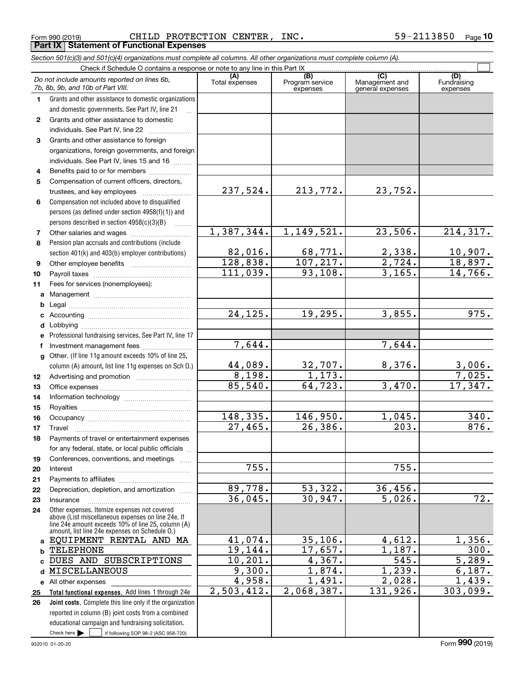**25 26**

Check here  $\begin{array}{|c|c|c|c|c|}\hline \text{ } & \text{ if following SOP 98-2 (ASC 958-720)} \hline \end{array}$ 

reported in column (B) joint costs from a combined educational campaign and fundraising solicitation.

**Total functional expenses.**  Add lines 1 through 24e **Joint costs.** Complete this line only if the organization

**d**MISCELLANEOUS **e** All other expenses

|              | Form 990 (2019)<br><b>Statement of Functional Expenses</b>                                                                                                 | CHILD PROTECTION CENTER, | INC.                                |                       | 59-2113850<br>$P_{\text{aqe}}$ 10 |
|--------------|------------------------------------------------------------------------------------------------------------------------------------------------------------|--------------------------|-------------------------------------|-----------------------|-----------------------------------|
|              | <b>Part IX</b><br>Section 501(c)(3) and 501(c)(4) organizations must complete all columns. All other organizations must complete column (A).               |                          |                                     |                       |                                   |
|              | Check if Schedule O contains a response or note to any line in this Part IX                                                                                |                          |                                     |                       |                                   |
|              | Do not include amounts reported on lines 6b,                                                                                                               | (A)<br>Total expenses    | $\overline{(B)}$<br>Program service | (C)<br>Management and | (D)<br>Fundraising                |
|              | 7b, 8b, 9b, and 10b of Part VIII.                                                                                                                          |                          | expenses                            | general expenses      | expenses                          |
| 1.           | Grants and other assistance to domestic organizations<br>and domestic governments. See Part IV, line 21                                                    |                          |                                     |                       |                                   |
| $\mathbf{2}$ | Grants and other assistance to domestic                                                                                                                    |                          |                                     |                       |                                   |
|              | individuals. See Part IV, line 22                                                                                                                          |                          |                                     |                       |                                   |
| 3            | Grants and other assistance to foreign                                                                                                                     |                          |                                     |                       |                                   |
|              | organizations, foreign governments, and foreign                                                                                                            |                          |                                     |                       |                                   |
|              | individuals. See Part IV, lines 15 and 16                                                                                                                  |                          |                                     |                       |                                   |
| 4            | Benefits paid to or for members                                                                                                                            |                          |                                     |                       |                                   |
| 5            | Compensation of current officers, directors,<br>trustees, and key employees                                                                                | 237,524.                 | 213,772.                            | 23,752.               |                                   |
| 6            | Compensation not included above to disqualified                                                                                                            |                          |                                     |                       |                                   |
|              | persons (as defined under section 4958(f)(1)) and                                                                                                          |                          |                                     |                       |                                   |
|              | persons described in section 4958(c)(3)(B)                                                                                                                 |                          |                                     |                       |                                   |
| 7            |                                                                                                                                                            | 1,387,344.               | 1,149,521.                          | 23,506.               | 214, 317.                         |
| 8            | Pension plan accruals and contributions (include                                                                                                           |                          |                                     |                       |                                   |
|              | section 401(k) and 403(b) employer contributions)                                                                                                          | 82,016.<br>128,838.      | 68,771.<br>107, 217.                | 2,338.<br>2,724.      | $10,907$ .<br>18,897.             |
| 9<br>10      |                                                                                                                                                            | 111,039.                 | 93,108.                             | 3,165.                | 14,766.                           |
| 11           | Fees for services (nonemployees):                                                                                                                          |                          |                                     |                       |                                   |
|              |                                                                                                                                                            |                          |                                     |                       |                                   |
|              |                                                                                                                                                            |                          |                                     |                       |                                   |
|              |                                                                                                                                                            | 24, 125.                 | 19,295.                             | 3,855.                | 975.                              |
|              |                                                                                                                                                            |                          |                                     |                       |                                   |
| е            | Professional fundraising services. See Part IV, line 17                                                                                                    | 7,644.                   |                                     | 7,644.                |                                   |
| f<br>g       | Investment management fees<br>Other. (If line 11g amount exceeds 10% of line 25,                                                                           |                          |                                     |                       |                                   |
|              | column (A) amount, list line 11g expenses on Sch O.)                                                                                                       | 44,089.                  | 32,707.                             | 8,376.                | 3,006.                            |
| 12           |                                                                                                                                                            | 8,198.                   | 1,173.                              |                       | 7,025.                            |
| 13           |                                                                                                                                                            | 85,540.                  | 64,723.                             | 3,470.                | 17,347.                           |
| 14           |                                                                                                                                                            |                          |                                     |                       |                                   |
| 15           |                                                                                                                                                            | 148,335.                 | 146,950.                            | 1,045.                | 340.                              |
| 16<br>17     | Travel                                                                                                                                                     | 27,465.                  | 26, 386.                            | $\overline{203}$ .    | 876.                              |
| 18           | Payments of travel or entertainment expenses                                                                                                               |                          |                                     |                       |                                   |
|              | for any federal, state, or local public officials                                                                                                          |                          |                                     |                       |                                   |
| 19           | Conferences, conventions, and meetings                                                                                                                     |                          |                                     |                       |                                   |
| 20           | Interest                                                                                                                                                   | 755.                     |                                     | 755.                  |                                   |
| 21           |                                                                                                                                                            | 89,778.                  |                                     |                       |                                   |
| 22<br>23     | Depreciation, depletion, and amortization<br>Insurance                                                                                                     | 36,045.                  | 53,322.<br>30,947.                  | 36,456.<br>5,026.     | 72.                               |
| 24           | Other expenses. Itemize expenses not covered                                                                                                               |                          |                                     |                       |                                   |
|              | above (List miscellaneous expenses on line 24e. If<br>line 24e amount exceeds 10% of line 25, column (A)<br>amount, list line 24e expenses on Schedule 0.) |                          |                                     |                       |                                   |
|              | a EQUIPMENT RENTAL AND MA                                                                                                                                  | 41,074.                  | 35,106.                             | 4,612.                | 1,356.                            |
| b.           | TELEPHONE                                                                                                                                                  | 19,144.                  | 17,657.                             | 1,187.                | $\overline{300}$ .                |
|              | DUES AND SUBSCRIPTIONS                                                                                                                                     | 10, 201.                 | 4,367.                              | $\overline{545}$ .    | 5,289.                            |
|              | d MISCELLANEOUS                                                                                                                                            | 9,300.                   | 1,874.                              | 1,239.                | 6,187.                            |

9,300. 4,958. 2,503,412.

1,874. 1,239. 6,187. 1,491. 2,028. 1,439. 2,068,387. 131,926. 303,099.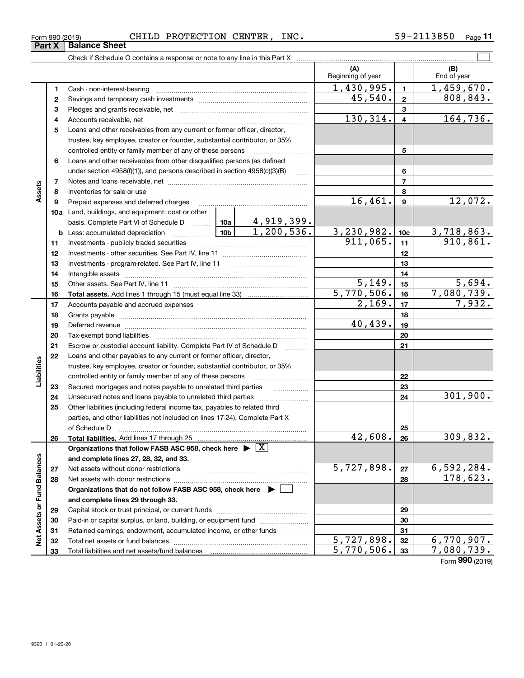| Form 990 (2019) | CHILD | PROTECTION | <b>CENTER</b> | INC. | 3850<br>n . | Page |
|-----------------|-------|------------|---------------|------|-------------|------|
|                 |       |            |               |      |             |      |

|                             |    | Check if Schedule O contains a response or note to any line in this Part X                                                                                                                                                     |  |                          |                          |                         |                          |  |  |
|-----------------------------|----|--------------------------------------------------------------------------------------------------------------------------------------------------------------------------------------------------------------------------------|--|--------------------------|--------------------------|-------------------------|--------------------------|--|--|
|                             |    |                                                                                                                                                                                                                                |  |                          | (A)<br>Beginning of year |                         | (B)<br>End of year       |  |  |
|                             | 1  |                                                                                                                                                                                                                                |  |                          | $\overline{1,430,995}$ . | $\mathbf{1}$            | 1,459,670.               |  |  |
|                             | 2  |                                                                                                                                                                                                                                |  |                          | 45,540.                  | $\mathbf{2}$            | 808, 843.                |  |  |
|                             | 3  |                                                                                                                                                                                                                                |  |                          |                          | 3                       |                          |  |  |
|                             | 4  |                                                                                                                                                                                                                                |  |                          | 130,314.                 | $\overline{\mathbf{4}}$ | 164,736.                 |  |  |
|                             | 5  | Loans and other receivables from any current or former officer, director,                                                                                                                                                      |  |                          |                          |                         |                          |  |  |
|                             |    | trustee, key employee, creator or founder, substantial contributor, or 35%                                                                                                                                                     |  |                          |                          |                         |                          |  |  |
|                             |    | controlled entity or family member of any of these persons                                                                                                                                                                     |  |                          |                          | 5                       |                          |  |  |
|                             | 6  | Loans and other receivables from other disqualified persons (as defined                                                                                                                                                        |  |                          |                          |                         |                          |  |  |
|                             |    | under section $4958(f)(1)$ , and persons described in section $4958(c)(3)(B)$                                                                                                                                                  |  | $\ldots$                 |                          | 6                       |                          |  |  |
|                             | 7  |                                                                                                                                                                                                                                |  |                          | $\overline{7}$           |                         |                          |  |  |
| Assets                      | 8  |                                                                                                                                                                                                                                |  |                          |                          | 8                       |                          |  |  |
|                             | 9  | Prepaid expenses and deferred charges                                                                                                                                                                                          |  |                          | 16,461.                  | $\boldsymbol{9}$        | 12,072.                  |  |  |
|                             |    | 10a Land, buildings, and equipment: cost or other                                                                                                                                                                              |  |                          |                          |                         |                          |  |  |
|                             |    |                                                                                                                                                                                                                                |  |                          |                          |                         |                          |  |  |
|                             |    | <b>b</b> Less: accumulated depreciation                                                                                                                                                                                        |  |                          | 3, 230, 982.             | 10 <sub>c</sub>         | <u>3,718,863.</u>        |  |  |
|                             | 11 |                                                                                                                                                                                                                                |  |                          | 911,065.                 | 11                      | 910,861.                 |  |  |
|                             | 12 |                                                                                                                                                                                                                                |  |                          |                          | 12                      |                          |  |  |
|                             | 13 |                                                                                                                                                                                                                                |  |                          |                          | 13                      |                          |  |  |
|                             | 14 |                                                                                                                                                                                                                                |  |                          |                          | 14                      |                          |  |  |
|                             | 15 |                                                                                                                                                                                                                                |  | $\overline{5,149}$ .     | 15                       | 5,694.                  |                          |  |  |
|                             | 16 |                                                                                                                                                                                                                                |  | $\overline{5,770,506}$ . | 16                       | 7,080,739.              |                          |  |  |
|                             | 17 |                                                                                                                                                                                                                                |  |                          | 2,169.                   | 17                      | 7,932.                   |  |  |
|                             | 18 |                                                                                                                                                                                                                                |  |                          |                          | 18                      |                          |  |  |
|                             | 19 | Deferred revenue manual contracts and contracts are contracted and contract and contract are contracted and contract are contracted and contract are contracted and contract are contracted and contract are contracted and co |  |                          | 40,439.                  | 19                      |                          |  |  |
|                             | 20 |                                                                                                                                                                                                                                |  |                          |                          | 20                      |                          |  |  |
|                             | 21 | Escrow or custodial account liability. Complete Part IV of Schedule D                                                                                                                                                          |  |                          |                          | 21                      |                          |  |  |
|                             | 22 | Loans and other payables to any current or former officer, director,                                                                                                                                                           |  |                          |                          |                         |                          |  |  |
| Liabilities                 |    | trustee, key employee, creator or founder, substantial contributor, or 35%                                                                                                                                                     |  |                          |                          |                         |                          |  |  |
|                             |    | controlled entity or family member of any of these persons                                                                                                                                                                     |  |                          |                          | 22                      |                          |  |  |
|                             | 23 | Secured mortgages and notes payable to unrelated third parties                                                                                                                                                                 |  |                          |                          | 23                      |                          |  |  |
|                             | 24 |                                                                                                                                                                                                                                |  |                          |                          | 24                      | 301,900.                 |  |  |
|                             | 25 | Other liabilities (including federal income tax, payables to related third                                                                                                                                                     |  |                          |                          |                         |                          |  |  |
|                             |    | parties, and other liabilities not included on lines 17-24). Complete Part X                                                                                                                                                   |  |                          |                          |                         |                          |  |  |
|                             |    | of Schedule D                                                                                                                                                                                                                  |  |                          |                          | 25                      |                          |  |  |
|                             | 26 | Total liabilities. Add lines 17 through 25                                                                                                                                                                                     |  |                          | $\overline{42,608}$ .    | 26                      | 309,832.                 |  |  |
|                             |    | Organizations that follow FASB ASC 958, check here $\blacktriangleright \lfloor X \rfloor$                                                                                                                                     |  |                          |                          |                         |                          |  |  |
|                             |    | and complete lines 27, 28, 32, and 33.                                                                                                                                                                                         |  |                          |                          |                         |                          |  |  |
|                             | 27 |                                                                                                                                                                                                                                |  |                          | 5,727,898.               | 27                      | <u>6,592,284.</u>        |  |  |
|                             | 28 |                                                                                                                                                                                                                                |  |                          |                          | 28                      | 178,623.                 |  |  |
|                             |    | Organizations that do not follow FASB ASC 958, check here $\blacktriangleright$                                                                                                                                                |  |                          |                          |                         |                          |  |  |
|                             |    | and complete lines 29 through 33.                                                                                                                                                                                              |  |                          |                          |                         |                          |  |  |
|                             | 29 |                                                                                                                                                                                                                                |  |                          |                          | 29                      |                          |  |  |
|                             | 30 | Paid-in or capital surplus, or land, building, or equipment fund                                                                                                                                                               |  |                          |                          | 30                      |                          |  |  |
| Net Assets or Fund Balances | 31 | Retained earnings, endowment, accumulated income, or other funds                                                                                                                                                               |  |                          |                          | 31                      |                          |  |  |
|                             | 32 |                                                                                                                                                                                                                                |  |                          | $\overline{5,727},898.$  | 32                      | 6,770,907.<br>7,080,739. |  |  |
|                             | 33 | 5,770,506.<br>33                                                                                                                                                                                                               |  |                          |                          |                         |                          |  |  |

Form (2019) **990**

## **Part X Balance Sheet**

| Form 990 (2019 |  |
|----------------|--|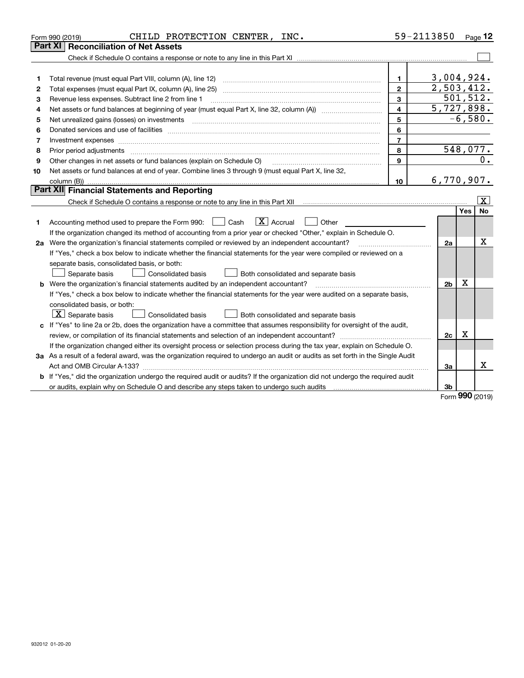|    | CHILD PROTECTION CENTER, INC.<br>Form 990 (2019)                                                                                                                                                                                                                                                                                                                                                                                                                           | 59-2113850     |                |           | Page $12$             |
|----|----------------------------------------------------------------------------------------------------------------------------------------------------------------------------------------------------------------------------------------------------------------------------------------------------------------------------------------------------------------------------------------------------------------------------------------------------------------------------|----------------|----------------|-----------|-----------------------|
|    | <b>Reconciliation of Net Assets</b><br><b>Part XI</b>                                                                                                                                                                                                                                                                                                                                                                                                                      |                |                |           |                       |
|    |                                                                                                                                                                                                                                                                                                                                                                                                                                                                            |                |                |           |                       |
|    |                                                                                                                                                                                                                                                                                                                                                                                                                                                                            |                |                |           |                       |
| 1  | Total revenue (must equal Part VIII, column (A), line 12)                                                                                                                                                                                                                                                                                                                                                                                                                  | $\mathbf{1}$   | 3,004,924.     |           |                       |
| 2  | Total expenses (must equal Part IX, column (A), line 25)                                                                                                                                                                                                                                                                                                                                                                                                                   | $\overline{2}$ | 2,503,412.     |           |                       |
| з  | Revenue less expenses. Subtract line 2 from line 1                                                                                                                                                                                                                                                                                                                                                                                                                         | $\mathbf{3}$   |                | 501, 512. |                       |
| 4  |                                                                                                                                                                                                                                                                                                                                                                                                                                                                            | $\overline{4}$ | 5,727,898.     |           |                       |
| 5  | Net unrealized gains (losses) on investments<br>$\overline{a_1, \ldots, a_n, \ldots, a_n, \ldots, a_n, \ldots, a_n, \ldots, a_n, \ldots, a_n, \ldots, a_n, \ldots, a_n, \ldots, a_n, \ldots, a_n, \ldots, a_n, \ldots, a_n, \ldots, a_n, \ldots, a_n, \ldots, a_n, \ldots, a_n, \ldots, a_n, \ldots, a_n, \ldots, a_n, \ldots, a_n, \ldots, a_n, \ldots, a_n, \ldots, a_n, \ldots, a_n, \ldots, a_n, \ldots, a_n, \ldots, a_n, \ldots, a_n, \ldots, a_n, \ldots, a_n, \ld$ | 5              |                | $-6,580.$ |                       |
| 6  |                                                                                                                                                                                                                                                                                                                                                                                                                                                                            | 6              |                |           |                       |
| 7  | Investment expenses www.communication.com/www.communication.com/www.communication.com/www.com                                                                                                                                                                                                                                                                                                                                                                              | $\overline{7}$ |                |           |                       |
| 8  | Prior period adjustments                                                                                                                                                                                                                                                                                                                                                                                                                                                   | 8              |                |           | 548,077.              |
| 9  | Other changes in net assets or fund balances (explain on Schedule O)                                                                                                                                                                                                                                                                                                                                                                                                       | 9              |                |           | 0.                    |
| 10 | Net assets or fund balances at end of year. Combine lines 3 through 9 (must equal Part X, line 32,                                                                                                                                                                                                                                                                                                                                                                         |                |                |           |                       |
|    |                                                                                                                                                                                                                                                                                                                                                                                                                                                                            | 10             | 6,770,907.     |           |                       |
|    | Part XII Financial Statements and Reporting                                                                                                                                                                                                                                                                                                                                                                                                                                |                |                |           |                       |
|    |                                                                                                                                                                                                                                                                                                                                                                                                                                                                            |                |                |           | $\overline{\text{X}}$ |
|    |                                                                                                                                                                                                                                                                                                                                                                                                                                                                            |                |                | Yes       | No                    |
| 1. | $\boxed{\mathbf{X}}$ Accrual<br>Accounting method used to prepare the Form 990: <u>I</u> Cash<br>Other                                                                                                                                                                                                                                                                                                                                                                     |                |                |           |                       |
|    | If the organization changed its method of accounting from a prior year or checked "Other," explain in Schedule O.                                                                                                                                                                                                                                                                                                                                                          |                |                |           |                       |
|    | 2a Were the organization's financial statements compiled or reviewed by an independent accountant?                                                                                                                                                                                                                                                                                                                                                                         |                | 2a             |           | Χ                     |
|    | If "Yes," check a box below to indicate whether the financial statements for the year were compiled or reviewed on a                                                                                                                                                                                                                                                                                                                                                       |                |                |           |                       |
|    | separate basis, consolidated basis, or both:                                                                                                                                                                                                                                                                                                                                                                                                                               |                |                |           |                       |
|    | Consolidated basis<br>Separate basis<br>Both consolidated and separate basis                                                                                                                                                                                                                                                                                                                                                                                               |                |                |           |                       |
|    | <b>b</b> Were the organization's financial statements audited by an independent accountant?                                                                                                                                                                                                                                                                                                                                                                                |                | 2 <sub>b</sub> | х         |                       |
|    | If "Yes," check a box below to indicate whether the financial statements for the year were audited on a separate basis,                                                                                                                                                                                                                                                                                                                                                    |                |                |           |                       |
|    | consolidated basis, or both:                                                                                                                                                                                                                                                                                                                                                                                                                                               |                |                |           |                       |
|    | $X$ Separate basis<br><b>Consolidated basis</b><br>Both consolidated and separate basis                                                                                                                                                                                                                                                                                                                                                                                    |                |                |           |                       |
| c  | If "Yes" to line 2a or 2b, does the organization have a committee that assumes responsibility for oversight of the audit,                                                                                                                                                                                                                                                                                                                                                  |                |                |           |                       |
|    | review, or compilation of its financial statements and selection of an independent accountant?                                                                                                                                                                                                                                                                                                                                                                             |                | 2c             | x         |                       |
|    | If the organization changed either its oversight process or selection process during the tax year, explain on Schedule O.                                                                                                                                                                                                                                                                                                                                                  |                |                |           |                       |
|    | 3a As a result of a federal award, was the organization required to undergo an audit or audits as set forth in the Single Audit                                                                                                                                                                                                                                                                                                                                            |                |                |           |                       |
|    |                                                                                                                                                                                                                                                                                                                                                                                                                                                                            |                | За             |           | x                     |
|    | b If "Yes," did the organization undergo the required audit or audits? If the organization did not undergo the required audit                                                                                                                                                                                                                                                                                                                                              |                |                |           |                       |
|    |                                                                                                                                                                                                                                                                                                                                                                                                                                                                            |                | 3b             |           |                       |

Form (2019) **990**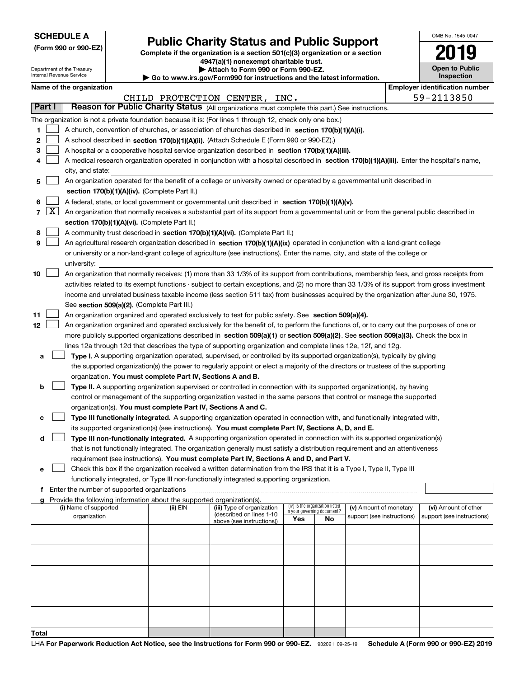Department of the Treasury Internal Revenue Service

**(Form 990 or 990-EZ)**

## **Public Charity Status and Public Support**

**Complete if the organization is a section 501(c)(3) organization or a section 4947(a)(1) nonexempt charitable trust.**

|  |      |  | Attach to Form 990 or Form 990-EZ. |  |
|--|------|--|------------------------------------|--|
|  | ---- |  |                                    |  |

**| Go to www.irs.gov/Form990 for instructions and the latest information.**

| OMB No. 1545-0047                   |
|-------------------------------------|
|                                     |
| <b>Open to Public</b><br>Inspection |

|  | Name of the organization |
|--|--------------------------|
|--|--------------------------|

|              |                                                                                                                           | Name of the organization                                                                                                                      |          |                                                       |                                                                |    |                            |  | <b>Employer identification number</b> |  |  |
|--------------|---------------------------------------------------------------------------------------------------------------------------|-----------------------------------------------------------------------------------------------------------------------------------------------|----------|-------------------------------------------------------|----------------------------------------------------------------|----|----------------------------|--|---------------------------------------|--|--|
|              |                                                                                                                           |                                                                                                                                               |          | CHILD PROTECTION CENTER,                              | INC.                                                           |    |                            |  | 59-2113850                            |  |  |
|              | Part I                                                                                                                    | Reason for Public Charity Status (All organizations must complete this part.) See instructions.                                               |          |                                                       |                                                                |    |                            |  |                                       |  |  |
|              |                                                                                                                           | The organization is not a private foundation because it is: (For lines 1 through 12, check only one box.)                                     |          |                                                       |                                                                |    |                            |  |                                       |  |  |
| 1.           |                                                                                                                           | A church, convention of churches, or association of churches described in section 170(b)(1)(A)(i).                                            |          |                                                       |                                                                |    |                            |  |                                       |  |  |
| 2            |                                                                                                                           | A school described in section 170(b)(1)(A)(ii). (Attach Schedule E (Form 990 or 990-EZ).)                                                     |          |                                                       |                                                                |    |                            |  |                                       |  |  |
| 3            |                                                                                                                           | A hospital or a cooperative hospital service organization described in section $170(b)(1)(A)(iii)$ .                                          |          |                                                       |                                                                |    |                            |  |                                       |  |  |
|              |                                                                                                                           | A medical research organization operated in conjunction with a hospital described in section 170(b)(1)(A)(iii). Enter the hospital's name,    |          |                                                       |                                                                |    |                            |  |                                       |  |  |
|              |                                                                                                                           | city, and state:                                                                                                                              |          |                                                       |                                                                |    |                            |  |                                       |  |  |
| 5            | An organization operated for the benefit of a college or university owned or operated by a governmental unit described in |                                                                                                                                               |          |                                                       |                                                                |    |                            |  |                                       |  |  |
|              |                                                                                                                           | section 170(b)(1)(A)(iv). (Complete Part II.)                                                                                                 |          |                                                       |                                                                |    |                            |  |                                       |  |  |
| 6            |                                                                                                                           | A federal, state, or local government or governmental unit described in section 170(b)(1)(A)(v).                                              |          |                                                       |                                                                |    |                            |  |                                       |  |  |
| 7            | $\lfloor x \rfloor$                                                                                                       | An organization that normally receives a substantial part of its support from a governmental unit or from the general public described in     |          |                                                       |                                                                |    |                            |  |                                       |  |  |
|              |                                                                                                                           | section 170(b)(1)(A)(vi). (Complete Part II.)                                                                                                 |          |                                                       |                                                                |    |                            |  |                                       |  |  |
| 8            |                                                                                                                           | A community trust described in section 170(b)(1)(A)(vi). (Complete Part II.)                                                                  |          |                                                       |                                                                |    |                            |  |                                       |  |  |
| 9            |                                                                                                                           | An agricultural research organization described in section 170(b)(1)(A)(ix) operated in conjunction with a land-grant college                 |          |                                                       |                                                                |    |                            |  |                                       |  |  |
|              |                                                                                                                           | or university or a non-land-grant college of agriculture (see instructions). Enter the name, city, and state of the college or                |          |                                                       |                                                                |    |                            |  |                                       |  |  |
|              |                                                                                                                           | university:                                                                                                                                   |          |                                                       |                                                                |    |                            |  |                                       |  |  |
| 10           |                                                                                                                           | An organization that normally receives: (1) more than 33 1/3% of its support from contributions, membership fees, and gross receipts from     |          |                                                       |                                                                |    |                            |  |                                       |  |  |
|              |                                                                                                                           | activities related to its exempt functions - subject to certain exceptions, and (2) no more than 33 1/3% of its support from gross investment |          |                                                       |                                                                |    |                            |  |                                       |  |  |
|              |                                                                                                                           | income and unrelated business taxable income (less section 511 tax) from businesses acquired by the organization after June 30, 1975.         |          |                                                       |                                                                |    |                            |  |                                       |  |  |
|              |                                                                                                                           | See section 509(a)(2). (Complete Part III.)                                                                                                   |          |                                                       |                                                                |    |                            |  |                                       |  |  |
| 11           |                                                                                                                           | An organization organized and operated exclusively to test for public safety. See section 509(a)(4).                                          |          |                                                       |                                                                |    |                            |  |                                       |  |  |
| 12           |                                                                                                                           | An organization organized and operated exclusively for the benefit of, to perform the functions of, or to carry out the purposes of one or    |          |                                                       |                                                                |    |                            |  |                                       |  |  |
|              |                                                                                                                           | more publicly supported organizations described in section 509(a)(1) or section 509(a)(2). See section 509(a)(3). Check the box in            |          |                                                       |                                                                |    |                            |  |                                       |  |  |
|              |                                                                                                                           | lines 12a through 12d that describes the type of supporting organization and complete lines 12e, 12f, and 12g.                                |          |                                                       |                                                                |    |                            |  |                                       |  |  |
| a            |                                                                                                                           | Type I. A supporting organization operated, supervised, or controlled by its supported organization(s), typically by giving                   |          |                                                       |                                                                |    |                            |  |                                       |  |  |
|              |                                                                                                                           | the supported organization(s) the power to regularly appoint or elect a majority of the directors or trustees of the supporting               |          |                                                       |                                                                |    |                            |  |                                       |  |  |
|              |                                                                                                                           | organization. You must complete Part IV, Sections A and B.                                                                                    |          |                                                       |                                                                |    |                            |  |                                       |  |  |
| b            |                                                                                                                           | Type II. A supporting organization supervised or controlled in connection with its supported organization(s), by having                       |          |                                                       |                                                                |    |                            |  |                                       |  |  |
|              |                                                                                                                           | control or management of the supporting organization vested in the same persons that control or manage the supported                          |          |                                                       |                                                                |    |                            |  |                                       |  |  |
|              |                                                                                                                           | organization(s). You must complete Part IV, Sections A and C.                                                                                 |          |                                                       |                                                                |    |                            |  |                                       |  |  |
| c            |                                                                                                                           | Type III functionally integrated. A supporting organization operated in connection with, and functionally integrated with,                    |          |                                                       |                                                                |    |                            |  |                                       |  |  |
|              |                                                                                                                           | its supported organization(s) (see instructions). You must complete Part IV, Sections A, D, and E.                                            |          |                                                       |                                                                |    |                            |  |                                       |  |  |
| d            |                                                                                                                           | Type III non-functionally integrated. A supporting organization operated in connection with its supported organization(s)                     |          |                                                       |                                                                |    |                            |  |                                       |  |  |
|              |                                                                                                                           | that is not functionally integrated. The organization generally must satisfy a distribution requirement and an attentiveness                  |          |                                                       |                                                                |    |                            |  |                                       |  |  |
|              |                                                                                                                           | requirement (see instructions). You must complete Part IV, Sections A and D, and Part V.                                                      |          |                                                       |                                                                |    |                            |  |                                       |  |  |
|              |                                                                                                                           | Check this box if the organization received a written determination from the IRS that it is a Type I, Type II, Type III                       |          |                                                       |                                                                |    |                            |  |                                       |  |  |
|              |                                                                                                                           | functionally integrated, or Type III non-functionally integrated supporting organization.                                                     |          |                                                       |                                                                |    |                            |  |                                       |  |  |
|              |                                                                                                                           | f Enter the number of supported organizations                                                                                                 |          |                                                       |                                                                |    |                            |  |                                       |  |  |
|              |                                                                                                                           | g Provide the following information about the supported organization(s).                                                                      |          |                                                       |                                                                |    |                            |  |                                       |  |  |
|              |                                                                                                                           | (i) Name of supported                                                                                                                         | (ii) EIN | (iii) Type of organization                            | (iv) Is the organization listed<br>in your governing document? |    | (v) Amount of monetary     |  | (vi) Amount of other                  |  |  |
|              |                                                                                                                           | organization                                                                                                                                  |          | (described on lines 1-10<br>above (see instructions)) | Yes                                                            | No | support (see instructions) |  | support (see instructions)            |  |  |
|              |                                                                                                                           |                                                                                                                                               |          |                                                       |                                                                |    |                            |  |                                       |  |  |
|              |                                                                                                                           |                                                                                                                                               |          |                                                       |                                                                |    |                            |  |                                       |  |  |
|              |                                                                                                                           |                                                                                                                                               |          |                                                       |                                                                |    |                            |  |                                       |  |  |
|              |                                                                                                                           |                                                                                                                                               |          |                                                       |                                                                |    |                            |  |                                       |  |  |
|              |                                                                                                                           |                                                                                                                                               |          |                                                       |                                                                |    |                            |  |                                       |  |  |
|              |                                                                                                                           |                                                                                                                                               |          |                                                       |                                                                |    |                            |  |                                       |  |  |
|              |                                                                                                                           |                                                                                                                                               |          |                                                       |                                                                |    |                            |  |                                       |  |  |
|              |                                                                                                                           |                                                                                                                                               |          |                                                       |                                                                |    |                            |  |                                       |  |  |
|              |                                                                                                                           |                                                                                                                                               |          |                                                       |                                                                |    |                            |  |                                       |  |  |
|              |                                                                                                                           |                                                                                                                                               |          |                                                       |                                                                |    |                            |  |                                       |  |  |
| <b>Total</b> |                                                                                                                           |                                                                                                                                               |          |                                                       |                                                                |    |                            |  |                                       |  |  |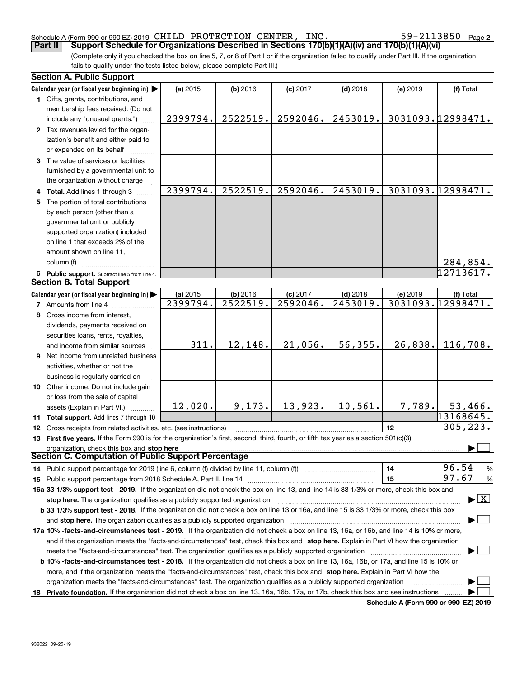#### Schedule A (Form 990 or 990-EZ) 2019 <code>CHILD PROTECTION CENTER</code> , <code>INC</code> .  $59-2113850$  <code>Page</code>

**2**

(Complete only if you checked the box on line 5, 7, or 8 of Part I or if the organization failed to qualify under Part III. If the organization fails to qualify under the tests listed below, please complete Part III.) **Part II Support Schedule for Organizations Described in Sections 170(b)(1)(A)(iv) and 170(b)(1)(A)(vi)** 

| <b>Section A. Public Support</b>                                                                                                                                                                                                                           |          |            |            |            |          |                                          |
|------------------------------------------------------------------------------------------------------------------------------------------------------------------------------------------------------------------------------------------------------------|----------|------------|------------|------------|----------|------------------------------------------|
| Calendar year (or fiscal year beginning in)                                                                                                                                                                                                                | (a) 2015 | $(b)$ 2016 | $(c)$ 2017 | $(d)$ 2018 | (e) 2019 | (f) Total                                |
| 1 Gifts, grants, contributions, and                                                                                                                                                                                                                        |          |            |            |            |          |                                          |
| membership fees received. (Do not                                                                                                                                                                                                                          |          |            |            |            |          |                                          |
| include any "unusual grants.")                                                                                                                                                                                                                             | 2399794. | 2522519.   | 2592046.   | 2453019.   |          | 3031093.12998471.                        |
| 2 Tax revenues levied for the organ-                                                                                                                                                                                                                       |          |            |            |            |          |                                          |
| ization's benefit and either paid to                                                                                                                                                                                                                       |          |            |            |            |          |                                          |
| or expended on its behalf                                                                                                                                                                                                                                  |          |            |            |            |          |                                          |
| 3 The value of services or facilities                                                                                                                                                                                                                      |          |            |            |            |          |                                          |
| furnished by a governmental unit to                                                                                                                                                                                                                        |          |            |            |            |          |                                          |
| the organization without charge                                                                                                                                                                                                                            |          |            |            |            |          |                                          |
| 4 Total. Add lines 1 through 3                                                                                                                                                                                                                             | 2399794. | 2522519.   | 2592046.   | 2453019.   |          | 3031093.12998471.                        |
| 5 The portion of total contributions                                                                                                                                                                                                                       |          |            |            |            |          |                                          |
| by each person (other than a                                                                                                                                                                                                                               |          |            |            |            |          |                                          |
| governmental unit or publicly                                                                                                                                                                                                                              |          |            |            |            |          |                                          |
| supported organization) included                                                                                                                                                                                                                           |          |            |            |            |          |                                          |
| on line 1 that exceeds 2% of the                                                                                                                                                                                                                           |          |            |            |            |          |                                          |
| amount shown on line 11,                                                                                                                                                                                                                                   |          |            |            |            |          |                                          |
| column (f)                                                                                                                                                                                                                                                 |          |            |            |            |          | 284,854.                                 |
| 6 Public support. Subtract line 5 from line 4.                                                                                                                                                                                                             |          |            |            |            |          | 12713617.                                |
| <b>Section B. Total Support</b>                                                                                                                                                                                                                            |          |            |            |            |          |                                          |
| Calendar year (or fiscal year beginning in)                                                                                                                                                                                                                | (a) 2015 | (b) 2016   | $(c)$ 2017 | $(d)$ 2018 | (e) 2019 | (f) Total                                |
| <b>7</b> Amounts from line 4                                                                                                                                                                                                                               | 2399794. | 2522519.   | 2592046.   | 2453019.   |          | 3031093.12998471.                        |
| 8 Gross income from interest,                                                                                                                                                                                                                              |          |            |            |            |          |                                          |
| dividends, payments received on                                                                                                                                                                                                                            |          |            |            |            |          |                                          |
| securities loans, rents, royalties,                                                                                                                                                                                                                        |          |            |            |            |          |                                          |
| and income from similar sources                                                                                                                                                                                                                            | 311.     | 12,148.    | 21,056.    | 56, 355.   | 26,838.  | 116,708.                                 |
| 9 Net income from unrelated business                                                                                                                                                                                                                       |          |            |            |            |          |                                          |
| activities, whether or not the                                                                                                                                                                                                                             |          |            |            |            |          |                                          |
| business is regularly carried on                                                                                                                                                                                                                           |          |            |            |            |          |                                          |
| 10 Other income. Do not include gain                                                                                                                                                                                                                       |          |            |            |            |          |                                          |
| or loss from the sale of capital                                                                                                                                                                                                                           |          |            |            |            |          |                                          |
| assets (Explain in Part VI.)                                                                                                                                                                                                                               | 12,020.  | 9,173.     | 13,923.    | 10,561.    | 7,789.   | 53,466.                                  |
| 11 Total support. Add lines 7 through 10                                                                                                                                                                                                                   |          |            |            |            |          | 13168645.                                |
| 12 Gross receipts from related activities, etc. (see instructions)                                                                                                                                                                                         |          |            |            |            | 12       | 305, 223.                                |
| 13 First five years. If the Form 990 is for the organization's first, second, third, fourth, or fifth tax year as a section 501(c)(3)                                                                                                                      |          |            |            |            |          |                                          |
| organization, check this box and stop here                                                                                                                                                                                                                 |          |            |            |            |          |                                          |
| Section C. Computation of Public Support Percentage                                                                                                                                                                                                        |          |            |            |            |          |                                          |
| 14 Public support percentage for 2019 (line 6, column (f) divided by line 11, column (f) <i>manumanomeron</i>                                                                                                                                              |          |            |            |            | 14       | 96.54<br>%                               |
|                                                                                                                                                                                                                                                            |          |            |            |            | 15       | 97.67<br>$\%$                            |
| 16a 33 1/3% support test - 2019. If the organization did not check the box on line 13, and line 14 is 33 1/3% or more, check this box and                                                                                                                  |          |            |            |            |          |                                          |
| stop here. The organization qualifies as a publicly supported organization                                                                                                                                                                                 |          |            |            |            |          | $\blacktriangleright$ $\boxed{\text{X}}$ |
| b 33 1/3% support test - 2018. If the organization did not check a box on line 13 or 16a, and line 15 is 33 1/3% or more, check this box                                                                                                                   |          |            |            |            |          |                                          |
| and stop here. The organization qualifies as a publicly supported organization                                                                                                                                                                             |          |            |            |            |          |                                          |
| 17a 10% -facts-and-circumstances test - 2019. If the organization did not check a box on line 13, 16a, or 16b, and line 14 is 10% or more,                                                                                                                 |          |            |            |            |          |                                          |
| and if the organization meets the "facts-and-circumstances" test, check this box and stop here. Explain in Part VI how the organization                                                                                                                    |          |            |            |            |          |                                          |
| meets the "facts-and-circumstances" test. The organization qualifies as a publicly supported organization                                                                                                                                                  |          |            |            |            |          |                                          |
| b 10% -facts-and-circumstances test - 2018. If the organization did not check a box on line 13, 16a, 16b, or 17a, and line 15 is 10% or                                                                                                                    |          |            |            |            |          |                                          |
|                                                                                                                                                                                                                                                            |          |            |            |            |          |                                          |
| more, and if the organization meets the "facts-and-circumstances" test, check this box and stop here. Explain in Part VI how the<br>organization meets the "facts-and-circumstances" test. The organization qualifies as a publicly supported organization |          |            |            |            |          |                                          |
|                                                                                                                                                                                                                                                            |          |            |            |            |          |                                          |
| 18 Private foundation. If the organization did not check a box on line 13, 16a, 16b, 17a, or 17b, check this box and see instructions                                                                                                                      |          |            |            |            |          |                                          |

**Schedule A (Form 990 or 990-EZ) 2019**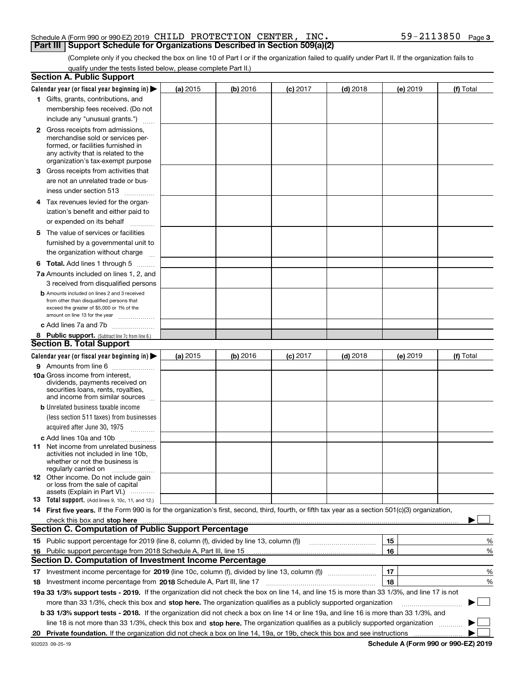#### Schedule A (Form 990 or 990-EZ) 2019 <code>CHILD PROTECTION CENTER</code> , <code>INC</code> .  $59-2113850$  <code>Page</code> **Part III Support Schedule for Organizations Described in Section 509(a)(2)**

(Complete only if you checked the box on line 10 of Part I or if the organization failed to qualify under Part II. If the organization fails to qualify under the tests listed below, please complete Part II.)

|    | <b>Section A. Public Support</b>                                                                                                                    |            |          |            |            |          |             |
|----|-----------------------------------------------------------------------------------------------------------------------------------------------------|------------|----------|------------|------------|----------|-------------|
|    | Calendar year (or fiscal year beginning in) $\blacktriangleright$                                                                                   | (a) 2015   | (b) 2016 | $(c)$ 2017 | $(d)$ 2018 | (e) 2019 | (f) Total   |
|    | 1 Gifts, grants, contributions, and                                                                                                                 |            |          |            |            |          |             |
|    | membership fees received. (Do not                                                                                                                   |            |          |            |            |          |             |
|    | include any "unusual grants.")                                                                                                                      |            |          |            |            |          |             |
|    | <b>2</b> Gross receipts from admissions,                                                                                                            |            |          |            |            |          |             |
|    | merchandise sold or services per-                                                                                                                   |            |          |            |            |          |             |
|    | formed, or facilities furnished in                                                                                                                  |            |          |            |            |          |             |
|    | any activity that is related to the<br>organization's tax-exempt purpose                                                                            |            |          |            |            |          |             |
|    | 3 Gross receipts from activities that                                                                                                               |            |          |            |            |          |             |
|    | are not an unrelated trade or bus-                                                                                                                  |            |          |            |            |          |             |
|    | iness under section 513                                                                                                                             |            |          |            |            |          |             |
|    | 4 Tax revenues levied for the organ-                                                                                                                |            |          |            |            |          |             |
|    | ization's benefit and either paid to                                                                                                                |            |          |            |            |          |             |
|    | or expended on its behalf                                                                                                                           |            |          |            |            |          |             |
|    | .                                                                                                                                                   |            |          |            |            |          |             |
|    | 5 The value of services or facilities                                                                                                               |            |          |            |            |          |             |
|    | furnished by a governmental unit to                                                                                                                 |            |          |            |            |          |             |
|    | the organization without charge                                                                                                                     |            |          |            |            |          |             |
|    | <b>6 Total.</b> Add lines 1 through 5                                                                                                               |            |          |            |            |          |             |
|    | 7a Amounts included on lines 1, 2, and                                                                                                              |            |          |            |            |          |             |
|    | 3 received from disqualified persons                                                                                                                |            |          |            |            |          |             |
|    | <b>b</b> Amounts included on lines 2 and 3 received<br>from other than disqualified persons that                                                    |            |          |            |            |          |             |
|    | exceed the greater of \$5,000 or 1% of the                                                                                                          |            |          |            |            |          |             |
|    | amount on line 13 for the year                                                                                                                      |            |          |            |            |          |             |
|    | c Add lines 7a and 7b                                                                                                                               |            |          |            |            |          |             |
|    | 8 Public support. (Subtract line 7c from line 6.)                                                                                                   |            |          |            |            |          |             |
|    | <b>Section B. Total Support</b>                                                                                                                     |            |          |            |            |          |             |
|    | Calendar year (or fiscal year beginning in) $\blacktriangleright$                                                                                   | (a) $2015$ | (b) 2016 | $(c)$ 2017 | $(d)$ 2018 | (e) 2019 | (f) Total   |
|    | 9 Amounts from line 6                                                                                                                               |            |          |            |            |          |             |
|    | <b>10a</b> Gross income from interest,<br>dividends, payments received on                                                                           |            |          |            |            |          |             |
|    | securities loans, rents, royalties,                                                                                                                 |            |          |            |            |          |             |
|    | and income from similar sources                                                                                                                     |            |          |            |            |          |             |
|    | <b>b</b> Unrelated business taxable income                                                                                                          |            |          |            |            |          |             |
|    | (less section 511 taxes) from businesses                                                                                                            |            |          |            |            |          |             |
|    | acquired after June 30, 1975                                                                                                                        |            |          |            |            |          |             |
|    | c Add lines 10a and 10b                                                                                                                             |            |          |            |            |          |             |
|    | 11 Net income from unrelated business                                                                                                               |            |          |            |            |          |             |
|    | activities not included in line 10b,<br>whether or not the business is                                                                              |            |          |            |            |          |             |
|    | regularly carried on                                                                                                                                |            |          |            |            |          |             |
|    | <b>12</b> Other income. Do not include gain                                                                                                         |            |          |            |            |          |             |
|    | or loss from the sale of capital<br>assets (Explain in Part VI.)                                                                                    |            |          |            |            |          |             |
|    | 13 Total support. (Add lines 9, 10c, 11, and 12.)                                                                                                   |            |          |            |            |          |             |
|    | 14 First five years. If the Form 990 is for the organization's first, second, third, fourth, or fifth tax year as a section 501(c)(3) organization, |            |          |            |            |          |             |
|    | check this box and stop here <i>macuum macuum macuum macuum macuum macuum macuum macuum macuum</i>                                                  |            |          |            |            |          |             |
|    | <b>Section C. Computation of Public Support Percentage</b>                                                                                          |            |          |            |            |          |             |
|    | 15 Public support percentage for 2019 (line 8, column (f), divided by line 13, column (f))                                                          |            |          |            |            | 15       | %           |
| 16 | Public support percentage from 2018 Schedule A, Part III, line 15                                                                                   |            |          |            |            | 16       | %           |
|    | <b>Section D. Computation of Investment Income Percentage</b>                                                                                       |            |          |            |            |          |             |
|    | 17 Investment income percentage for 2019 (line 10c, column (f), divided by line 13, column (f))                                                     |            |          |            |            | 17       | %           |
|    | 18 Investment income percentage from 2018 Schedule A, Part III, line 17                                                                             |            |          |            |            | 18       | %           |
|    | 19a 33 1/3% support tests - 2019. If the organization did not check the box on line 14, and line 15 is more than 33 1/3%, and line 17 is not        |            |          |            |            |          |             |
|    | more than 33 1/3%, check this box and stop here. The organization qualifies as a publicly supported organization                                    |            |          |            |            |          | $\sim$<br>▶ |
|    | b 33 1/3% support tests - 2018. If the organization did not check a box on line 14 or line 19a, and line 16 is more than 33 1/3%, and               |            |          |            |            |          |             |
|    | line 18 is not more than 33 1/3%, check this box and stop here. The organization qualifies as a publicly supported organization                     |            |          |            |            |          |             |
| 20 |                                                                                                                                                     |            |          |            |            |          |             |
|    |                                                                                                                                                     |            |          |            |            |          |             |

**Schedule A (Form 990 or 990-EZ) 2019**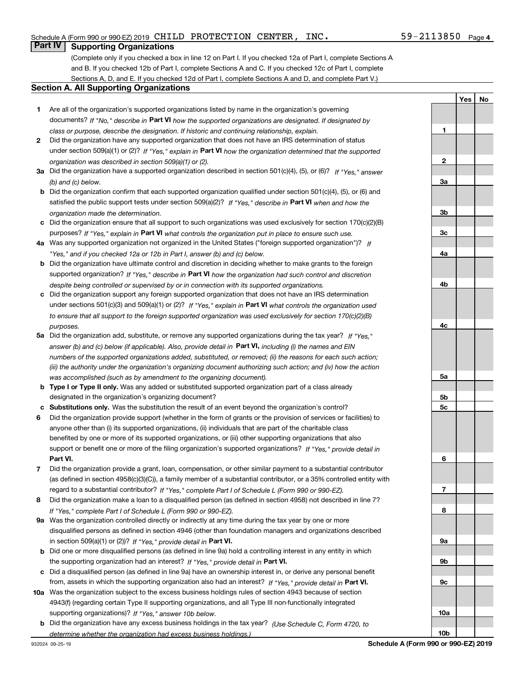**1**

**2**

**3a**

**YesNo**

## **Part IV Supporting Organizations**

(Complete only if you checked a box in line 12 on Part I. If you checked 12a of Part I, complete Sections A and B. If you checked 12b of Part I, complete Sections A and C. If you checked 12c of Part I, complete Sections A, D, and E. If you checked 12d of Part I, complete Sections A and D, and complete Part V.)

#### **Section A. All Supporting Organizations**

- **1** Are all of the organization's supported organizations listed by name in the organization's governing documents? If "No," describe in **Part VI** how the supported organizations are designated. If designated by *class or purpose, describe the designation. If historic and continuing relationship, explain.*
- **2** Did the organization have any supported organization that does not have an IRS determination of status under section 509(a)(1) or (2)? If "Yes," explain in Part VI how the organization determined that the supported *organization was described in section 509(a)(1) or (2).*
- **3a** Did the organization have a supported organization described in section 501(c)(4), (5), or (6)? If "Yes," answer *(b) and (c) below.*
- **b** Did the organization confirm that each supported organization qualified under section 501(c)(4), (5), or (6) and satisfied the public support tests under section 509(a)(2)? If "Yes," describe in **Part VI** when and how the *organization made the determination.*
- **c**Did the organization ensure that all support to such organizations was used exclusively for section 170(c)(2)(B) purposes? If "Yes," explain in **Part VI** what controls the organization put in place to ensure such use.
- **4a***If* Was any supported organization not organized in the United States ("foreign supported organization")? *"Yes," and if you checked 12a or 12b in Part I, answer (b) and (c) below.*
- **b** Did the organization have ultimate control and discretion in deciding whether to make grants to the foreign supported organization? If "Yes," describe in **Part VI** how the organization had such control and discretion *despite being controlled or supervised by or in connection with its supported organizations.*
- **c** Did the organization support any foreign supported organization that does not have an IRS determination under sections 501(c)(3) and 509(a)(1) or (2)? If "Yes," explain in **Part VI** what controls the organization used *to ensure that all support to the foreign supported organization was used exclusively for section 170(c)(2)(B) purposes.*
- **5a***If "Yes,"* Did the organization add, substitute, or remove any supported organizations during the tax year? answer (b) and (c) below (if applicable). Also, provide detail in **Part VI,** including (i) the names and EIN *numbers of the supported organizations added, substituted, or removed; (ii) the reasons for each such action; (iii) the authority under the organization's organizing document authorizing such action; and (iv) how the action was accomplished (such as by amendment to the organizing document).*
- **b** Type I or Type II only. Was any added or substituted supported organization part of a class already designated in the organization's organizing document?
- **cSubstitutions only.**  Was the substitution the result of an event beyond the organization's control?
- **6** Did the organization provide support (whether in the form of grants or the provision of services or facilities) to **Part VI.** *If "Yes," provide detail in* support or benefit one or more of the filing organization's supported organizations? anyone other than (i) its supported organizations, (ii) individuals that are part of the charitable class benefited by one or more of its supported organizations, or (iii) other supporting organizations that also
- **7**Did the organization provide a grant, loan, compensation, or other similar payment to a substantial contributor *If "Yes," complete Part I of Schedule L (Form 990 or 990-EZ).* regard to a substantial contributor? (as defined in section 4958(c)(3)(C)), a family member of a substantial contributor, or a 35% controlled entity with
- **8** Did the organization make a loan to a disqualified person (as defined in section 4958) not described in line 7? *If "Yes," complete Part I of Schedule L (Form 990 or 990-EZ).*
- **9a** Was the organization controlled directly or indirectly at any time during the tax year by one or more in section 509(a)(1) or (2))? If "Yes," *provide detail in* <code>Part VI.</code> disqualified persons as defined in section 4946 (other than foundation managers and organizations described
- **b** Did one or more disqualified persons (as defined in line 9a) hold a controlling interest in any entity in which the supporting organization had an interest? If "Yes," provide detail in P**art VI**.
- **c**Did a disqualified person (as defined in line 9a) have an ownership interest in, or derive any personal benefit from, assets in which the supporting organization also had an interest? If "Yes," provide detail in P**art VI.**
- **10a** Was the organization subject to the excess business holdings rules of section 4943 because of section supporting organizations)? If "Yes," answer 10b below. 4943(f) (regarding certain Type II supporting organizations, and all Type III non-functionally integrated
- **b** Did the organization have any excess business holdings in the tax year? (Use Schedule C, Form 4720, to *determine whether the organization had excess business holdings.)*

**10b**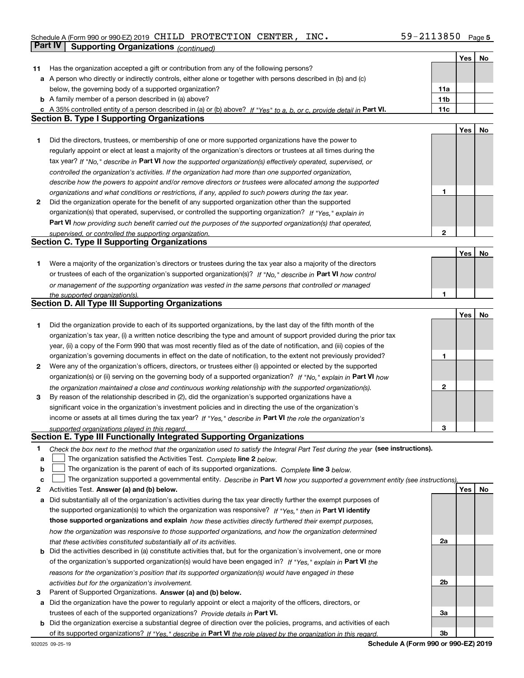#### Schedule A (Form 990 or 990-EZ) 2019 <code>CHILD PROTECTION CENTER</code> , <code>INC</code> .  $59-2113850$  <code>Page</code> **Part IV Supporting Organizations** *(continued)*

|        |                                                                                                                                                                               |              | Yes | No |
|--------|-------------------------------------------------------------------------------------------------------------------------------------------------------------------------------|--------------|-----|----|
| 11     | Has the organization accepted a gift or contribution from any of the following persons?                                                                                       |              |     |    |
|        | a A person who directly or indirectly controls, either alone or together with persons described in (b) and (c)                                                                |              |     |    |
|        | below, the governing body of a supported organization?                                                                                                                        | 11a          |     |    |
|        | <b>b</b> A family member of a person described in (a) above?                                                                                                                  | 11b          |     |    |
|        | c A 35% controlled entity of a person described in (a) or (b) above? If "Yes" to a, b, or c, provide detail in Part VI.                                                       | 11c          |     |    |
|        | <b>Section B. Type I Supporting Organizations</b>                                                                                                                             |              |     |    |
|        |                                                                                                                                                                               |              | Yes | No |
| 1      | Did the directors, trustees, or membership of one or more supported organizations have the power to                                                                           |              |     |    |
|        | regularly appoint or elect at least a majority of the organization's directors or trustees at all times during the                                                            |              |     |    |
|        | tax year? If "No," describe in Part VI how the supported organization(s) effectively operated, supervised, or                                                                 |              |     |    |
|        | controlled the organization's activities. If the organization had more than one supported organization,                                                                       |              |     |    |
|        | describe how the powers to appoint and/or remove directors or trustees were allocated among the supported                                                                     |              |     |    |
|        | organizations and what conditions or restrictions, if any, applied to such powers during the tax year.                                                                        | 1            |     |    |
| 2      | Did the organization operate for the benefit of any supported organization other than the supported                                                                           |              |     |    |
|        | organization(s) that operated, supervised, or controlled the supporting organization? If "Yes," explain in                                                                    |              |     |    |
|        | Part VI how providing such benefit carried out the purposes of the supported organization(s) that operated,                                                                   |              |     |    |
|        | supervised, or controlled the supporting organization.                                                                                                                        | $\mathbf{2}$ |     |    |
|        | <b>Section C. Type II Supporting Organizations</b>                                                                                                                            |              |     |    |
|        |                                                                                                                                                                               |              | Yes | No |
| 1      | Were a majority of the organization's directors or trustees during the tax year also a majority of the directors                                                              |              |     |    |
|        | or trustees of each of the organization's supported organization(s)? If "No." describe in Part VI how control                                                                 |              |     |    |
|        | or management of the supporting organization was vested in the same persons that controlled or managed                                                                        |              |     |    |
|        | the supported organization(s).                                                                                                                                                | 1            |     |    |
|        | <b>Section D. All Type III Supporting Organizations</b>                                                                                                                       |              |     |    |
|        |                                                                                                                                                                               |              | Yes | No |
| 1      | Did the organization provide to each of its supported organizations, by the last day of the fifth month of the                                                                |              |     |    |
|        | organization's tax year, (i) a written notice describing the type and amount of support provided during the prior tax                                                         |              |     |    |
|        | year, (ii) a copy of the Form 990 that was most recently filed as of the date of notification, and (iii) copies of the                                                        |              |     |    |
|        | organization's governing documents in effect on the date of notification, to the extent not previously provided?                                                              | 1            |     |    |
| 2      | Were any of the organization's officers, directors, or trustees either (i) appointed or elected by the supported                                                              |              |     |    |
|        | organization(s) or (ii) serving on the governing body of a supported organization? If "No," explain in Part VI how                                                            |              |     |    |
|        | the organization maintained a close and continuous working relationship with the supported organization(s).                                                                   | $\mathbf{2}$ |     |    |
| 3      | By reason of the relationship described in (2), did the organization's supported organizations have a                                                                         |              |     |    |
|        | significant voice in the organization's investment policies and in directing the use of the organization's                                                                    |              |     |    |
|        | income or assets at all times during the tax year? If "Yes," describe in Part VI the role the organization's                                                                  |              |     |    |
|        | supported organizations played in this regard.<br>Section E. Type III Functionally Integrated Supporting Organizations                                                        | з            |     |    |
|        |                                                                                                                                                                               |              |     |    |
| 1      | Check the box next to the method that the organization used to satisfy the Integral Part Test during the year (see instructions).                                             |              |     |    |
| а      | The organization satisfied the Activities Test. Complete line 2 below.                                                                                                        |              |     |    |
| b      | The organization is the parent of each of its supported organizations. Complete line 3 below.                                                                                 |              |     |    |
| c<br>2 | The organization supported a governmental entity. Describe in Part VI how you supported a government entity (see instructions),<br>Activities Test. Answer (a) and (b) below. |              | Yes | No |
| а      | Did substantially all of the organization's activities during the tax year directly further the exempt purposes of                                                            |              |     |    |
|        | the supported organization(s) to which the organization was responsive? If "Yes." then in Part VI identify                                                                    |              |     |    |
|        | those supported organizations and explain how these activities directly furthered their exempt purposes,                                                                      |              |     |    |
|        | how the organization was responsive to those supported organizations, and how the organization determined                                                                     |              |     |    |
|        | that these activities constituted substantially all of its activities.                                                                                                        | 2a           |     |    |
|        | <b>b</b> Did the activities described in (a) constitute activities that, but for the organization's involvement, one or more                                                  |              |     |    |
|        | of the organization's supported organization(s) would have been engaged in? If "Yes," explain in Part VI the                                                                  |              |     |    |
|        | reasons for the organization's position that its supported organization(s) would have engaged in these                                                                        |              |     |    |
|        | activities but for the organization's involvement.                                                                                                                            | 2b           |     |    |
| з      | Parent of Supported Organizations. Answer (a) and (b) below.                                                                                                                  |              |     |    |
|        | a Did the organization have the power to regularly appoint or elect a majority of the officers, directors, or                                                                 |              |     |    |
|        | trustees of each of the supported organizations? Provide details in Part VI.                                                                                                  | За           |     |    |
|        | <b>b</b> Did the organization exercise a substantial degree of direction over the policies, programs, and activities of each                                                  |              |     |    |
|        | of its supported organizations? If "Yes." describe in Part VI the role played by the organization in this regard.                                                             | 3b           |     |    |

**Schedule A (Form 990 or 990-EZ) 2019**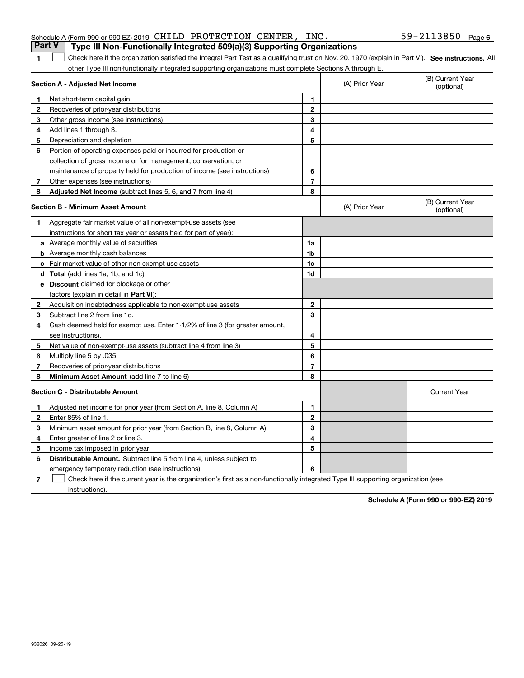| Schedule A (Form 990 or 990-EZ) 2019 $\,$ CHILD $\,$ PROTECTION $\,$ CENTER , $\,$ INC $_{\bullet}$<br>Part V   Type III Non-Functionally Integrated 509(a)(3) Supporting Organizations |  |  | $59 - 2113850$ Page 6 |  |
|-----------------------------------------------------------------------------------------------------------------------------------------------------------------------------------------|--|--|-----------------------|--|
|                                                                                                                                                                                         |  |  |                       |  |

#### **SEP 10. See instructions.** All antegral Part Test as a qualifying trust on Nov. 20, 1970 (explain in Part VI). See instructions. All other Type III non-functionally integrated supporting organizations must complete Sections A through E.  $\mathcal{L}$

|    | Section A - Adjusted Net Income                                              | (A) Prior Year | (B) Current Year<br>(optional) |                                |
|----|------------------------------------------------------------------------------|----------------|--------------------------------|--------------------------------|
| 1. | Net short-term capital gain                                                  | 1.             |                                |                                |
| 2  | Recoveries of prior-year distributions                                       | $\mathbf{2}$   |                                |                                |
| 3  | Other gross income (see instructions)                                        | 3              |                                |                                |
| 4  | Add lines 1 through 3.                                                       | 4              |                                |                                |
| 5  | Depreciation and depletion                                                   | 5              |                                |                                |
| 6  | Portion of operating expenses paid or incurred for production or             |                |                                |                                |
|    | collection of gross income or for management, conservation, or               |                |                                |                                |
|    | maintenance of property held for production of income (see instructions)     | 6              |                                |                                |
| 7  | Other expenses (see instructions)                                            | $\overline{7}$ |                                |                                |
| 8  | <b>Adjusted Net Income</b> (subtract lines 5, 6, and 7 from line 4)          | 8              |                                |                                |
|    | Section B - Minimum Asset Amount                                             |                | (A) Prior Year                 | (B) Current Year<br>(optional) |
| 1  | Aggregate fair market value of all non-exempt-use assets (see                |                |                                |                                |
|    | instructions for short tax year or assets held for part of year):            |                |                                |                                |
|    | <b>a</b> Average monthly value of securities                                 | 1a             |                                |                                |
|    | <b>b</b> Average monthly cash balances                                       | 1b             |                                |                                |
|    | c Fair market value of other non-exempt-use assets                           | 1c             |                                |                                |
|    | <b>d</b> Total (add lines 1a, 1b, and 1c)                                    | 1d             |                                |                                |
|    | e Discount claimed for blockage or other                                     |                |                                |                                |
|    | factors (explain in detail in Part VI):                                      |                |                                |                                |
| 2  | Acquisition indebtedness applicable to non-exempt-use assets                 | $\mathbf{2}$   |                                |                                |
| 3  | Subtract line 2 from line 1d.                                                | 3              |                                |                                |
| 4  | Cash deemed held for exempt use. Enter 1-1/2% of line 3 (for greater amount, |                |                                |                                |
|    | see instructions).                                                           | 4              |                                |                                |
| 5  | Net value of non-exempt-use assets (subtract line 4 from line 3)             | 5              |                                |                                |
| 6  | Multiply line 5 by .035.                                                     | 6              |                                |                                |
| 7  | Recoveries of prior-year distributions                                       | $\overline{7}$ |                                |                                |
| 8  | Minimum Asset Amount (add line 7 to line 6)                                  | 8              |                                |                                |
|    | <b>Section C - Distributable Amount</b>                                      |                |                                | <b>Current Year</b>            |
| 1  | Adjusted net income for prior year (from Section A, line 8, Column A)        | 1              |                                |                                |
| 2  | Enter 85% of line 1.                                                         | $\mathbf{2}$   |                                |                                |
| 3  | Minimum asset amount for prior year (from Section B, line 8, Column A)       | 3              |                                |                                |
| 4  | Enter greater of line 2 or line 3.                                           | 4              |                                |                                |
| 5  | Income tax imposed in prior year                                             | 5              |                                |                                |
| 6  | <b>Distributable Amount.</b> Subtract line 5 from line 4, unless subject to  |                |                                |                                |
|    | emergency temporary reduction (see instructions).                            | 6              |                                |                                |

**7**Check here if the current year is the organization's first as a non-functionally integrated Type III supporting organization (see instructions).

**Schedule A (Form 990 or 990-EZ) 2019**

**1**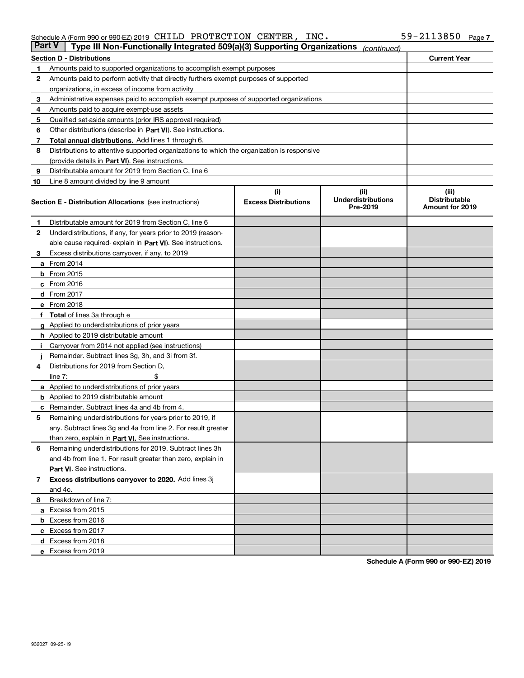#### Schedule A (Form 990 or 990-EZ) 2019 <code>CHILD PROTECTION CENTER</code> , <code>INC</code> .  $59-2113850$  <code>Page</code>

| Part V | Type III Non-Functionally Integrated 509(a)(3) Supporting Organizations                    |                             | (continued)                           |                                                |  |  |  |  |  |  |
|--------|--------------------------------------------------------------------------------------------|-----------------------------|---------------------------------------|------------------------------------------------|--|--|--|--|--|--|
|        | <b>Section D - Distributions</b>                                                           |                             |                                       | <b>Current Year</b>                            |  |  |  |  |  |  |
| 1      | Amounts paid to supported organizations to accomplish exempt purposes                      |                             |                                       |                                                |  |  |  |  |  |  |
| 2      | Amounts paid to perform activity that directly furthers exempt purposes of supported       |                             |                                       |                                                |  |  |  |  |  |  |
|        | organizations, in excess of income from activity                                           |                             |                                       |                                                |  |  |  |  |  |  |
| 3      | Administrative expenses paid to accomplish exempt purposes of supported organizations      |                             |                                       |                                                |  |  |  |  |  |  |
| 4      | Amounts paid to acquire exempt-use assets                                                  |                             |                                       |                                                |  |  |  |  |  |  |
| 5      | Qualified set-aside amounts (prior IRS approval required)                                  |                             |                                       |                                                |  |  |  |  |  |  |
| 6      | Other distributions (describe in Part VI). See instructions.                               |                             |                                       |                                                |  |  |  |  |  |  |
| 7      | Total annual distributions. Add lines 1 through 6.                                         |                             |                                       |                                                |  |  |  |  |  |  |
| 8      | Distributions to attentive supported organizations to which the organization is responsive |                             |                                       |                                                |  |  |  |  |  |  |
|        | (provide details in Part VI). See instructions.                                            |                             |                                       |                                                |  |  |  |  |  |  |
| 9      | Distributable amount for 2019 from Section C, line 6                                       |                             |                                       |                                                |  |  |  |  |  |  |
| 10     | Line 8 amount divided by line 9 amount                                                     |                             |                                       |                                                |  |  |  |  |  |  |
|        |                                                                                            | (i)                         | (iii)                                 | (iii)                                          |  |  |  |  |  |  |
|        | <b>Section E - Distribution Allocations</b> (see instructions)                             | <b>Excess Distributions</b> | <b>Underdistributions</b><br>Pre-2019 | <b>Distributable</b><br><b>Amount for 2019</b> |  |  |  |  |  |  |
| 1      | Distributable amount for 2019 from Section C, line 6                                       |                             |                                       |                                                |  |  |  |  |  |  |
| 2      | Underdistributions, if any, for years prior to 2019 (reason-                               |                             |                                       |                                                |  |  |  |  |  |  |
|        | able cause required- explain in Part VI). See instructions.                                |                             |                                       |                                                |  |  |  |  |  |  |
| з      | Excess distributions carryover, if any, to 2019                                            |                             |                                       |                                                |  |  |  |  |  |  |
|        | <b>a</b> From 2014                                                                         |                             |                                       |                                                |  |  |  |  |  |  |
|        | <b>b</b> From 2015                                                                         |                             |                                       |                                                |  |  |  |  |  |  |
|        | $c$ From 2016                                                                              |                             |                                       |                                                |  |  |  |  |  |  |
|        | <b>d</b> From 2017                                                                         |                             |                                       |                                                |  |  |  |  |  |  |
|        | e From 2018                                                                                |                             |                                       |                                                |  |  |  |  |  |  |
|        | <b>Total</b> of lines 3a through e                                                         |                             |                                       |                                                |  |  |  |  |  |  |
|        | <b>g</b> Applied to underdistributions of prior years                                      |                             |                                       |                                                |  |  |  |  |  |  |
|        | <b>h</b> Applied to 2019 distributable amount                                              |                             |                                       |                                                |  |  |  |  |  |  |
|        | Carryover from 2014 not applied (see instructions)                                         |                             |                                       |                                                |  |  |  |  |  |  |
|        | Remainder. Subtract lines 3g, 3h, and 3i from 3f.                                          |                             |                                       |                                                |  |  |  |  |  |  |
| 4      | Distributions for 2019 from Section D,                                                     |                             |                                       |                                                |  |  |  |  |  |  |
|        | line $7:$                                                                                  |                             |                                       |                                                |  |  |  |  |  |  |
|        | <b>a</b> Applied to underdistributions of prior years                                      |                             |                                       |                                                |  |  |  |  |  |  |
|        | <b>b</b> Applied to 2019 distributable amount                                              |                             |                                       |                                                |  |  |  |  |  |  |
|        | Remainder. Subtract lines 4a and 4b from 4.                                                |                             |                                       |                                                |  |  |  |  |  |  |
| 5      | Remaining underdistributions for years prior to 2019, if                                   |                             |                                       |                                                |  |  |  |  |  |  |
|        | any. Subtract lines 3g and 4a from line 2. For result greater                              |                             |                                       |                                                |  |  |  |  |  |  |
|        | than zero, explain in Part VI. See instructions.                                           |                             |                                       |                                                |  |  |  |  |  |  |
| 6      | Remaining underdistributions for 2019. Subtract lines 3h                                   |                             |                                       |                                                |  |  |  |  |  |  |
|        | and 4b from line 1. For result greater than zero, explain in                               |                             |                                       |                                                |  |  |  |  |  |  |
|        | Part VI. See instructions.                                                                 |                             |                                       |                                                |  |  |  |  |  |  |
| 7      | Excess distributions carryover to 2020. Add lines 3j                                       |                             |                                       |                                                |  |  |  |  |  |  |
|        | and 4c.                                                                                    |                             |                                       |                                                |  |  |  |  |  |  |
| 8      | Breakdown of line 7:                                                                       |                             |                                       |                                                |  |  |  |  |  |  |
|        | a Excess from 2015                                                                         |                             |                                       |                                                |  |  |  |  |  |  |
|        | <b>b</b> Excess from 2016                                                                  |                             |                                       |                                                |  |  |  |  |  |  |
|        | c Excess from 2017                                                                         |                             |                                       |                                                |  |  |  |  |  |  |
|        | d Excess from 2018                                                                         |                             |                                       |                                                |  |  |  |  |  |  |
|        | e Excess from 2019                                                                         |                             |                                       |                                                |  |  |  |  |  |  |

**Schedule A (Form 990 or 990-EZ) 2019**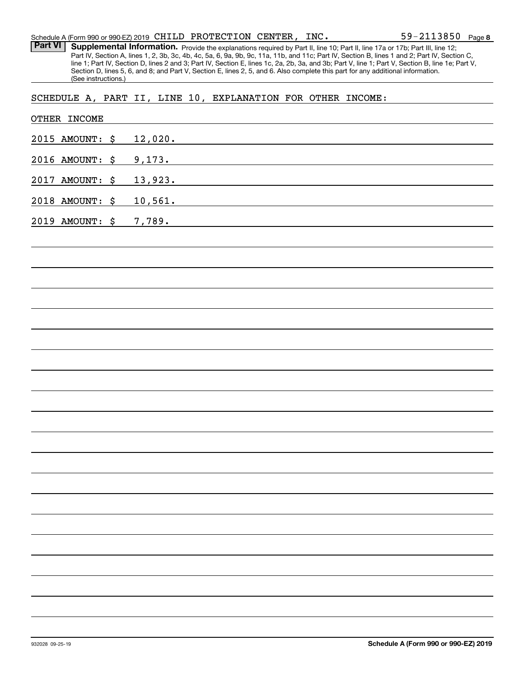Part VI | Supplemental Information. Provide the explanations required by Part II, line 10; Part II, line 17a or 17b; Part III, line 12; Part IV, Section A, lines 1, 2, 3b, 3c, 4b, 4c, 5a, 6, 9a, 9b, 9c, 11a, 11b, and 11c; Part IV, Section B, lines 1 and 2; Part IV, Section C, line 1; Part IV, Section D, lines 2 and 3; Part IV, Section E, lines 1c, 2a, 2b, 3a, and 3b; Part V, line 1; Part V, Section B, line 1e; Part V, Section D, lines 5, 6, and 8; and Part V, Section E, lines 2, 5, and 6. Also complete this part for any additional information. (See instructions.)

SCHEDULE A, PART II, LINE 10, EXPLANATION FOR OTHER INCOME:

|      | OTHER INCOME    |                                                                                                                                  |
|------|-----------------|----------------------------------------------------------------------------------------------------------------------------------|
|      | 2015 AMOUNT: \$ | 12,020.                                                                                                                          |
|      | 2016 AMOUNT: \$ | 9,173.<br><u> 1980 - Johann Barn, amerikansk politiker (d. 1980)</u>                                                             |
| 2017 | AMOUNT: \$      | 13,923.<br><u> 1989 - Johann Stein, marwolaethau a bhann an t-Albann an t-Albann an t-Albann an t-Albann an t-Albann an t-Al</u> |
|      | 2018 AMOUNT: \$ | 10,561.                                                                                                                          |
|      | 2019 AMOUNT: \$ | 7,789.<br><u> 1980 - Johann Barbara, martxa alemaniar arg</u>                                                                    |
|      |                 |                                                                                                                                  |
|      |                 |                                                                                                                                  |
|      |                 |                                                                                                                                  |
|      |                 |                                                                                                                                  |
|      |                 |                                                                                                                                  |
|      |                 |                                                                                                                                  |
|      |                 |                                                                                                                                  |
|      |                 |                                                                                                                                  |
|      |                 |                                                                                                                                  |
|      |                 |                                                                                                                                  |
|      |                 |                                                                                                                                  |
|      |                 |                                                                                                                                  |
|      |                 |                                                                                                                                  |
|      |                 |                                                                                                                                  |
|      |                 |                                                                                                                                  |
|      |                 |                                                                                                                                  |
|      |                 |                                                                                                                                  |
|      |                 |                                                                                                                                  |
|      |                 |                                                                                                                                  |
|      |                 |                                                                                                                                  |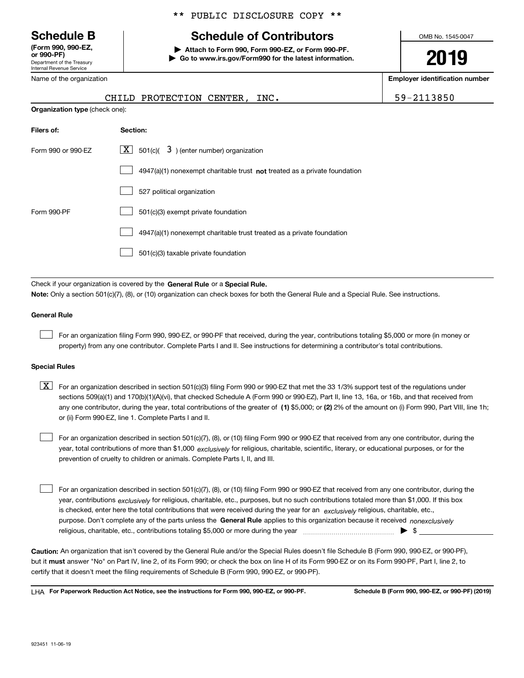Department of the Treasury Internal Revenue Service **(Form 990, 990-EZ, or 990-PF)**

Name of the organization

#### \*\* PUBLIC DISCLOSURE COPY \*\*

# **Schedule B Schedule of Contributors**

**| Attach to Form 990, Form 990-EZ, or Form 990-PF. | Go to www.irs.gov/Form990 for the latest information.** OMB No. 1545-0047

**2019**

**Employer identification number**

|                                       | CHILD PROTECTION CENTER. | INC. | 59-2113850 |
|---------------------------------------|--------------------------|------|------------|
| <b>Organization type</b> (check one): |                          |      |            |

| $\lfloor x \rfloor$ 501(c)( 3) (enter number) organization                |
|---------------------------------------------------------------------------|
| 4947(a)(1) nonexempt charitable trust not treated as a private foundation |
| 527 political organization                                                |
| 501(c)(3) exempt private foundation                                       |
| 4947(a)(1) nonexempt charitable trust treated as a private foundation     |
| 501(c)(3) taxable private foundation                                      |
|                                                                           |

Check if your organization is covered by the **General Rule** or a **Special Rule. Note:**  Only a section 501(c)(7), (8), or (10) organization can check boxes for both the General Rule and a Special Rule. See instructions.

#### **General Rule**

 $\mathcal{L}^{\text{max}}$ 

For an organization filing Form 990, 990-EZ, or 990-PF that received, during the year, contributions totaling \$5,000 or more (in money or property) from any one contributor. Complete Parts I and II. See instructions for determining a contributor's total contributions.

#### **Special Rules**

any one contributor, during the year, total contributions of the greater of  $\,$  (1) \$5,000; or **(2)** 2% of the amount on (i) Form 990, Part VIII, line 1h;  $\boxed{\textbf{X}}$  For an organization described in section 501(c)(3) filing Form 990 or 990-EZ that met the 33 1/3% support test of the regulations under sections 509(a)(1) and 170(b)(1)(A)(vi), that checked Schedule A (Form 990 or 990-EZ), Part II, line 13, 16a, or 16b, and that received from or (ii) Form 990-EZ, line 1. Complete Parts I and II.

year, total contributions of more than \$1,000 *exclusively* for religious, charitable, scientific, literary, or educational purposes, or for the For an organization described in section 501(c)(7), (8), or (10) filing Form 990 or 990-EZ that received from any one contributor, during the prevention of cruelty to children or animals. Complete Parts I, II, and III.  $\mathcal{L}^{\text{max}}$ 

purpose. Don't complete any of the parts unless the **General Rule** applies to this organization because it received *nonexclusively* year, contributions <sub>exclusively</sub> for religious, charitable, etc., purposes, but no such contributions totaled more than \$1,000. If this box is checked, enter here the total contributions that were received during the year for an  $\;$ exclusively religious, charitable, etc., For an organization described in section 501(c)(7), (8), or (10) filing Form 990 or 990-EZ that received from any one contributor, during the religious, charitable, etc., contributions totaling \$5,000 or more during the year  $\Box$ — $\Box$   $\Box$  $\mathcal{L}^{\text{max}}$ 

**Caution:**  An organization that isn't covered by the General Rule and/or the Special Rules doesn't file Schedule B (Form 990, 990-EZ, or 990-PF),  **must** but it answer "No" on Part IV, line 2, of its Form 990; or check the box on line H of its Form 990-EZ or on its Form 990-PF, Part I, line 2, to certify that it doesn't meet the filing requirements of Schedule B (Form 990, 990-EZ, or 990-PF).

**For Paperwork Reduction Act Notice, see the instructions for Form 990, 990-EZ, or 990-PF. Schedule B (Form 990, 990-EZ, or 990-PF) (2019)** LHA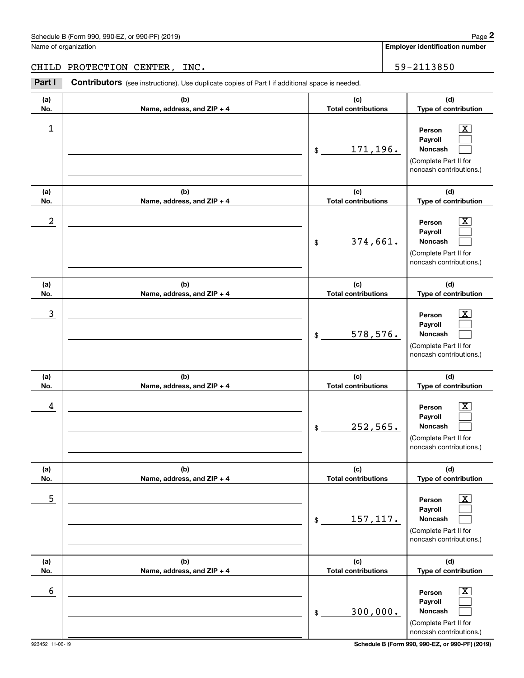Name of organization

**Employer identification number**

CHILD PROTECTION CENTER, INC.  $\vert$  59-2113850

**(a)No.(b)Name, address, and ZIP + 4 (c)Total contributions (d)Type of contribution PersonPayrollNoncash (a)No.(b)Name, address, and ZIP + 4 (c)Total contributions (d)Type of contribution PersonPayrollNoncash (a)No.(b)Name, address, and ZIP + 4 (c)Total contributions (d)Type of contribution PersonPayrollNoncash (a) No.(b) Name, address, and ZIP + 4 (c) Total contributions (d) Type of contribution Person Payroll Noncash(a) No.(b) Name, address, and ZIP + 4 (c) Total contributions (d) Type of contribution PersonPayrollNoncash (a) No.(b)Name, address, and ZIP + 4 (c) Total contributions (d) Type of contribution PersonPayrollNoncash** Contributors (see instructions). Use duplicate copies of Part I if additional space is needed. \$(Complete Part II for noncash contributions.) \$(Complete Part II for noncash contributions.) \$(Complete Part II for noncash contributions.) \$(Complete Part II for noncash contributions.) \$(Complete Part II for noncash contributions.) \$(Complete Part II for noncash contributions.) Chedule B (Form 990, 990-EZ, or 990-PF) (2019)<br> **2Page 2 2Part I 2PACTECTION CENTER, INC.**<br> **2Part I Contributors** (see instructions). Use duplicate copies of Part I if additional space is needed.  $|X|$  $\mathcal{L}^{\text{max}}$  $\mathcal{L}^{\text{max}}$  $\boxed{\text{X}}$  $\mathcal{L}^{\text{max}}$  $\mathcal{L}^{\text{max}}$  $|X|$  $\mathcal{L}^{\text{max}}$  $\mathcal{L}^{\text{max}}$  $\boxed{\text{X}}$  $\mathcal{L}^{\text{max}}$  $\mathcal{L}^{\text{max}}$  $|X|$  $\mathcal{L}^{\text{max}}$  $\mathcal{L}^{\text{max}}$  $\boxed{\text{X}}$  $\mathcal{L}^{\text{max}}$  $\mathcal{L}^{\text{max}}$  $\begin{array}{c|c|c|c|c|c} 1 & \hspace{1.5cm} & \hspace{1.5cm} & \hspace{1.5cm} & \hspace{1.5cm} & \hspace{1.5cm} & \hspace{1.5cm} & \hspace{1.5cm} & \hspace{1.5cm} & \hspace{1.5cm} & \hspace{1.5cm} & \hspace{1.5cm} & \hspace{1.5cm} & \hspace{1.5cm} & \hspace{1.5cm} & \hspace{1.5cm} & \hspace{1.5cm} & \hspace{1.5cm} & \hspace{1.5cm} & \hspace{1.5cm} & \hspace{1.5cm} &$ 171,196.  $2$  | Person  $\overline{\text{X}}$ 374,661.  $\overline{3}$  | Person  $\overline{X}$ 578,576.  $4$  | Person  $\overline{\text{X}}$ 252,565.  $\sim$  5 | Person X 157,117.  $\sim$  6 | Person X 300,000.

923452 11-06-19 **Schedule B (Form 990, 990-EZ, or 990-PF) (2019)**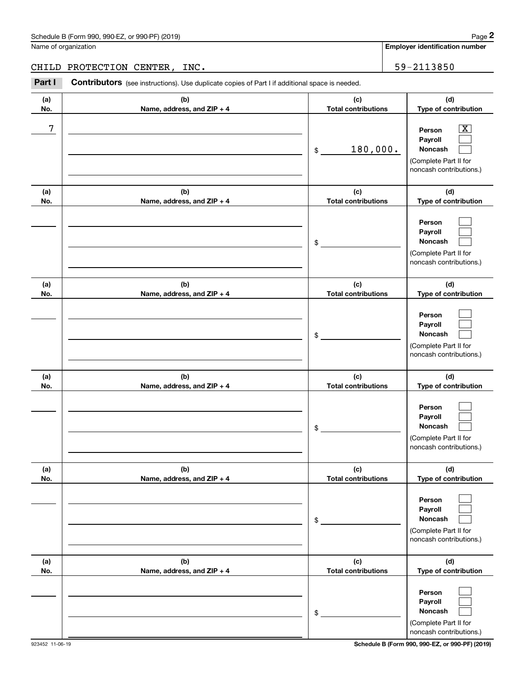|            | Schedule B (Form 990, 990-EZ, or 990-PF) (2019)                                                       |                                   | Page 2                                                                                                          |
|------------|-------------------------------------------------------------------------------------------------------|-----------------------------------|-----------------------------------------------------------------------------------------------------------------|
|            | Name of organization                                                                                  |                                   | <b>Employer identification number</b>                                                                           |
| CHILD      | PROTECTION CENTER,<br>INC.                                                                            |                                   | 59-2113850                                                                                                      |
| Part I     | <b>Contributors</b> (see instructions). Use duplicate copies of Part I if additional space is needed. |                                   |                                                                                                                 |
| (a)<br>No. | (b)<br>Name, address, and ZIP + 4                                                                     | (c)<br><b>Total contributions</b> | (d)<br>Type of contribution                                                                                     |
| 7          |                                                                                                       | 180,000.<br>\$                    | $\overline{\text{X}}$<br>Person<br>Payroll<br>Noncash<br>(Complete Part II for<br>noncash contributions.)       |
| (a)        | (b)                                                                                                   | (c)                               | (d)                                                                                                             |
| No.        | Name, address, and ZIP + 4                                                                            | <b>Total contributions</b><br>\$  | Type of contribution<br>Person<br>Payroll<br><b>Noncash</b><br>(Complete Part II for<br>noncash contributions.) |
| (a)<br>No. | (b)<br>Name, address, and ZIP + 4                                                                     | (c)<br><b>Total contributions</b> | (d)<br>Type of contribution                                                                                     |
|            |                                                                                                       | \$                                | Person<br>Payroll<br>Noncash<br>(Complete Part II for<br>noncash contributions.)                                |
| (a)<br>No. | (b)<br>Name, address, and ZIP + 4                                                                     | (c)<br><b>Total contributions</b> | (d)<br>Type of contribution                                                                                     |
|            |                                                                                                       | \$                                | Person<br>Payroll<br>Noncash<br>(Complete Part II for<br>noncash contributions.)                                |
| (a)<br>No. | (b)<br>Name, address, and ZIP + 4                                                                     | (c)<br><b>Total contributions</b> | (d)<br>Type of contribution                                                                                     |
|            |                                                                                                       | \$                                | Person<br>Payroll<br>Noncash<br>(Complete Part II for<br>noncash contributions.)                                |
| (a)<br>No. | (b)<br>Name, address, and ZIP + 4                                                                     | (c)<br><b>Total contributions</b> | (d)<br>Type of contribution                                                                                     |
|            |                                                                                                       | \$                                | Person<br>Payroll<br>Noncash<br>(Complete Part II for<br>noncash contributions.)                                |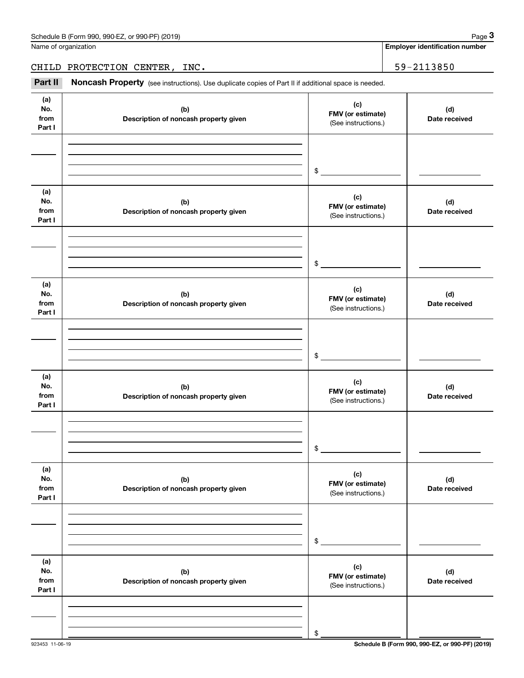| Schedule B (Form 990, 990-EZ, or 990-PF) (2019) | Page |
|-------------------------------------------------|------|
|-------------------------------------------------|------|

Name of organization

**Employer identification number**

CHILD PROTECTION CENTER, INC. 59-2113850

(see instructions). Use duplicate copies of Part II if additional space is needed.<br> **2Part II Noncash Property** (see instructions). Use duplicate copies of Part II if additional space is needed.<br> **2Part II Noncash Prop** 

| (a)<br>No.<br>from<br>Part I | (b)<br>Description of noncash property given | (c)<br>FMV (or estimate)<br>(See instructions.) | (d)<br>Date received |
|------------------------------|----------------------------------------------|-------------------------------------------------|----------------------|
|                              |                                              | $\frac{1}{2}$                                   |                      |
| (a)<br>No.<br>from<br>Part I | (b)<br>Description of noncash property given | (c)<br>FMV (or estimate)<br>(See instructions.) | (d)<br>Date received |
|                              |                                              | $\frac{1}{2}$                                   |                      |
| (a)<br>No.<br>from<br>Part I | (b)<br>Description of noncash property given | (c)<br>FMV (or estimate)<br>(See instructions.) | (d)<br>Date received |
|                              |                                              | $\mathfrak{S}$                                  |                      |
| (a)<br>No.<br>from<br>Part I | (b)<br>Description of noncash property given | (c)<br>FMV (or estimate)<br>(See instructions.) | (d)<br>Date received |
|                              |                                              | $\sim$                                          |                      |
| (a)<br>No.<br>from<br>Part I | (b)<br>Description of noncash property given | (c)<br>FMV (or estimate)<br>(See instructions.) | (d)<br>Date received |
|                              |                                              | \$                                              |                      |
| (a)<br>No.<br>from<br>Part I | (b)<br>Description of noncash property given | (c)<br>FMV (or estimate)<br>(See instructions.) | (d)<br>Date received |
|                              |                                              | \$                                              |                      |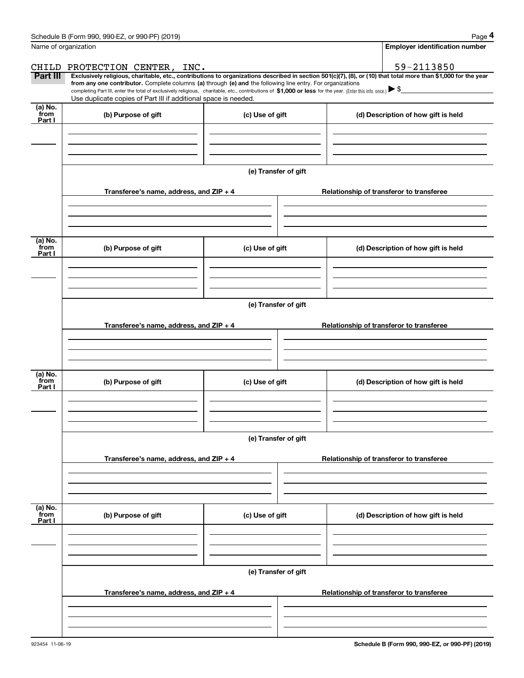|                           | Schedule B (Form 990, 990-EZ, or 990-PF) (2019)                                                                                                                                                                                                                            |                      | Page 4                                                                                                                                                         |
|---------------------------|----------------------------------------------------------------------------------------------------------------------------------------------------------------------------------------------------------------------------------------------------------------------------|----------------------|----------------------------------------------------------------------------------------------------------------------------------------------------------------|
|                           | Name of organization                                                                                                                                                                                                                                                       |                      | <b>Employer identification number</b>                                                                                                                          |
|                           | CHILD PROTECTION CENTER, INC.                                                                                                                                                                                                                                              |                      | 59-2113850                                                                                                                                                     |
| <b>Part III</b>           | from any one contributor. Complete columns (a) through (e) and the following line entry. For organizations<br>completing Part III, enter the total of exclusively religious, charitable, etc., contributions of \$1,000 or less for the year. (Enter this info. once.) \\$ |                      | Exclusively religious, charitable, etc., contributions to organizations described in section 501(c)(7), (8), or (10) that total more than \$1,000 for the year |
|                           | Use duplicate copies of Part III if additional space is needed.                                                                                                                                                                                                            |                      |                                                                                                                                                                |
| (a) No.<br>from<br>Part I | (b) Purpose of gift                                                                                                                                                                                                                                                        | (c) Use of gift      | (d) Description of how gift is held                                                                                                                            |
|                           |                                                                                                                                                                                                                                                                            |                      |                                                                                                                                                                |
|                           |                                                                                                                                                                                                                                                                            |                      |                                                                                                                                                                |
|                           |                                                                                                                                                                                                                                                                            | (e) Transfer of gift |                                                                                                                                                                |
|                           | Transferee's name, address, and ZIP + 4                                                                                                                                                                                                                                    |                      | Relationship of transferor to transferee                                                                                                                       |
|                           |                                                                                                                                                                                                                                                                            |                      |                                                                                                                                                                |
| (a) No.<br>from<br>Part I | (b) Purpose of gift                                                                                                                                                                                                                                                        | (c) Use of gift      | (d) Description of how gift is held                                                                                                                            |
|                           |                                                                                                                                                                                                                                                                            |                      |                                                                                                                                                                |
|                           |                                                                                                                                                                                                                                                                            |                      |                                                                                                                                                                |
|                           |                                                                                                                                                                                                                                                                            | (e) Transfer of gift |                                                                                                                                                                |
|                           | Transferee's name, address, and ZIP + 4                                                                                                                                                                                                                                    |                      | Relationship of transferor to transferee                                                                                                                       |
|                           |                                                                                                                                                                                                                                                                            |                      |                                                                                                                                                                |
| (a) No.<br>from<br>Part I | (b) Purpose of gift                                                                                                                                                                                                                                                        | (c) Use of gift      | (d) Description of how gift is held                                                                                                                            |
|                           |                                                                                                                                                                                                                                                                            |                      |                                                                                                                                                                |
|                           |                                                                                                                                                                                                                                                                            | (e) Transfer of gift |                                                                                                                                                                |
|                           | Transferee's name, address, and $ZIP + 4$                                                                                                                                                                                                                                  |                      | Relationship of transferor to transferee                                                                                                                       |
|                           |                                                                                                                                                                                                                                                                            |                      |                                                                                                                                                                |
| (a) No.<br>from<br>Part I | (b) Purpose of gift                                                                                                                                                                                                                                                        | (c) Use of gift      | (d) Description of how gift is held                                                                                                                            |
|                           |                                                                                                                                                                                                                                                                            |                      |                                                                                                                                                                |
|                           |                                                                                                                                                                                                                                                                            |                      |                                                                                                                                                                |
|                           |                                                                                                                                                                                                                                                                            | (e) Transfer of gift |                                                                                                                                                                |
|                           | Transferee's name, address, and $ZIP + 4$                                                                                                                                                                                                                                  |                      | Relationship of transferor to transferee                                                                                                                       |
|                           |                                                                                                                                                                                                                                                                            |                      |                                                                                                                                                                |
|                           |                                                                                                                                                                                                                                                                            |                      |                                                                                                                                                                |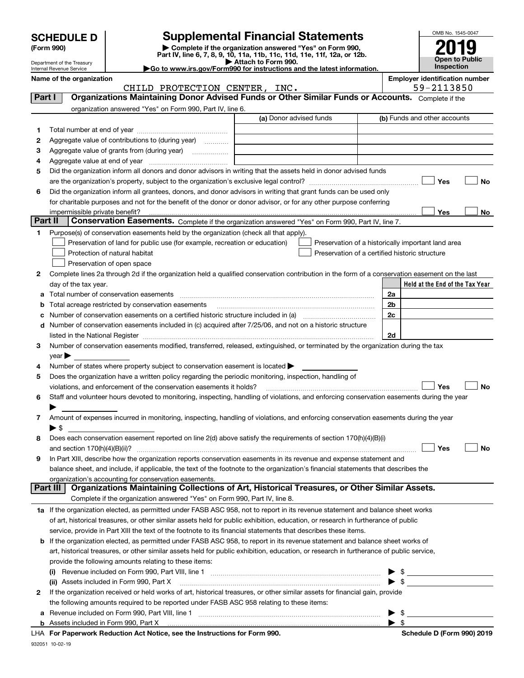| <b>SCHEDULE D</b> |  |
|-------------------|--|
|-------------------|--|

## **SCHEDULE D Supplemental Financial Statements**

**(Form 990)** (**Form 990,**<br>Part IV, line 6, 7, 8, 9, 10, 11a, 11b, 11c, 11d, 11e, 11f, 12a, or 12b.<br>Department of the Treasury **and Exercise Connect Connect Connect Connect Connect Connect Connect Connect Connect** 



Department of the Treasury Internal Revenue Service

| Attach to Form 990.                                                                          |
|----------------------------------------------------------------------------------------------|
| $\blacktriangleright$ Go to www.irs.gov/Form990 for instructions and the latest information. |

| nployer identification number |  |
|-------------------------------|--|

|    | Name of the organization<br>CHILD PROTECTION CENTER, INC.                                                                                                                                                                     |                         | <b>Employer identification number</b><br>59-2113850 |
|----|-------------------------------------------------------------------------------------------------------------------------------------------------------------------------------------------------------------------------------|-------------------------|-----------------------------------------------------|
|    | Organizations Maintaining Donor Advised Funds or Other Similar Funds or Accounts. Complete if the<br>Part I                                                                                                                   |                         |                                                     |
|    | organization answered "Yes" on Form 990, Part IV, line 6.                                                                                                                                                                     |                         |                                                     |
|    |                                                                                                                                                                                                                               | (a) Donor advised funds | (b) Funds and other accounts                        |
| 1. |                                                                                                                                                                                                                               |                         |                                                     |
| 2  | Aggregate value of contributions to (during year)                                                                                                                                                                             |                         |                                                     |
| з  | Aggregate value of grants from (during year)                                                                                                                                                                                  |                         |                                                     |
| 4  |                                                                                                                                                                                                                               |                         |                                                     |
| 5  | Did the organization inform all donors and donor advisors in writing that the assets held in donor advised funds                                                                                                              |                         |                                                     |
|    |                                                                                                                                                                                                                               |                         | Yes<br>No                                           |
| 6  | Did the organization inform all grantees, donors, and donor advisors in writing that grant funds can be used only                                                                                                             |                         |                                                     |
|    | for charitable purposes and not for the benefit of the donor or donor advisor, or for any other purpose conferring                                                                                                            |                         |                                                     |
|    |                                                                                                                                                                                                                               |                         | Yes<br>No                                           |
|    | Part II<br>Conservation Easements. Complete if the organization answered "Yes" on Form 990, Part IV, line 7.                                                                                                                  |                         |                                                     |
| 1  | Purpose(s) of conservation easements held by the organization (check all that apply).                                                                                                                                         |                         |                                                     |
|    | Preservation of land for public use (for example, recreation or education)                                                                                                                                                    |                         | Preservation of a historically important land area  |
|    | Protection of natural habitat                                                                                                                                                                                                 |                         | Preservation of a certified historic structure      |
|    | Preservation of open space                                                                                                                                                                                                    |                         |                                                     |
| 2  | Complete lines 2a through 2d if the organization held a qualified conservation contribution in the form of a conservation easement on the last                                                                                |                         |                                                     |
|    | day of the tax year.                                                                                                                                                                                                          |                         | Held at the End of the Tax Year                     |
| а  | Total number of conservation easements                                                                                                                                                                                        |                         | 2a                                                  |
| b  | Total acreage restricted by conservation easements                                                                                                                                                                            |                         | 2 <sub>b</sub>                                      |
|    |                                                                                                                                                                                                                               |                         | 2c                                                  |
| d  | Number of conservation easements included in (c) acquired after 7/25/06, and not on a historic structure                                                                                                                      |                         |                                                     |
|    | listed in the National Register [[11] matter contract the state of the state of the National Register [11] matter contract the National Register [11] matter contract the National Register [11] matter contract the National |                         | 2d                                                  |
| 3  | Number of conservation easements modified, transferred, released, extinguished, or terminated by the organization during the tax                                                                                              |                         |                                                     |
|    | year $\blacktriangleright$                                                                                                                                                                                                    |                         |                                                     |
| 4  | Number of states where property subject to conservation easement is located >                                                                                                                                                 |                         |                                                     |
| 5  | Does the organization have a written policy regarding the periodic monitoring, inspection, handling of                                                                                                                        |                         |                                                     |
|    | violations, and enforcement of the conservation easements it holds?                                                                                                                                                           |                         | Yes<br><b>No</b>                                    |
| 6  | Staff and volunteer hours devoted to monitoring, inspecting, handling of violations, and enforcing conservation easements during the year                                                                                     |                         |                                                     |
|    | Amount of expenses incurred in monitoring, inspecting, handling of violations, and enforcing conservation easements during the year                                                                                           |                         |                                                     |
| 7  | $\blacktriangleright$ \$                                                                                                                                                                                                      |                         |                                                     |
| 8  | Does each conservation easement reported on line 2(d) above satisfy the requirements of section 170(h)(4)(B)(i)                                                                                                               |                         |                                                     |
|    | and section 170(h)(4)(B)(ii)?                                                                                                                                                                                                 |                         | Yes<br><b>No</b>                                    |
| 9  | In Part XIII, describe how the organization reports conservation easements in its revenue and expense statement and                                                                                                           |                         |                                                     |
|    | balance sheet, and include, if applicable, the text of the footnote to the organization's financial statements that describes the                                                                                             |                         |                                                     |
|    | organization's accounting for conservation easements.                                                                                                                                                                         |                         |                                                     |
|    | Organizations Maintaining Collections of Art, Historical Treasures, or Other Similar Assets.<br>Part III                                                                                                                      |                         |                                                     |
|    | Complete if the organization answered "Yes" on Form 990, Part IV, line 8.                                                                                                                                                     |                         |                                                     |
|    | 1a If the organization elected, as permitted under FASB ASC 958, not to report in its revenue statement and balance sheet works                                                                                               |                         |                                                     |
|    | of art, historical treasures, or other similar assets held for public exhibition, education, or research in furtherance of public                                                                                             |                         |                                                     |
|    | service, provide in Part XIII the text of the footnote to its financial statements that describes these items.                                                                                                                |                         |                                                     |
|    | <b>b</b> If the organization elected, as permitted under FASB ASC 958, to report in its revenue statement and balance sheet works of                                                                                          |                         |                                                     |
|    | art, historical treasures, or other similar assets held for public exhibition, education, or research in furtherance of public service,                                                                                       |                         |                                                     |
|    | provide the following amounts relating to these items:                                                                                                                                                                        |                         |                                                     |
|    |                                                                                                                                                                                                                               |                         | $\blacktriangleright$ \$                            |
|    | (ii) Assets included in Form 990, Part X                                                                                                                                                                                      |                         | $\blacktriangleright$ \$                            |
| 2  | If the organization received or held works of art, historical treasures, or other similar assets for financial gain, provide                                                                                                  |                         |                                                     |
|    | the following amounts required to be reported under FASB ASC 958 relating to these items:                                                                                                                                     |                         |                                                     |
|    | <b>a</b> Revenue included on Form 990, Part VIII, line 1                                                                                                                                                                      |                         | $\blacktriangleright$ s                             |

**a**Revenue included on Form 990, Part VIII, line 1 ~~~~~~~~~~~~~~~~~~~~~~~~~~~~~~

 $\blacktriangleright$  \$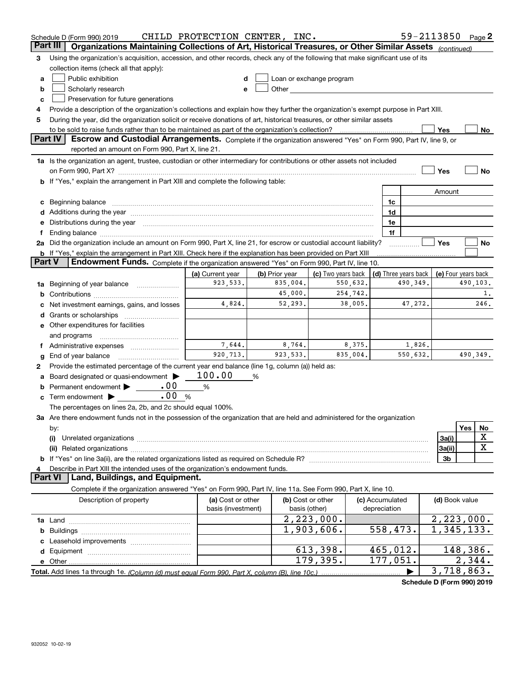|               | Schedule D (Form 990) 2019                                                                                                                                                                                                     | CHILD PROTECTION CENTER, INC.           |                |                                                                                                                                                                                                                                |         |                                 |                      | 59-2113850 Page 2        |          |             |
|---------------|--------------------------------------------------------------------------------------------------------------------------------------------------------------------------------------------------------------------------------|-----------------------------------------|----------------|--------------------------------------------------------------------------------------------------------------------------------------------------------------------------------------------------------------------------------|---------|---------------------------------|----------------------|--------------------------|----------|-------------|
|               | Organizations Maintaining Collections of Art, Historical Treasures, or Other Similar Assets (continued)<br>Part III                                                                                                            |                                         |                |                                                                                                                                                                                                                                |         |                                 |                      |                          |          |             |
| 3             | Using the organization's acquisition, accession, and other records, check any of the following that make significant use of its                                                                                                |                                         |                |                                                                                                                                                                                                                                |         |                                 |                      |                          |          |             |
|               | collection items (check all that apply):                                                                                                                                                                                       |                                         |                |                                                                                                                                                                                                                                |         |                                 |                      |                          |          |             |
| a             | Public exhibition                                                                                                                                                                                                              |                                         |                | Loan or exchange program                                                                                                                                                                                                       |         |                                 |                      |                          |          |             |
| b             | Scholarly research                                                                                                                                                                                                             | e                                       |                | Other the contract of the contract of the contract of the contract of the contract of the contract of the contract of the contract of the contract of the contract of the contract of the contract of the contract of the cont |         |                                 |                      |                          |          |             |
| c             | Preservation for future generations                                                                                                                                                                                            |                                         |                |                                                                                                                                                                                                                                |         |                                 |                      |                          |          |             |
| 4             | Provide a description of the organization's collections and explain how they further the organization's exempt purpose in Part XIII.                                                                                           |                                         |                |                                                                                                                                                                                                                                |         |                                 |                      |                          |          |             |
| 5             | During the year, did the organization solicit or receive donations of art, historical treasures, or other similar assets                                                                                                       |                                         |                |                                                                                                                                                                                                                                |         |                                 |                      |                          |          |             |
|               | to be sold to raise funds rather than to be maintained as part of the organization's collection?                                                                                                                               |                                         |                |                                                                                                                                                                                                                                |         |                                 |                      | Yes                      |          | No          |
|               | <b>Part IV</b><br>Escrow and Custodial Arrangements. Complete if the organization answered "Yes" on Form 990, Part IV, line 9, or                                                                                              |                                         |                |                                                                                                                                                                                                                                |         |                                 |                      |                          |          |             |
|               | reported an amount on Form 990, Part X, line 21.                                                                                                                                                                               |                                         |                |                                                                                                                                                                                                                                |         |                                 |                      |                          |          |             |
|               | 1a Is the organization an agent, trustee, custodian or other intermediary for contributions or other assets not included                                                                                                       |                                         |                |                                                                                                                                                                                                                                |         |                                 |                      |                          |          |             |
|               | on Form 990, Part X? [11] matter continuum matter contract to the contract of the contract of the contract of the contract of the contract of the contract of the contract of the contract of the contract of the contract of  |                                         |                |                                                                                                                                                                                                                                |         |                                 |                      | Yes                      |          | No          |
|               | b If "Yes," explain the arrangement in Part XIII and complete the following table:                                                                                                                                             |                                         |                |                                                                                                                                                                                                                                |         |                                 |                      |                          |          |             |
|               |                                                                                                                                                                                                                                |                                         |                |                                                                                                                                                                                                                                |         |                                 |                      | Amount                   |          |             |
|               | c Beginning balance measurements and the contract of the contract of the contract of the contract of the contract of the contract of the contract of the contract of the contract of the contract of the contract of the contr |                                         |                |                                                                                                                                                                                                                                |         | 1c                              |                      |                          |          |             |
|               |                                                                                                                                                                                                                                |                                         |                |                                                                                                                                                                                                                                |         | 1d                              |                      |                          |          |             |
|               | e Distributions during the year manufactured and continuum and contract the year manufactured and contract the                                                                                                                 |                                         |                |                                                                                                                                                                                                                                |         | 1e<br>1f                        |                      |                          |          |             |
|               | 2a Did the organization include an amount on Form 990, Part X, line 21, for escrow or custodial account liability?                                                                                                             |                                         |                |                                                                                                                                                                                                                                |         |                                 |                      | Yes                      |          | No          |
|               | <b>b</b> If "Yes," explain the arrangement in Part XIII. Check here if the explanation has been provided on Part XIII                                                                                                          |                                         |                |                                                                                                                                                                                                                                |         |                                 |                      |                          |          |             |
| <b>Part V</b> | Endowment Funds. Complete if the organization answered "Yes" on Form 990, Part IV, line 10.                                                                                                                                    |                                         |                |                                                                                                                                                                                                                                |         |                                 |                      |                          |          |             |
|               |                                                                                                                                                                                                                                | (a) Current year                        | (b) Prior year | (c) Two years back                                                                                                                                                                                                             |         |                                 | (d) Three years back | (e) Four years back      |          |             |
| 1a            | Beginning of year balance                                                                                                                                                                                                      | 923,533.                                | 835,004.       | 550,632.                                                                                                                                                                                                                       |         |                                 | 490,349.             |                          | 490,103. |             |
|               |                                                                                                                                                                                                                                |                                         | 45,000.        | 254,742.                                                                                                                                                                                                                       |         |                                 |                      |                          |          | 1.          |
|               | Net investment earnings, gains, and losses                                                                                                                                                                                     | 4,824.                                  | 52,293.        |                                                                                                                                                                                                                                | 38,005. |                                 | 47,272.              |                          |          | 246.        |
|               |                                                                                                                                                                                                                                |                                         |                |                                                                                                                                                                                                                                |         |                                 |                      |                          |          |             |
|               | e Other expenditures for facilities                                                                                                                                                                                            |                                         |                |                                                                                                                                                                                                                                |         |                                 |                      |                          |          |             |
|               | and programs                                                                                                                                                                                                                   |                                         |                |                                                                                                                                                                                                                                |         |                                 |                      |                          |          |             |
|               | f Administrative expenses                                                                                                                                                                                                      | 7,644.                                  | 8,764.         |                                                                                                                                                                                                                                | 8,375.  |                                 | 1,826.               |                          |          |             |
| g             | End of year balance                                                                                                                                                                                                            | 920,713.                                | 923, 533.      | 835,004.                                                                                                                                                                                                                       |         |                                 | 550,632.             |                          | 490,349. |             |
| 2             | Provide the estimated percentage of the current year end balance (line 1g, column (a)) held as:                                                                                                                                |                                         |                |                                                                                                                                                                                                                                |         |                                 |                      |                          |          |             |
|               | Board designated or quasi-endowment                                                                                                                                                                                            | 100.00                                  | %              |                                                                                                                                                                                                                                |         |                                 |                      |                          |          |             |
|               | .00<br>Permanent endowment >                                                                                                                                                                                                   | %                                       |                |                                                                                                                                                                                                                                |         |                                 |                      |                          |          |             |
|               | .00<br><b>c</b> Term endowment $\blacktriangleright$                                                                                                                                                                           | %                                       |                |                                                                                                                                                                                                                                |         |                                 |                      |                          |          |             |
|               | The percentages on lines 2a, 2b, and 2c should equal 100%.                                                                                                                                                                     |                                         |                |                                                                                                                                                                                                                                |         |                                 |                      |                          |          |             |
|               | 3a Are there endowment funds not in the possession of the organization that are held and administered for the organization                                                                                                     |                                         |                |                                                                                                                                                                                                                                |         |                                 |                      |                          |          |             |
|               | by:                                                                                                                                                                                                                            |                                         |                |                                                                                                                                                                                                                                |         |                                 |                      |                          | Yes      | No          |
|               | (i)                                                                                                                                                                                                                            |                                         |                |                                                                                                                                                                                                                                |         |                                 |                      | 3a(i)                    |          | X           |
|               |                                                                                                                                                                                                                                |                                         |                |                                                                                                                                                                                                                                |         |                                 |                      | 3a(ii)                   |          | $\mathbf X$ |
|               |                                                                                                                                                                                                                                |                                         |                |                                                                                                                                                                                                                                |         |                                 |                      | 3b                       |          |             |
| 4             | Describe in Part XIII the intended uses of the organization's endowment funds.<br>Land, Buildings, and Equipment.<br><b>Part VI</b>                                                                                            |                                         |                |                                                                                                                                                                                                                                |         |                                 |                      |                          |          |             |
|               |                                                                                                                                                                                                                                |                                         |                |                                                                                                                                                                                                                                |         |                                 |                      |                          |          |             |
|               | Complete if the organization answered "Yes" on Form 990, Part IV, line 11a. See Form 990, Part X, line 10.                                                                                                                     |                                         |                |                                                                                                                                                                                                                                |         |                                 |                      |                          |          |             |
|               | Description of property                                                                                                                                                                                                        | (a) Cost or other<br>basis (investment) |                | (b) Cost or other<br>basis (other)                                                                                                                                                                                             |         | (c) Accumulated<br>depreciation |                      | (d) Book value           |          |             |
|               |                                                                                                                                                                                                                                |                                         |                | 2, 223, 000.                                                                                                                                                                                                                   |         |                                 |                      | 2,223,000.               |          |             |
|               |                                                                                                                                                                                                                                |                                         |                | $\overline{1,}$ 903, 606.                                                                                                                                                                                                      |         | 558,473.                        |                      | $\overline{1,345,133}$ . |          |             |
|               |                                                                                                                                                                                                                                |                                         |                |                                                                                                                                                                                                                                |         |                                 |                      |                          |          |             |
|               |                                                                                                                                                                                                                                |                                         |                | 613,398.                                                                                                                                                                                                                       |         | 465,012.                        |                      | 148,386.                 |          |             |
|               | e Other                                                                                                                                                                                                                        |                                         |                | 179,395.                                                                                                                                                                                                                       |         | 177,051.                        |                      |                          | 2,344.   |             |
|               |                                                                                                                                                                                                                                |                                         |                |                                                                                                                                                                                                                                |         |                                 |                      | 3,718,863.               |          |             |
|               |                                                                                                                                                                                                                                |                                         |                |                                                                                                                                                                                                                                |         |                                 |                      |                          |          |             |

**Schedule D (Form 990) 2019**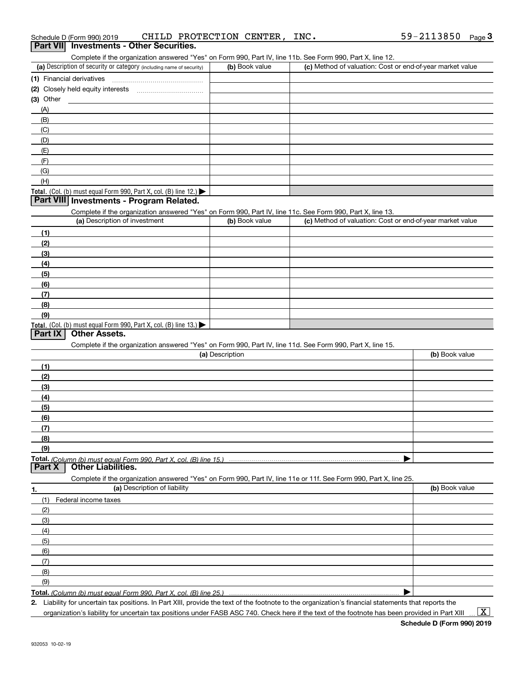| Complete if the organization answered "Yes" on Form 990, Part IV, line 11b. See Form 990, Part X, line 12. |                |                               |
|------------------------------------------------------------------------------------------------------------|----------------|-------------------------------|
| (a) Description of security or category (including name of security)                                       | (b) Book value | (c) Method of valuation: Cost |
| (1) Financial derivatives                                                                                  |                |                               |
| (2) Closely held equity interests                                                                          |                |                               |
| $(3)$ Other                                                                                                |                |                               |
| (A)                                                                                                        |                |                               |

| (a) Description of security or category (including name of security)                                       | (b) Book value  | (c) Method of valuation: Cost or end-of-year market value |                |
|------------------------------------------------------------------------------------------------------------|-----------------|-----------------------------------------------------------|----------------|
| (1) Financial derivatives                                                                                  |                 |                                                           |                |
| (2) Closely held equity interests                                                                          |                 |                                                           |                |
| $(3)$ Other                                                                                                |                 |                                                           |                |
| (A)                                                                                                        |                 |                                                           |                |
| (B)                                                                                                        |                 |                                                           |                |
| (C)                                                                                                        |                 |                                                           |                |
| (D)                                                                                                        |                 |                                                           |                |
| (E)                                                                                                        |                 |                                                           |                |
| (F)                                                                                                        |                 |                                                           |                |
| (G)                                                                                                        |                 |                                                           |                |
| (H)                                                                                                        |                 |                                                           |                |
| Total. (Col. (b) must equal Form 990, Part X, col. (B) line 12.) $\blacktriangleright$                     |                 |                                                           |                |
| Part VIII Investments - Program Related.                                                                   |                 |                                                           |                |
| Complete if the organization answered "Yes" on Form 990, Part IV, line 11c. See Form 990, Part X, line 13. |                 |                                                           |                |
| (a) Description of investment                                                                              | (b) Book value  | (c) Method of valuation: Cost or end-of-year market value |                |
| (1)                                                                                                        |                 |                                                           |                |
| (2)                                                                                                        |                 |                                                           |                |
| (3)                                                                                                        |                 |                                                           |                |
| (4)                                                                                                        |                 |                                                           |                |
| (5)                                                                                                        |                 |                                                           |                |
| (6)                                                                                                        |                 |                                                           |                |
| (7)                                                                                                        |                 |                                                           |                |
| (8)                                                                                                        |                 |                                                           |                |
| (9)                                                                                                        |                 |                                                           |                |
| Total. (Col. (b) must equal Form 990, Part X, col. (B) line 13.)                                           |                 |                                                           |                |
| <b>Other Assets.</b><br>Part IX                                                                            |                 |                                                           |                |
| Complete if the organization answered "Yes" on Form 990, Part IV, line 11d. See Form 990, Part X, line 15. |                 |                                                           |                |
|                                                                                                            | (a) Description |                                                           | (b) Book value |
| (1)                                                                                                        |                 |                                                           |                |
| (2)                                                                                                        |                 |                                                           |                |
| (3)                                                                                                        |                 |                                                           |                |
| (4)                                                                                                        |                 |                                                           |                |

| (6) |  |
|-----|--|
| (7) |  |
| (8) |  |
| (9) |  |

**(5)**

**1.**

**Total.**  *(Column (b) must equal Form 990, Part X, col. (B) line 15.)* **Part X Other Liabilities.**

**(a)** Description of liability **Book value** Book value Book value Book value Book value Complete if the organization answered "Yes" on Form 990, Part IV, line 11e or 11f. See Form 990, Part X, line 25. (1)Federal income taxes (2)(3)(4)(5) (6)(7)(8)(9)

**Total.**  *(Column (b) must equal Form 990, Part X, col. (B) line 25.)* 

**2.**Liability for uncertain tax positions. In Part XIII, provide the text of the footnote to the organization's financial statements that reports the organization's liability for uncertain tax positions under FASB ASC 740. Check here if the text of the footnote has been provided in Part XIII

 $\vert$  X  $\vert$ 

 $\blacktriangleright$ 

 $\blacktriangleright$ 

932053 10-02-19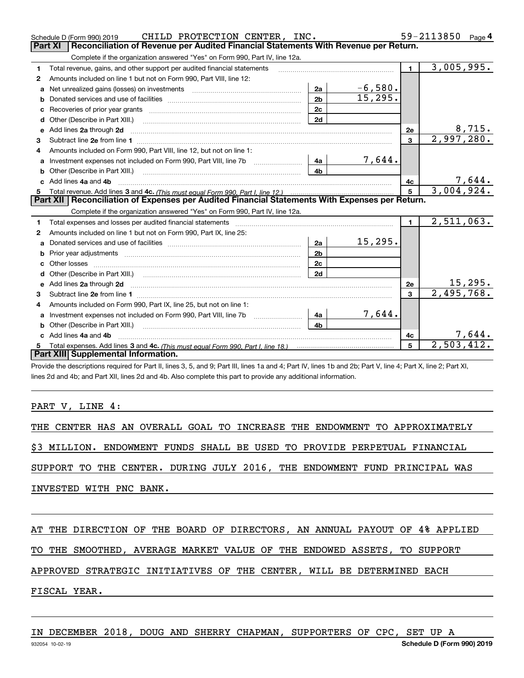|              | CHILD PROTECTION CENTER, INC.<br>Schedule D (Form 990) 2019                                                                                                                                                                    |                |                           |                 | 59-2113850 Page 4 |
|--------------|--------------------------------------------------------------------------------------------------------------------------------------------------------------------------------------------------------------------------------|----------------|---------------------------|-----------------|-------------------|
|              | Reconciliation of Revenue per Audited Financial Statements With Revenue per Return.<br><b>Part XI</b>                                                                                                                          |                |                           |                 |                   |
|              | Complete if the organization answered "Yes" on Form 990, Part IV, line 12a.                                                                                                                                                    |                |                           |                 |                   |
| 1            | Total revenue, gains, and other support per audited financial statements                                                                                                                                                       |                |                           | 1               | 3,005,995.        |
| $\mathbf{2}$ | Amounts included on line 1 but not on Form 990, Part VIII, line 12:                                                                                                                                                            |                |                           |                 |                   |
| a            | Net unrealized gains (losses) on investments [11] matter contracts and the unrealized gains (losses) on investments                                                                                                            | 2a             | $\frac{-6,580}{15,295}$ . |                 |                   |
| b            |                                                                                                                                                                                                                                | 2 <sub>b</sub> |                           |                 |                   |
| c            | Recoveries of prior year grants [11,111] Recoveries of prior year grants [11,111] Recoveries of prior year grants                                                                                                              | 2c             |                           |                 |                   |
| d            | Other (Describe in Part XIII.)                                                                                                                                                                                                 | 2d             |                           |                 |                   |
| е            | Add lines 2a through 2d                                                                                                                                                                                                        |                |                           | 2e              | 8,715.            |
| з            |                                                                                                                                                                                                                                |                |                           | 3               | 2,997,280.        |
|              | Amounts included on Form 990, Part VIII, line 12, but not on line 1:                                                                                                                                                           |                |                           |                 |                   |
| a            | Investment expenses not included on Form 990, Part VIII, line 7b                                                                                                                                                               | 4a             | 7,644.                    |                 |                   |
| b            |                                                                                                                                                                                                                                | 4 <sub>b</sub> |                           |                 |                   |
|              | Add lines 4a and 4b                                                                                                                                                                                                            |                |                           | 4с              | <u>7,644.</u>     |
| 5.           |                                                                                                                                                                                                                                |                |                           | $5\overline{5}$ | 3,004,924.        |
|              |                                                                                                                                                                                                                                |                |                           |                 |                   |
|              | Part XII   Reconciliation of Expenses per Audited Financial Statements With Expenses per Return.                                                                                                                               |                |                           |                 |                   |
|              | Complete if the organization answered "Yes" on Form 990, Part IV, line 12a.                                                                                                                                                    |                |                           |                 |                   |
| 1            | Total expenses and losses per audited financial statements [11, 11] matter contracts and contract and contract to the statements [11] matter contract and contract and contract and contract and contract and contract and con |                |                           | $\blacksquare$  | 2,511,063.        |
| 2            | Amounts included on line 1 but not on Form 990, Part IX, line 25:                                                                                                                                                              |                |                           |                 |                   |
| a            |                                                                                                                                                                                                                                | 2a             | 15, 295.                  |                 |                   |
| b            |                                                                                                                                                                                                                                | 2 <sub>b</sub> |                           |                 |                   |
| с            |                                                                                                                                                                                                                                | 2c             |                           |                 |                   |
|              |                                                                                                                                                                                                                                | 2d             |                           |                 |                   |
| е            | Add lines 2a through 2d                                                                                                                                                                                                        |                |                           | 2e              | 15, 295.          |
| з            |                                                                                                                                                                                                                                |                |                           | 3               | 2,495,768.        |
| 4            | Amounts included on Form 990, Part IX, line 25, but not on line 1:                                                                                                                                                             |                |                           |                 |                   |
| a            |                                                                                                                                                                                                                                | 4a             | 7,644.                    |                 |                   |
| b            |                                                                                                                                                                                                                                | 4h.            |                           |                 |                   |
|              | Add lines 4a and 4b                                                                                                                                                                                                            |                |                           | 4с              | 7,644.            |
|              | Part XIII Supplemental Information.                                                                                                                                                                                            |                |                           | 5               | 2,503,412.        |

Provide the descriptions required for Part II, lines 3, 5, and 9; Part III, lines 1a and 4; Part IV, lines 1b and 2b; Part V, line 4; Part X, line 2; Part XI, lines 2d and 4b; and Part XII, lines 2d and 4b. Also complete this part to provide any additional information.

#### PART V, LINE 4:

THE CENTER HAS AN OVERALL GOAL TO INCREASE THE ENDOWMENT TO APPROXIMATELY

\$3 MILLION. ENDOWMENT FUNDS SHALL BE USED TO PROVIDE PERPETUAL FINANCIAL

SUPPORT TO THE CENTER. DURING JULY 2016, THE ENDOWMENT FUND PRINCIPAL WAS

INVESTED WITH PNC BANK.

AT THE DIRECTION OF THE BOARD OF DIRECTORS, AN ANNUAL PAYOUT OF 4% APPLIED

TO THE SMOOTHED, AVERAGE MARKET VALUE OF THE ENDOWED ASSETS, TO SUPPORT

APPROVED STRATEGIC INITIATIVES OF THE CENTER, WILL BE DETERMINED EACH

### FISCAL YEAR.

IN DECEMBER 2018, DOUG AND SHERRY CHAPMAN, SUPPORTERS OF CPC, SET UP A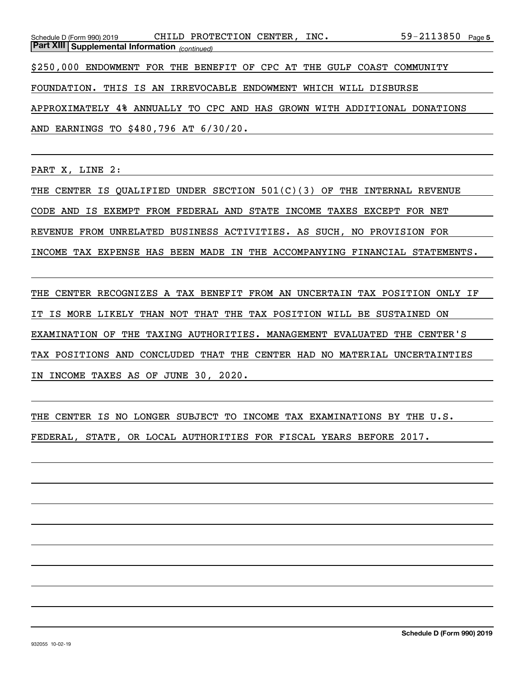59-2113850  $_{\text{Page 5}}$ *(continued)* **Part XIII Supplemental Information**  Schedule D (Form 990) 2019 CHILD PROTECTION CENTER, INC 59-2113850 page \$250,000 ENDOWMENT FOR THE BENEFIT OF CPC AT THE GULF COAST COMMUNITY FOUNDATION. THIS IS AN IRREVOCABLE ENDOWMENT WHICH WILL DISBURSE APPROXIMATELY 4% ANNUALLY TO CPC AND HAS GROWN WITH ADDITIONAL DONATIONS

AND EARNINGS TO \$480,796 AT 6/30/20.

PART X, LINE 2:

THE CENTER IS QUALIFIED UNDER SECTION 501(C)(3) OF THE INTERNAL REVENUE CODE AND IS EXEMPT FROM FEDERAL AND STATE INCOME TAXES EXCEPT FOR NET REVENUE FROM UNRELATED BUSINESS ACTIVITIES. AS SUCH, NO PROVISION FOR INCOME TAX EXPENSE HAS BEEN MADE IN THE ACCOMPANYING FINANCIAL STATEMENTS.

THE CENTER RECOGNIZES A TAX BENEFIT FROM AN UNCERTAIN TAX POSITION ONLY IF IT IS MORE LIKELY THAN NOT THAT THE TAX POSITION WILL BE SUSTAINED ON EXAMINATION OF THE TAXING AUTHORITIES. MANAGEMENT EVALUATED THE CENTER'S TAX POSITIONS AND CONCLUDED THAT THE CENTER HAD NO MATERIAL UNCERTAINTIES IN INCOME TAXES AS OF JUNE 30, 2020.

THE CENTER IS NO LONGER SUBJECT TO INCOME TAX EXAMINATIONS BY THE U.S. FEDERAL, STATE, OR LOCAL AUTHORITIES FOR FISCAL YEARS BEFORE 2017.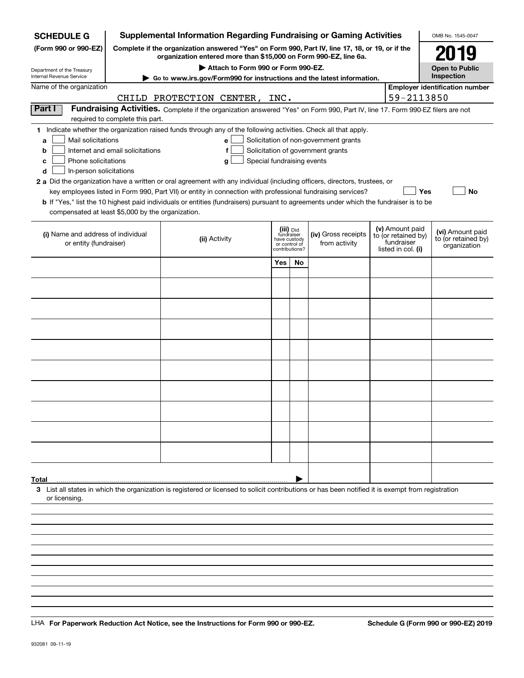| Complete if the organization answered "Yes" on Form 990, Part IV, line 17, 18, or 19, or if the<br>(Form 990 or 990-EZ)<br>2019<br>organization entered more than \$15,000 on Form 990-EZ, line 6a.<br>Attach to Form 990 or Form 990-EZ.<br><b>Open to Public</b><br>Department of the Treasury<br>Inspection<br>Internal Revenue Service<br>Go to www.irs.gov/Form990 for instructions and the latest information.<br>Name of the organization<br><b>Employer identification number</b><br>59-2113850<br>CHILD PROTECTION CENTER, INC.<br>Part I<br>Fundraising Activities. Complete if the organization answered "Yes" on Form 990, Part IV, line 17. Form 990-EZ filers are not |
|-------------------------------------------------------------------------------------------------------------------------------------------------------------------------------------------------------------------------------------------------------------------------------------------------------------------------------------------------------------------------------------------------------------------------------------------------------------------------------------------------------------------------------------------------------------------------------------------------------------------------------------------------------------------------------------|
|                                                                                                                                                                                                                                                                                                                                                                                                                                                                                                                                                                                                                                                                                     |
|                                                                                                                                                                                                                                                                                                                                                                                                                                                                                                                                                                                                                                                                                     |
|                                                                                                                                                                                                                                                                                                                                                                                                                                                                                                                                                                                                                                                                                     |
|                                                                                                                                                                                                                                                                                                                                                                                                                                                                                                                                                                                                                                                                                     |
|                                                                                                                                                                                                                                                                                                                                                                                                                                                                                                                                                                                                                                                                                     |
| required to complete this part.                                                                                                                                                                                                                                                                                                                                                                                                                                                                                                                                                                                                                                                     |
| 1 Indicate whether the organization raised funds through any of the following activities. Check all that apply.                                                                                                                                                                                                                                                                                                                                                                                                                                                                                                                                                                     |
| Mail solicitations<br>Solicitation of non-government grants<br>e<br>a                                                                                                                                                                                                                                                                                                                                                                                                                                                                                                                                                                                                               |
| Internet and email solicitations<br>Solicitation of government grants<br>f<br>b                                                                                                                                                                                                                                                                                                                                                                                                                                                                                                                                                                                                     |
| Phone solicitations<br>Special fundraising events<br>с<br>g<br>In-person solicitations<br>d                                                                                                                                                                                                                                                                                                                                                                                                                                                                                                                                                                                         |
| 2 a Did the organization have a written or oral agreement with any individual (including officers, directors, trustees, or                                                                                                                                                                                                                                                                                                                                                                                                                                                                                                                                                          |
| key employees listed in Form 990, Part VII) or entity in connection with professional fundraising services?<br>Yes<br>No                                                                                                                                                                                                                                                                                                                                                                                                                                                                                                                                                            |
| b If "Yes," list the 10 highest paid individuals or entities (fundraisers) pursuant to agreements under which the fundraiser is to be                                                                                                                                                                                                                                                                                                                                                                                                                                                                                                                                               |
| compensated at least \$5,000 by the organization.                                                                                                                                                                                                                                                                                                                                                                                                                                                                                                                                                                                                                                   |
| (v) Amount paid<br>(iii) Did<br>fundraiser<br>(vi) Amount paid<br>(i) Name and address of individual<br>(iv) Gross receipts<br>to (or retained by)                                                                                                                                                                                                                                                                                                                                                                                                                                                                                                                                  |
| (ii) Activity<br>to (or retained by)<br>have custody<br>fundraiser<br>or entity (fundraiser)<br>from activity<br>or control of<br>organization<br>listed in col. (i)<br>contributions?                                                                                                                                                                                                                                                                                                                                                                                                                                                                                              |
| Yes<br>No                                                                                                                                                                                                                                                                                                                                                                                                                                                                                                                                                                                                                                                                           |
|                                                                                                                                                                                                                                                                                                                                                                                                                                                                                                                                                                                                                                                                                     |
|                                                                                                                                                                                                                                                                                                                                                                                                                                                                                                                                                                                                                                                                                     |
|                                                                                                                                                                                                                                                                                                                                                                                                                                                                                                                                                                                                                                                                                     |
|                                                                                                                                                                                                                                                                                                                                                                                                                                                                                                                                                                                                                                                                                     |
|                                                                                                                                                                                                                                                                                                                                                                                                                                                                                                                                                                                                                                                                                     |
|                                                                                                                                                                                                                                                                                                                                                                                                                                                                                                                                                                                                                                                                                     |
|                                                                                                                                                                                                                                                                                                                                                                                                                                                                                                                                                                                                                                                                                     |
|                                                                                                                                                                                                                                                                                                                                                                                                                                                                                                                                                                                                                                                                                     |
|                                                                                                                                                                                                                                                                                                                                                                                                                                                                                                                                                                                                                                                                                     |
|                                                                                                                                                                                                                                                                                                                                                                                                                                                                                                                                                                                                                                                                                     |
|                                                                                                                                                                                                                                                                                                                                                                                                                                                                                                                                                                                                                                                                                     |
|                                                                                                                                                                                                                                                                                                                                                                                                                                                                                                                                                                                                                                                                                     |
|                                                                                                                                                                                                                                                                                                                                                                                                                                                                                                                                                                                                                                                                                     |
|                                                                                                                                                                                                                                                                                                                                                                                                                                                                                                                                                                                                                                                                                     |
|                                                                                                                                                                                                                                                                                                                                                                                                                                                                                                                                                                                                                                                                                     |
|                                                                                                                                                                                                                                                                                                                                                                                                                                                                                                                                                                                                                                                                                     |
|                                                                                                                                                                                                                                                                                                                                                                                                                                                                                                                                                                                                                                                                                     |
| Total                                                                                                                                                                                                                                                                                                                                                                                                                                                                                                                                                                                                                                                                               |
| 3 List all states in which the organization is registered or licensed to solicit contributions or has been notified it is exempt from registration<br>or licensing.                                                                                                                                                                                                                                                                                                                                                                                                                                                                                                                 |
|                                                                                                                                                                                                                                                                                                                                                                                                                                                                                                                                                                                                                                                                                     |
|                                                                                                                                                                                                                                                                                                                                                                                                                                                                                                                                                                                                                                                                                     |
|                                                                                                                                                                                                                                                                                                                                                                                                                                                                                                                                                                                                                                                                                     |
|                                                                                                                                                                                                                                                                                                                                                                                                                                                                                                                                                                                                                                                                                     |

LHA For Paperwork Reduction Act Notice, see the Instructions for Form 990 or 990-EZ. Schedule G (Form 990 or 990-EZ) 2019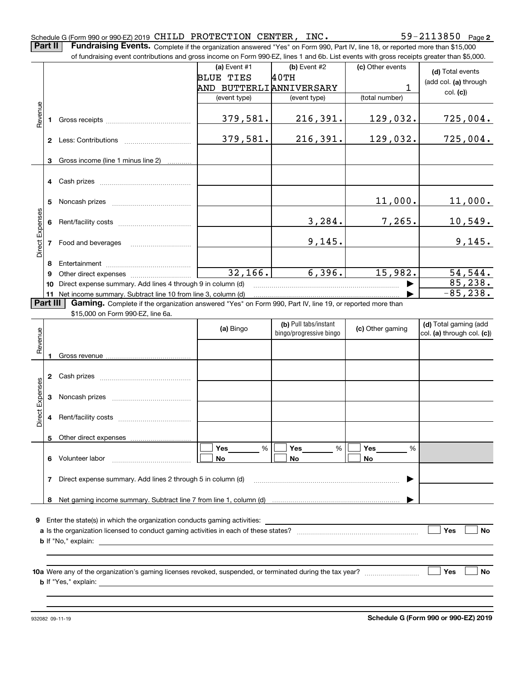|                 | Part II  | Fundraising Events. Complete if the organization answered "Yes" on Form 990, Part IV, line 18, or reported more than \$15,000<br>of fundraising event contributions and gross income on Form 990-EZ, lines 1 and 6b. List events with gross receipts greater than \$5,000. |                         |                                                  |                  |                                                     |
|-----------------|----------|----------------------------------------------------------------------------------------------------------------------------------------------------------------------------------------------------------------------------------------------------------------------------|-------------------------|--------------------------------------------------|------------------|-----------------------------------------------------|
|                 |          |                                                                                                                                                                                                                                                                            | (a) Event #1            | (b) Event #2                                     | (c) Other events |                                                     |
|                 |          |                                                                                                                                                                                                                                                                            | <b>BLUE TIES</b>        | 40TH                                             |                  | (d) Total events                                    |
|                 |          |                                                                                                                                                                                                                                                                            | AND BUTTERLIANNIVERSARY |                                                  | 1                | (add col. (a) through                               |
|                 |          |                                                                                                                                                                                                                                                                            | (event type)            | (event type)                                     | (total number)   | col. (c)                                            |
|                 |          |                                                                                                                                                                                                                                                                            |                         |                                                  |                  |                                                     |
| Revenue         | 1.       |                                                                                                                                                                                                                                                                            | 379,581.                | 216,391.                                         | 129,032.         | 725,004.                                            |
|                 |          |                                                                                                                                                                                                                                                                            | 379,581.                | 216,391.                                         | 129,032.         | 725,004.                                            |
|                 | 3        | Gross income (line 1 minus line 2)                                                                                                                                                                                                                                         |                         |                                                  |                  |                                                     |
|                 |          |                                                                                                                                                                                                                                                                            |                         |                                                  |                  |                                                     |
|                 | 5        |                                                                                                                                                                                                                                                                            |                         |                                                  | 11,000.          | 11,000.                                             |
|                 | 6        |                                                                                                                                                                                                                                                                            |                         | 3,284.                                           | 7,265.           | 10,549.                                             |
| Direct Expenses | 7        |                                                                                                                                                                                                                                                                            |                         | 9,145.                                           |                  | 9,145.                                              |
|                 | 8        |                                                                                                                                                                                                                                                                            |                         |                                                  |                  |                                                     |
|                 | 9        |                                                                                                                                                                                                                                                                            | 32,166.                 | 6,396.                                           | 15,982.          | 54, 544.                                            |
|                 | 10       | Direct expense summary. Add lines 4 through 9 in column (d)                                                                                                                                                                                                                |                         |                                                  |                  | 85,238.                                             |
|                 |          | 11 Net income summary. Subtract line 10 from line 3, column (d)                                                                                                                                                                                                            |                         |                                                  |                  | $-85, 238.$                                         |
|                 | Part III | Gaming. Complete if the organization answered "Yes" on Form 990, Part IV, line 19, or reported more than                                                                                                                                                                   |                         |                                                  |                  |                                                     |
|                 |          | \$15,000 on Form 990-EZ, line 6a.                                                                                                                                                                                                                                          |                         |                                                  |                  |                                                     |
| Revenue         |          |                                                                                                                                                                                                                                                                            | (a) Bingo               | (b) Pull tabs/instant<br>bingo/progressive bingo | (c) Other gaming | (d) Total gaming (add<br>col. (a) through col. (c)) |
|                 |          |                                                                                                                                                                                                                                                                            |                         |                                                  |                  |                                                     |
|                 |          |                                                                                                                                                                                                                                                                            |                         |                                                  |                  |                                                     |
|                 | 2        | Cash prizes [11] Cash prizes [11] Cash prizes [11] Cash prizes [11] Casa Dividend Dividend Dividend Dividend D                                                                                                                                                             |                         |                                                  |                  |                                                     |
|                 | 3        |                                                                                                                                                                                                                                                                            |                         |                                                  |                  |                                                     |
| Direct Expenses |          |                                                                                                                                                                                                                                                                            |                         |                                                  |                  |                                                     |
|                 |          |                                                                                                                                                                                                                                                                            |                         |                                                  |                  |                                                     |
|                 |          |                                                                                                                                                                                                                                                                            | Yes<br>%<br>No.         | Yes<br>%<br>No                                   | Yes<br>%<br>No.  |                                                     |
|                 | 7        | Direct expense summary. Add lines 2 through 5 in column (d)                                                                                                                                                                                                                |                         |                                                  | ▶                |                                                     |
|                 | 8        |                                                                                                                                                                                                                                                                            |                         |                                                  |                  |                                                     |
|                 |          |                                                                                                                                                                                                                                                                            |                         |                                                  |                  |                                                     |
|                 |          |                                                                                                                                                                                                                                                                            |                         |                                                  |                  |                                                     |
|                 |          |                                                                                                                                                                                                                                                                            |                         |                                                  |                  | Yes<br>No                                           |
|                 |          |                                                                                                                                                                                                                                                                            |                         |                                                  |                  |                                                     |
|                 |          |                                                                                                                                                                                                                                                                            |                         |                                                  |                  |                                                     |
|                 |          |                                                                                                                                                                                                                                                                            |                         |                                                  |                  |                                                     |
|                 |          |                                                                                                                                                                                                                                                                            |                         |                                                  |                  | Yes<br>No                                           |
|                 |          |                                                                                                                                                                                                                                                                            |                         |                                                  |                  |                                                     |
|                 |          |                                                                                                                                                                                                                                                                            |                         |                                                  |                  |                                                     |
|                 |          |                                                                                                                                                                                                                                                                            |                         |                                                  |                  |                                                     |
|                 |          |                                                                                                                                                                                                                                                                            |                         |                                                  |                  |                                                     |

Schedule G (Form 990 or 990-EZ) 2019 <code>CHILD PROTECTION CENTER</code> , <code>INC</code> .  $59-2113850$  <code>Page</code>

**2**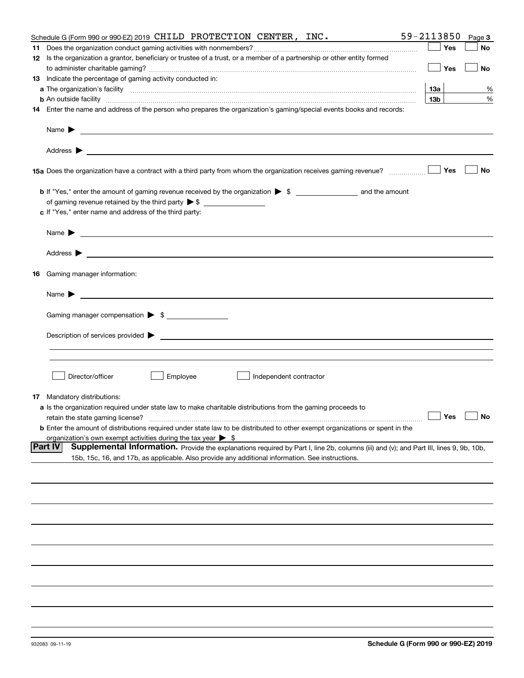|    | Schedule G (Form 990 or 990-EZ) 2019 CHILD PROTECTION CENTER, INC.                                                                                                                                                                        | 59-2113850        | Page 3 |
|----|-------------------------------------------------------------------------------------------------------------------------------------------------------------------------------------------------------------------------------------------|-------------------|--------|
|    |                                                                                                                                                                                                                                           | Yes               | No     |
|    | 12 Is the organization a grantor, beneficiary or trustee of a trust, or a member of a partnership or other entity formed                                                                                                                  |                   |        |
|    |                                                                                                                                                                                                                                           | Yes               | No     |
|    | 13 Indicate the percentage of gaming activity conducted in:                                                                                                                                                                               |                   |        |
|    |                                                                                                                                                                                                                                           | <u>13a</u>        | %      |
|    | <b>b</b> An outside facility <i>www.communicality communicality communicality communicality communicality communicality communically communically communically communically communically communically communically communically commu</i> | 13 <sub>b</sub>   | %      |
|    | 14 Enter the name and address of the person who prepares the organization's gaming/special events books and records:                                                                                                                      |                   |        |
|    |                                                                                                                                                                                                                                           |                   |        |
|    | Name $\blacktriangleright$                                                                                                                                                                                                                |                   |        |
|    |                                                                                                                                                                                                                                           |                   |        |
|    |                                                                                                                                                                                                                                           | Yes               | No     |
|    |                                                                                                                                                                                                                                           |                   |        |
|    |                                                                                                                                                                                                                                           |                   |        |
|    | c If "Yes," enter name and address of the third party:                                                                                                                                                                                    |                   |        |
|    |                                                                                                                                                                                                                                           |                   |        |
|    | Name $\blacktriangleright$<br><u> 1989 - Johann Barbara, marka a shekara ta 1989 - An tsaran a shekara tsa 1989 - An tsara tsara tsara tsara</u>                                                                                          |                   |        |
|    | Address $\blacktriangleright$                                                                                                                                                                                                             |                   |        |
| 16 | Gaming manager information:                                                                                                                                                                                                               |                   |        |
|    | Name $\blacktriangleright$<br>and the control of the control of the control of the control of the control of the control of the control of the                                                                                            |                   |        |
|    |                                                                                                                                                                                                                                           |                   |        |
|    | Gaming manager compensation > \$                                                                                                                                                                                                          |                   |        |
|    |                                                                                                                                                                                                                                           |                   |        |
|    |                                                                                                                                                                                                                                           |                   |        |
|    |                                                                                                                                                                                                                                           |                   |        |
|    |                                                                                                                                                                                                                                           |                   |        |
|    | Director/officer<br>Employee<br>Independent contractor                                                                                                                                                                                    |                   |        |
|    |                                                                                                                                                                                                                                           |                   |        |
| 17 | Mandatory distributions:                                                                                                                                                                                                                  |                   |        |
|    | a Is the organization required under state law to make charitable distributions from the gaming proceeds to                                                                                                                               |                   |        |
|    | retain the state gaming license?                                                                                                                                                                                                          | $\Box$ Yes $\Box$ |        |
|    | <b>b</b> Enter the amount of distributions required under state law to be distributed to other exempt organizations or spent in the                                                                                                       |                   |        |
|    | organization's own exempt activities during the tax year $\triangleright$ \$                                                                                                                                                              |                   |        |
|    | <b>Part IV</b><br>Supplemental Information. Provide the explanations required by Part I, line 2b, columns (iii) and (v); and Part III, lines 9, 9b, 10b,                                                                                  |                   |        |
|    | 15b, 15c, 16, and 17b, as applicable. Also provide any additional information. See instructions.                                                                                                                                          |                   |        |
|    |                                                                                                                                                                                                                                           |                   |        |
|    |                                                                                                                                                                                                                                           |                   |        |
|    |                                                                                                                                                                                                                                           |                   |        |
|    |                                                                                                                                                                                                                                           |                   |        |
|    |                                                                                                                                                                                                                                           |                   |        |
|    |                                                                                                                                                                                                                                           |                   |        |
|    |                                                                                                                                                                                                                                           |                   |        |
|    |                                                                                                                                                                                                                                           |                   |        |
|    |                                                                                                                                                                                                                                           |                   |        |
|    |                                                                                                                                                                                                                                           |                   |        |
|    |                                                                                                                                                                                                                                           |                   |        |
|    |                                                                                                                                                                                                                                           |                   |        |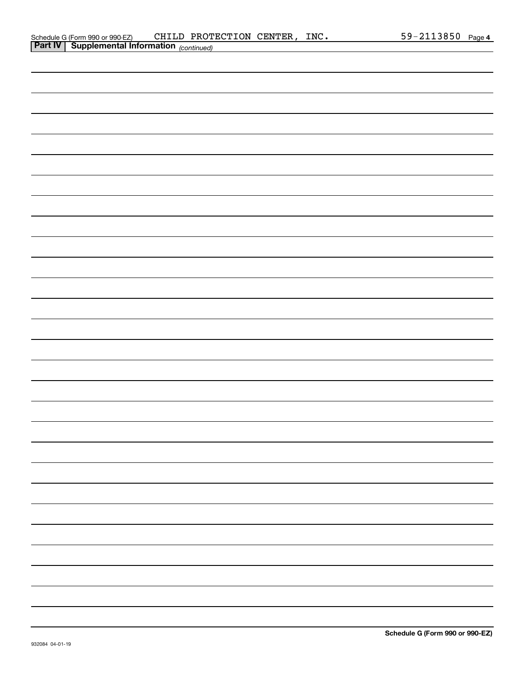| Schedule G (Form 990 or 990-EZ) |                                                          | CHILD PROTECTION CENTER, | INC. | 59-2113850 | Page |
|---------------------------------|----------------------------------------------------------|--------------------------|------|------------|------|
|                                 | <b>Part IV</b> Supplemental Information $_{(continued)}$ |                          |      |            |      |

| . . | [Contract] |  |
|-----|------------|--|
|     |            |  |
|     |            |  |
|     |            |  |
|     |            |  |
|     |            |  |
|     |            |  |
|     |            |  |
|     |            |  |
|     |            |  |
|     |            |  |
|     |            |  |
|     |            |  |
|     |            |  |
|     |            |  |
|     |            |  |
|     |            |  |
|     |            |  |
|     |            |  |
|     |            |  |
|     |            |  |
|     |            |  |
|     |            |  |
|     |            |  |
|     |            |  |
|     |            |  |
|     |            |  |
|     |            |  |
|     |            |  |
|     |            |  |
|     |            |  |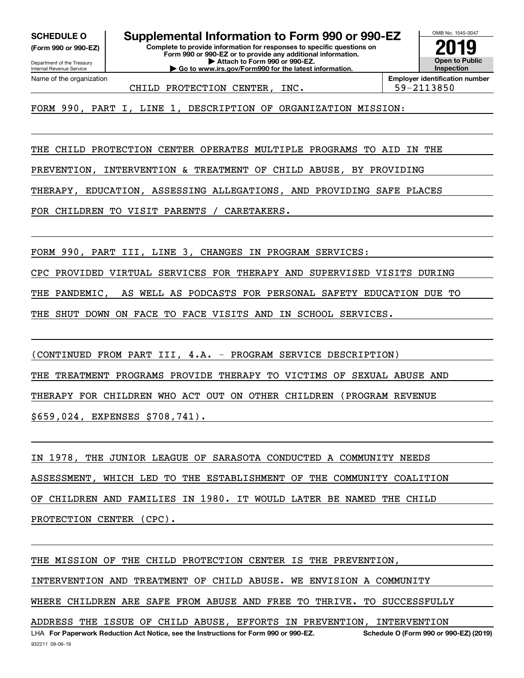**(Form 990 or 990-EZ)**

Department of the Treasury Internal Revenue Service Name of the organization

**Complete to provide information for responses to specific questions on SCHEDULE O Supplemental Information to Form 990 or 990-EZ**

**Form 990 or 990-EZ or to provide any additional information. | Attach to Form 990 or 990-EZ. | Go to www.irs.gov/Form990 for the latest information.**



CHILD PROTECTION CENTER, INC. | 59-2113850

FORM 990, PART I, LINE 1, DESCRIPTION OF ORGANIZATION MISSION:

THE CHILD PROTECTION CENTER OPERATES MULTIPLE PROGRAMS TO AID IN THE

PREVENTION, INTERVENTION & TREATMENT OF CHILD ABUSE, BY PROVIDING

THERAPY, EDUCATION, ASSESSING ALLEGATIONS, AND PROVIDING SAFE PLACES

FOR CHILDREN TO VISIT PARENTS / CARETAKERS.

FORM 990, PART III, LINE 3, CHANGES IN PROGRAM SERVICES:

CPC PROVIDED VIRTUAL SERVICES FOR THERAPY AND SUPERVISED VISITS DURING

THE PANDEMIC, AS WELL AS PODCASTS FOR PERSONAL SAFETY EDUCATION DUE TO

THE SHUT DOWN ON FACE TO FACE VISITS AND IN SCHOOL SERVICES.

(CONTINUED FROM PART III, 4.A. - PROGRAM SERVICE DESCRIPTION)

THE TREATMENT PROGRAMS PROVIDE THERAPY TO VICTIMS OF SEXUAL ABUSE AND

THERAPY FOR CHILDREN WHO ACT OUT ON OTHER CHILDREN (PROGRAM REVENUE

\$659,024, EXPENSES \$708,741).

IN 1978, THE JUNIOR LEAGUE OF SARASOTA CONDUCTED A COMMUNITY NEEDS ASSESSMENT, WHICH LED TO THE ESTABLISHMENT OF THE COMMUNITY COALITION OF CHILDREN AND FAMILIES IN 1980. IT WOULD LATER BE NAMED THE CHILD PROTECTION CENTER (CPC).

932211 09-06-19 LHA For Paperwork Reduction Act Notice, see the Instructions for Form 990 or 990-EZ. Schedule O (Form 990 or 990-EZ) (2019) THE MISSION OF THE CHILD PROTECTION CENTER IS THE PREVENTION, INTERVENTION AND TREATMENT OF CHILD ABUSE. WE ENVISION A COMMUNITY WHERE CHILDREN ARE SAFE FROM ABUSE AND FREE TO THRIVE. TO SUCCESSFULLY ADDRESS THE ISSUE OF CHILD ABUSE, EFFORTS IN PREVENTION, INTERVENTION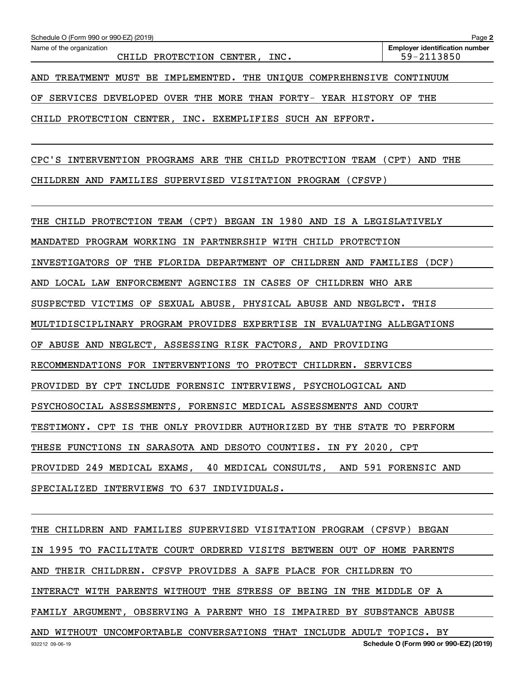| Schedule O (Form 990 or 990-EZ) (2019)                                  | Page 2                                              |
|-------------------------------------------------------------------------|-----------------------------------------------------|
| Name of the organization<br>CHILD PROTECTION CENTER, INC.               | <b>Employer identification number</b><br>59-2113850 |
| AND TREATMENT MUST BE IMPLEMENTED. THE UNIQUE COMPREHENSIVE CONTINUUM   |                                                     |
| OF SERVICES DEVELOPED OVER THE MORE THAN FORTY- YEAR HISTORY OF THE     |                                                     |
| CHILD PROTECTION CENTER, INC. EXEMPLIFIES SUCH AN EFFORT.               |                                                     |
| CPC'S INTERVENTION PROGRAMS ARE THE CHILD PROTECTION TEAM (CPT) AND THE |                                                     |
| CHILDREN AND FAMILIES SUPERVISED VISITATION PROGRAM (CFSVP)             |                                                     |
| THE CHILD PROTECTION TEAM (CPT) BEGAN IN 1980 AND IS A LEGISLATIVELY    |                                                     |
| MANDATED PROGRAM WORKING IN PARTNERSHIP WITH CHILD PROTECTION           |                                                     |
| INVESTIGATORS OF THE FLORIDA DEPARTMENT OF CHILDREN AND FAMILIES (DCF)  |                                                     |
| AND LOCAL LAW ENFORCEMENT AGENCIES IN CASES OF CHILDREN WHO ARE         |                                                     |
| SUSPECTED VICTIMS OF SEXUAL ABUSE, PHYSICAL ABUSE AND NEGLECT. THIS     |                                                     |
| MULTIDISCIPLINARY PROGRAM PROVIDES EXPERTISE IN EVALUATING ALLEGATIONS  |                                                     |
| OF ABUSE AND NEGLECT, ASSESSING RISK FACTORS, AND PROVIDING             |                                                     |
| RECOMMENDATIONS FOR INTERVENTIONS TO PROTECT CHILDREN. SERVICES         |                                                     |
| PROVIDED BY CPT INCLUDE FORENSIC INTERVIEWS, PSYCHOLOGICAL AND          |                                                     |
| PSYCHOSOCIAL ASSESSMENTS, FORENSIC MEDICAL ASSESSMENTS AND COURT        |                                                     |
| TESTIMONY. CPT IS THE ONLY PROVIDER AUTHORIZED BY THE STATE TO PERFORM  |                                                     |
| THESE FUNCTIONS IN SARASOTA AND DESOTO COUNTIES. IN FY 2020, CPT        |                                                     |
| PROVIDED 249 MEDICAL EXAMS, 40 MEDICAL CONSULTS, AND 591 FORENSIC AND   |                                                     |
| SPECIALIZED INTERVIEWS TO 637 INDIVIDUALS.                              |                                                     |
| THE CHILDREN AND FAMILIES SUPERVISED VISITATION PROGRAM (CFSVP) BEGAN   |                                                     |
| IN 1995 TO FACILITATE COURT ORDERED VISITS BETWEEN OUT OF HOME PARENTS  |                                                     |

AND THEIR CHILDREN. CFSVP PROVIDES A SAFE PLACE FOR CHILDREN TO

INTERACT WITH PARENTS WITHOUT THE STRESS OF BEING IN THE MIDDLE OF A

FAMILY ARGUMENT, OBSERVING A PARENT WHO IS IMPAIRED BY SUBSTANCE ABUSE

932212 09-06-19 **Schedule O (Form 990 or 990-EZ) (2019)** AND WITHOUT UNCOMFORTABLE CONVERSATIONS THAT INCLUDE ADULT TOPICS. BY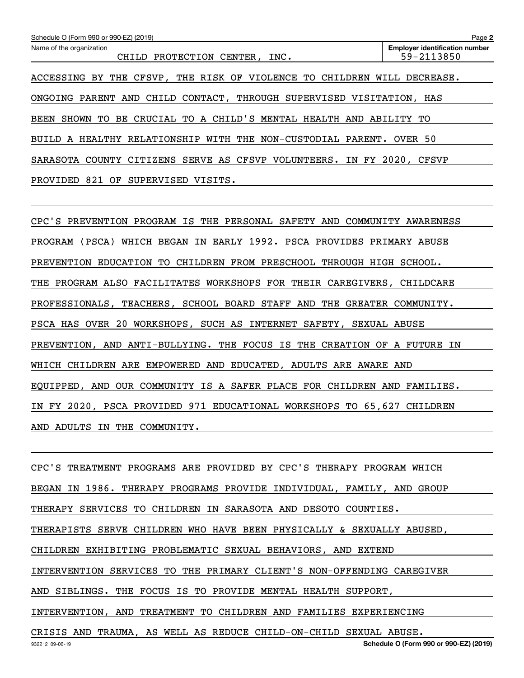| Schedule O (Form 990 or 990-EZ) (2019)                                | Page 2                                                              |  |  |  |  |  |
|-----------------------------------------------------------------------|---------------------------------------------------------------------|--|--|--|--|--|
| Name of the organization<br>CHILD PROTECTION CENTER, INC.             | <b>Employer identification number</b><br>59-2113850                 |  |  |  |  |  |
| BY THE CFSVP, THE RISK OF VIOLENCE TO CHILDREN<br>ACCESSING           | DECREASE.<br>WILL                                                   |  |  |  |  |  |
| ONGOING PARENT AND CHILD CONTACT, THROUGH SUPERVISED VISITATION, HAS  |                                                                     |  |  |  |  |  |
| TO<br>SHOWN<br>BEEN                                                   | BE CRUCIAL TO A CHILD'S MENTAL HEALTH AND ABILITY TO                |  |  |  |  |  |
|                                                                       | BUILD A HEALTHY RELATIONSHIP WITH THE NON-CUSTODIAL PARENT. OVER 50 |  |  |  |  |  |
| SARASOTA COUNTY CITIZENS SERVE AS CFSVP VOLUNTEERS. IN FY 2020, CFSVP |                                                                     |  |  |  |  |  |
| PROVIDED<br>821<br>OF<br>SUPERVISED<br>VISITS.                        |                                                                     |  |  |  |  |  |

CPC'S PREVENTION PROGRAM IS THE PERSONAL SAFETY AND COMMUNITY AWARENESS PROGRAM (PSCA) WHICH BEGAN IN EARLY 1992. PSCA PROVIDES PRIMARY ABUSE PREVENTION EDUCATION TO CHILDREN FROM PRESCHOOL THROUGH HIGH SCHOOL. THE PROGRAM ALSO FACILITATES WORKSHOPS FOR THEIR CAREGIVERS, CHILDCARE PROFESSIONALS, TEACHERS, SCHOOL BOARD STAFF AND THE GREATER COMMUNITY. PSCA HAS OVER 20 WORKSHOPS, SUCH AS INTERNET SAFETY, SEXUAL ABUSE PREVENTION, AND ANTI-BULLYING. THE FOCUS IS THE CREATION OF A FUTURE IN WHICH CHILDREN ARE EMPOWERED AND EDUCATED, ADULTS ARE AWARE AND EQUIPPED, AND OUR COMMUNITY IS A SAFER PLACE FOR CHILDREN AND FAMILIES. IN FY 2020, PSCA PROVIDED 971 EDUCATIONAL WORKSHOPS TO 65,627 CHILDREN AND ADULTS IN THE COMMUNITY.

CPC'S TREATMENT PROGRAMS ARE PROVIDED BY CPC'S THERAPY PROGRAM WHICH BEGAN IN 1986. THERAPY PROGRAMS PROVIDE INDIVIDUAL, FAMILY, AND GROUP THERAPY SERVICES TO CHILDREN IN SARASOTA AND DESOTO COUNTIES. THERAPISTS SERVE CHILDREN WHO HAVE BEEN PHYSICALLY & SEXUALLY ABUSED, CHILDREN EXHIBITING PROBLEMATIC SEXUAL BEHAVIORS, AND EXTEND INTERVENTION SERVICES TO THE PRIMARY CLIENT'S NON-OFFENDING CAREGIVER AND SIBLINGS. THE FOCUS IS TO PROVIDE MENTAL HEALTH SUPPORT, INTERVENTION, AND TREATMENT TO CHILDREN AND FAMILIES EXPERIENCING CRISIS AND TRAUMA, AS WELL AS REDUCE CHILD-ON-CHILD SEXUAL ABUSE.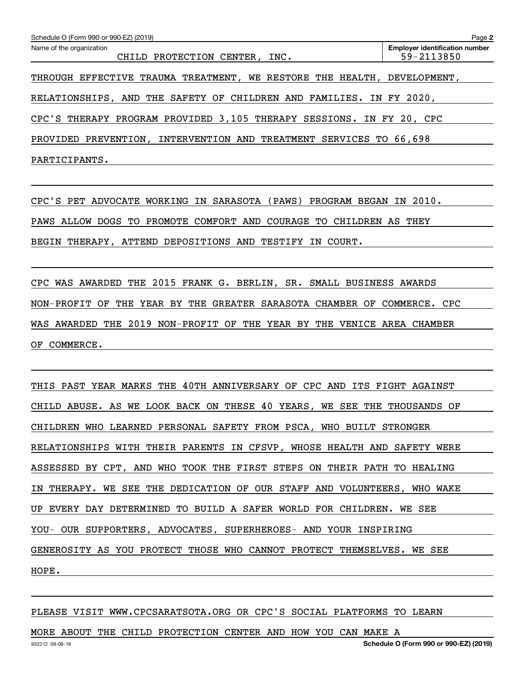| Schedule O (Form 990 or 990-EZ) (2019)                                     | Page 2                                              |
|----------------------------------------------------------------------------|-----------------------------------------------------|
| Name of the organization<br>CHILD PROTECTION CENTER, INC.                  | <b>Employer identification number</b><br>59-2113850 |
| TRAUMA TREATMENT, WE RESTORE THE HEALTH, DEVELOPMENT,<br>THROUGH EFFECTIVE |                                                     |
| RELATIONSHIPS, AND THE SAFETY OF CHILDREN AND FAMILIES. IN FY 2020,        |                                                     |
| CPC'S THERAPY PROGRAM PROVIDED 3,105 THERAPY SESSIONS. IN FY 20, CPC       |                                                     |
| PREVENTION, INTERVENTION AND TREATMENT SERVICES TO 66,698<br>PROVIDED      |                                                     |
| PARTICIPANTS.                                                              |                                                     |

CPC'S PET ADVOCATE WORKING IN SARASOTA (PAWS) PROGRAM BEGAN IN 2010. PAWS ALLOW DOGS TO PROMOTE COMFORT AND COURAGE TO CHILDREN AS THEY BEGIN THERAPY, ATTEND DEPOSITIONS AND TESTIFY IN COURT.

CPC WAS AWARDED THE 2015 FRANK G. BERLIN, SR. SMALL BUSINESS AWARDS NON-PROFIT OF THE YEAR BY THE GREATER SARASOTA CHAMBER OF COMMERCE. CPC WAS AWARDED THE 2019 NON-PROFIT OF THE YEAR BY THE VENICE AREA CHAMBER OF COMMERCE.

THIS PAST YEAR MARKS THE 40TH ANNIVERSARY OF CPC AND ITS FIGHT AGAINST CHILD ABUSE. AS WE LOOK BACK ON THESE 40 YEARS, WE SEE THE THOUSANDS OF CHILDREN WHO LEARNED PERSONAL SAFETY FROM PSCA, WHO BUILT STRONGER RELATIONSHIPS WITH THEIR PARENTS IN CFSVP, WHOSE HEALTH AND SAFETY WERE ASSESSED BY CPT, AND WHO TOOK THE FIRST STEPS ON THEIR PATH TO HEALING IN THERAPY. WE SEE THE DEDICATION OF OUR STAFF AND VOLUNTEERS, WHO WAKE UP EVERY DAY DETERMINED TO BUILD A SAFER WORLD FOR CHILDREN. WE SEE YOU- OUR SUPPORTERS, ADVOCATES, SUPERHEROES- AND YOUR INSPIRING GENEROSITY AS YOU PROTECT THOSE WHO CANNOT PROTECT THEMSELVES. WE SEE HOPE.

PLEASE VISIT WWW.CPCSARATSOTA.ORG OR CPC'S SOCIAL PLATFORMS TO LEARN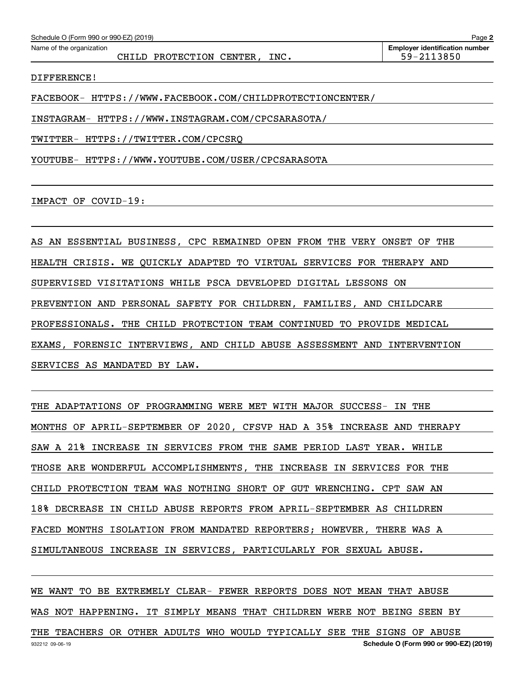| Schedule O (Form 990 or 990-EZ) (2019)<br>Page 2 |                                       |  |  |  |  |
|--------------------------------------------------|---------------------------------------|--|--|--|--|
| Name of the organization                         | <b>Employer identification number</b> |  |  |  |  |
| INC.<br>CHILD PROTECTION CENTER,                 | 59-2113850                            |  |  |  |  |
|                                                  |                                       |  |  |  |  |

DIFFERENCE!

FACEBOOK- HTTPS://WWW.FACEBOOK.COM/CHILDPROTECTIONCENTER/

INSTAGRAM- HTTPS://WWW.INSTAGRAM.COM/CPCSARASOTA/

TWITTER- HTTPS://TWITTER.COM/CPCSRQ

YOUTUBE- HTTPS://WWW.YOUTUBE.COM/USER/CPCSARASOTA

IMPACT OF COVID-19:

AS AN ESSENTIAL BUSINESS, CPC REMAINED OPEN FROM THE VERY ONSET OF THE HEALTH CRISIS. WE QUICKLY ADAPTED TO VIRTUAL SERVICES FOR THERAPY AND SUPERVISED VISITATIONS WHILE PSCA DEVELOPED DIGITAL LESSONS ON PREVENTION AND PERSONAL SAFETY FOR CHILDREN, FAMILIES, AND CHILDCARE PROFESSIONALS. THE CHILD PROTECTION TEAM CONTINUED TO PROVIDE MEDICAL EXAMS, FORENSIC INTERVIEWS, AND CHILD ABUSE ASSESSMENT AND INTERVENTION SERVICES AS MANDATED BY LAW.

THE ADAPTATIONS OF PROGRAMMING WERE MET WITH MAJOR SUCCESS- IN THE MONTHS OF APRIL-SEPTEMBER OF 2020, CFSVP HAD A 35% INCREASE AND THERAPY SAW A 21% INCREASE IN SERVICES FROM THE SAME PERIOD LAST YEAR. WHILE THOSE ARE WONDERFUL ACCOMPLISHMENTS, THE INCREASE IN SERVICES FOR THE CHILD PROTECTION TEAM WAS NOTHING SHORT OF GUT WRENCHING. CPT SAW AN 18% DECREASE IN CHILD ABUSE REPORTS FROM APRIL-SEPTEMBER AS CHILDREN FACED MONTHS ISOLATION FROM MANDATED REPORTERS; HOWEVER, THERE WAS A SIMULTANEOUS INCREASE IN SERVICES, PARTICULARLY FOR SEXUAL ABUSE.

932212 09-06-19 **Schedule O (Form 990 or 990-EZ) (2019)** WE WANT TO BE EXTREMELY CLEAR- FEWER REPORTS DOES NOT MEAN THAT ABUSE WAS NOT HAPPENING. IT SIMPLY MEANS THAT CHILDREN WERE NOT BEING SEEN BY THE TEACHERS OR OTHER ADULTS WHO WOULD TYPICALLY SEE THE SIGNS OF ABUSE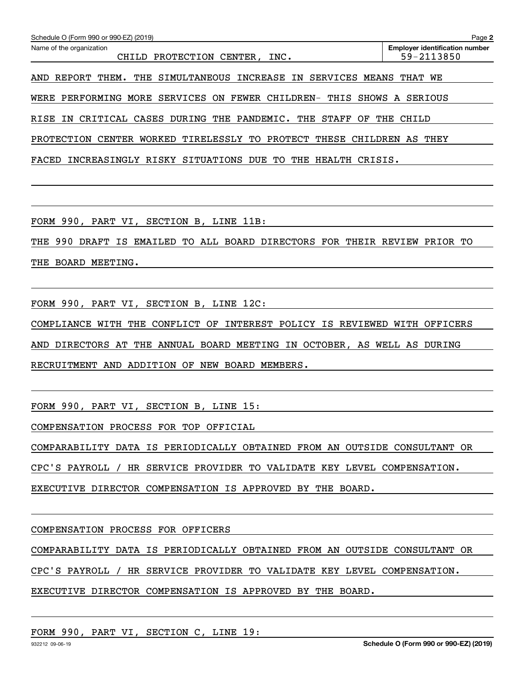| Schedule O (Form 990 or 990-EZ) (2019)<br>Name of the organization<br>CHILD PROTECTION CENTER, INC. | Page 2<br><b>Employer identification number</b><br>59-2113850 |
|-----------------------------------------------------------------------------------------------------|---------------------------------------------------------------|
| REPORT THEM. THE SIMULTANEOUS INCREASE IN SERVICES MEANS THAT WE<br>AND                             |                                                               |
| PERFORMING MORE SERVICES ON FEWER CHILDREN- THIS SHOWS A SERIOUS<br>WERE                            |                                                               |
| IN CRITICAL CASES DURING THE PANDEMIC. THE STAFF<br>RISE<br>OF                                      | THE<br>CHILD                                                  |
| PROTECTION CENTER WORKED TIRELESSLY TO PROTECT<br>THESE CHILDREN AS THEY                            |                                                               |
| FACED<br>INCREASINGLY RISKY SITUATIONS DUE TO<br>THE HEALTH CRISIS.                                 |                                                               |
|                                                                                                     |                                                               |
|                                                                                                     |                                                               |
| FORM 990, PART VI, SECTION B, LINE 11B:                                                             |                                                               |
| 990 DRAFT IS EMAILED TO ALL BOARD DIRECTORS FOR THEIR REVIEW PRIOR TO<br>THE                        |                                                               |
| THE BOARD MEETING.                                                                                  |                                                               |
|                                                                                                     |                                                               |
| FORM 990, PART VI, SECTION B, LINE 12C:                                                             |                                                               |
| COMPLIANCE WITH THE CONFLICT OF INTEREST POLICY IS REVIEWED WITH OFFICERS                           |                                                               |

AND DIRECTORS AT THE ANNUAL BOARD MEETING IN OCTOBER, AS WELL AS DURING

RECRUITMENT AND ADDITION OF NEW BOARD MEMBERS.

FORM 990, PART VI, SECTION B, LINE 15:

COMPENSATION PROCESS FOR TOP OFFICIAL

COMPARABILITY DATA IS PERIODICALLY OBTAINED FROM AN OUTSIDE CONSULTANT OR

CPC'S PAYROLL / HR SERVICE PROVIDER TO VALIDATE KEY LEVEL COMPENSATION.

EXECUTIVE DIRECTOR COMPENSATION IS APPROVED BY THE BOARD.

COMPENSATION PROCESS FOR OFFICERS

COMPARABILITY DATA IS PERIODICALLY OBTAINED FROM AN OUTSIDE CONSULTANT OR

CPC'S PAYROLL / HR SERVICE PROVIDER TO VALIDATE KEY LEVEL COMPENSATION.

#### EXECUTIVE DIRECTOR COMPENSATION IS APPROVED BY THE BOARD.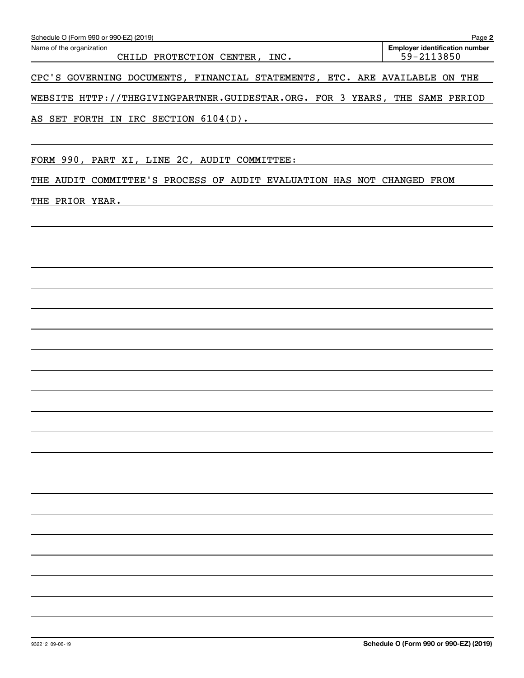| Schedule O (Form 990 or 990-EZ) (2019)                                      | Page 2                                              |
|-----------------------------------------------------------------------------|-----------------------------------------------------|
| Name of the organization<br>CHILD PROTECTION CENTER, INC.                   | <b>Employer identification number</b><br>59-2113850 |
| CPC'S GOVERNING DOCUMENTS, FINANCIAL STATEMENTS, ETC. ARE AVAILABLE ON THE  |                                                     |
| WEBSITE HTTP://THEGIVINGPARTNER.GUIDESTAR.ORG. FOR 3 YEARS, THE SAME PERIOD |                                                     |
| AS SET FORTH IN IRC SECTION 6104(D).                                        |                                                     |

FORM 990, PART XI, LINE 2C, AUDIT COMMITTEE:

THE AUDIT COMMITTEE'S PROCESS OF AUDIT EVALUATION HAS NOT CHANGED FROM

THE PRIOR YEAR.